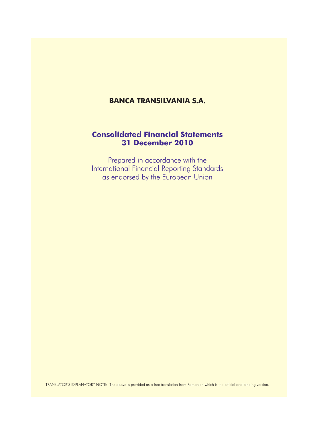# **Banca Transilvania s.a.**

# **Consolidated Financial Statements 31 December 2010**

Prepared in accordance with the International Financial Reporting Standards as endorsed by the European Union

TRANSLATOR'S EXPLANATORY NOTE: The above is provided as a free translation from Romanian which is the official and binding version.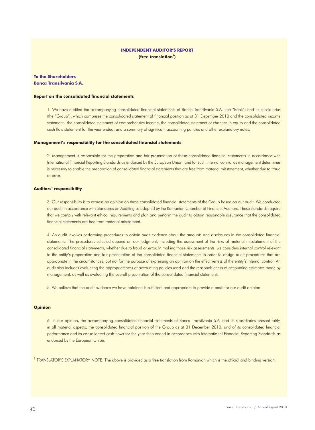# **Independent Auditor's Report** (free translation<sup>1</sup>)

**To the Shareholders Banca Transilvania S.A.**

#### **Report on the consolidated financial statements**

1. We have audited the accompanying consolidated financial statements of Banca Transilvania S.A. (the "Bank") and its subsidiaries (the "Group"), which comprises the consolidated statement of financial position as at 31 December 2010 and the consolidated income statement, the consolidated statement of comprehensive income, the consolidated statement of changes in equity and the consolidated cash flow statement for the year ended, and a summary of significant accounting policies and other explanatory notes.

### **Management's responsibility for the consolidated financial statements**

2. Management is responsible for the preparation and fair presentation of these consolidated financial statements in accordance with International Financial Reporting Standards as endorsed by the European Union, and for such internal control as management determines is necessary to enable the preparation of consolidated financial statements that are free from material misstatement, whether due to fraud or error.

# **Auditors' responsibility**

3. Our responsibility is to express an opinion on these consolidated financial statements of the Group based on our audit. We conducted our audit in accordance with Standards on Auditing as adopted by the Romanian Chamber of Financial Auditors. These standards require that we comply with relevant ethical requirements and plan and perform the audit to obtain reasonable assurance that the consolidated financial statements are free from material misstament.

4. An audit involves performing procedures to obtain audit evidence about the amounts and disclosures in the consolidated financial statements. The procedures selected depend on our judgment, including the assessment of the risks of material misstatement of the consolidated financial statements, whether due to fraud or error. In making those risk assessments, we considers internal control relevant to the entity's preparation and fair presentation of the consolidated financial statements in order to design audit procedures that are appropriate in the circumstances, but not for the purpose of expressing an opinion on the effectiveness of the entity's internal control. An audit also includes evaluating the appropriateness of accounting policies used and the reasonableness of accounting estimates made by management, as well as evaluating the overall presentation of the consolidated financial statements.

5. We believe that the audit evidence we have obtained is sufficient and appropriate to provide a basis for our audit opinion.

# **Opinion**

6. In our opinion, the accompanying consolidated financial statements of Banca Transilvania S.A. and its subsidiaries present fairly, in all material aspects, the consolidated financial position of the Group as at 31 December 2010, and of its consolidated financial performance and its consolidated cash flows for the year then ended in accordance with International Financial Reporting Standards as endorsed by the European Union.

<sup>1</sup> TRANSLATOR'S EXPLANATORY NOTE: The above is provided as a free translation from Romanian which is the official and binding version.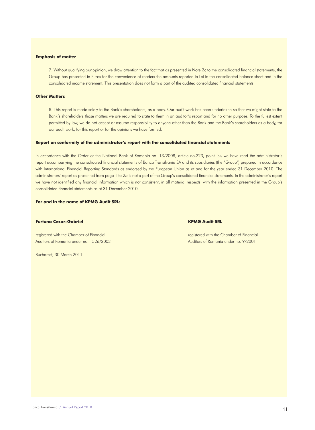#### **Emphasis of matter**

7. Without qualifying our opinion, we draw attention to the fact that as presented in Note 2c to the consolidated financial statements, the Group has presented in Euros for the convenience of readers the amounts reported in Lei in the consolidated balance sheet and in the consolidated income statement. This presentation does not form a part of the audited consolidated financial statements.

# **Other Matters**

8. This report is made solely to the Bank's shareholders, as a body. Our audit work has been undertaken so that we might state to the Bank's shareholders those matters we are required to state to them in an auditor's report and for no other purpose. To the fullest extent permitted by law, we do not accept or assume responsibility to anyone other than the Bank and the Bank's shareholders as a body, for our audit work, for this report or for the opinions we have formed.

#### **Report on conformity of the administrator's report with the consolidated financial statements**

In accordance with the Order of the National Bank of Romania no. 13/2008, article no.223, point (e), we have read the administrator's report accompanying the consolidated financial statements of Banca Transilvania SA and its subsidiaries (the "Group") prepared in accordance with International Financial Reporting Standards as endorsed by the European Union as at and for the year ended 31 December 2010. The administrators' report as presented from page 1 to 25 is not a part of the Group's consolidated financial statements. In the administrator's report we have not identified any financial information which is not consistent, in all material respects, with the information presented in the Group's consolidated financial statements as at 31 December 2010.

# **For and in the name of KPMG Audit SRL:**

# **Furtuna Cezar-Gabriel KPMG Audit SRL**

Auditors of Romania under no. 1526/2003 Auditors of Romania under no. 9/2001

Bucharest, 30 March 2011

registered with the Chamber of Financial registered with the Chamber of Financial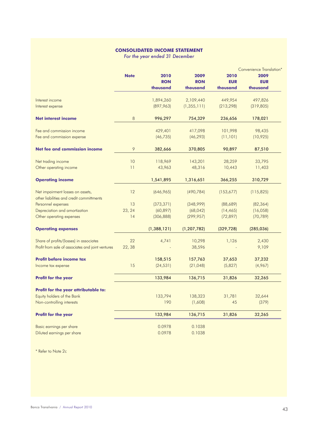# **Consolidated income statement**

*For the year ended 31 December*

|                                                   |             |               |               |            | <b>Convenience Translation*</b> |
|---------------------------------------------------|-------------|---------------|---------------|------------|---------------------------------|
|                                                   | <b>Note</b> | 2010          | 2009          | 2010       | 2009                            |
|                                                   |             | <b>RON</b>    | <b>RON</b>    | <b>EUR</b> | <b>EUR</b>                      |
|                                                   |             | thousand      | thousand      | thousand   | thousand                        |
| Interest income                                   |             | 1,894,260     | 2,109,440     | 449,954    | 497,826                         |
| Interest expense                                  |             | (897,963)     | (1, 355, 111) | (213, 298) | (319, 805)                      |
| <b>Net interest income</b>                        | $\,8\,$     | 996,297       | 754,329       | 236,656    | 178,021                         |
| Fee and commission income                         |             | 429,401       | 417,098       | 101,998    | 98,435                          |
| Fee and commission expense                        |             | (46, 735)     | (46, 293)     | (11, 101)  | (10, 925)                       |
| Net fee and commission income                     | 9           | 382,666       | 370,805       | 90,897     | 87,510                          |
| Net trading income                                | 10          | 118,969       | 143,201       | 28,259     | 33,795                          |
| Other operating income                            | 11          | 43,963        | 48,316        | 10,443     | 11,403                          |
| <b>Operating income</b>                           |             | 1,541,895     | 1,316,651     | 366,255    | 310,729                         |
| Net impairment losses on assets,                  | 12          | (646, 965)    | (490, 784)    | (153, 677) | (115, 825)                      |
| other liabilities and credit committments         |             |               |               |            |                                 |
| Personnel expenses                                | 13          | (373, 371)    | (348,999)     | (88, 689)  | (82, 364)                       |
| Depreciation and amortization                     | 23, 24      | (60, 897)     | (68, 042)     | (14, 465)  | (16,058)                        |
| Other operating expenses                          | 14          | (306, 888)    | (299, 957)    | (72, 897)  | (70, 789)                       |
| <b>Operating expenses</b>                         |             | (1, 388, 121) | (1, 207, 782) | (329, 728) | (285, 036)                      |
| Share of profits/(losses) in associates           | 22          | 4,741         | 10,298        | 1,126      | 2,430                           |
| Profit from sale of associates and joint ventures | 22,38       |               | 38,596        |            | 9,109                           |
| <b>Profit before income tax</b>                   |             | 158,515       | 157,763       | 37,653     | 37,232                          |
| Income tax expense                                | 15          | (24, 531)     | (21, 048)     | (5,827)    | (4,967)                         |
| <b>Profit for the year</b>                        |             | 133,984       | 136,715       | 31.826     | 32.265                          |
| Profit for the year attributable to:              |             |               |               |            |                                 |
| Equity holders of the Bank                        |             | 133,794       | 138,323       | 31,781     | 32,644                          |
| Non-controlling interests                         |             | 190           | (1,608)       | 45         | (379)                           |
| <b>Profit for the year</b>                        |             | 133,984       | 136,715       | 31,826     | 32,265                          |
| Basic earnings per share                          |             | 0.0978        | 0.1038        |            |                                 |
| Diluted earnings per share                        |             | 0.0978        | 0.1038        |            |                                 |

\* Refer to Note 2c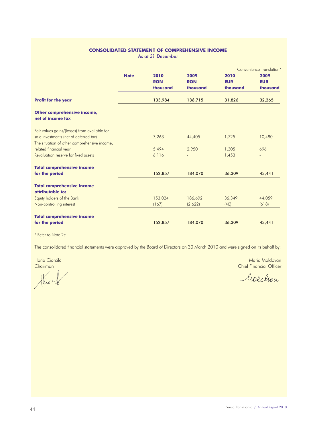# **Consolidated statement of comprehensive income**

*As at 31 December*

|                                                       |             |            |            |            | Convenience Translation* |
|-------------------------------------------------------|-------------|------------|------------|------------|--------------------------|
|                                                       | <b>Note</b> | 2010       | 2009       | 2010       | 2009                     |
|                                                       |             | <b>RON</b> | <b>RON</b> | <b>EUR</b> | <b>EUR</b>               |
|                                                       |             | thousand   | thousand   | thousand   | thousand                 |
| <b>Profit for the year</b>                            |             | 133,984    | 136,715    | 31,826     | 32,265                   |
| Other comprehensive income,<br>net of income tax      |             |            |            |            |                          |
| Fair values gains/(losses) from available for         |             |            |            |            |                          |
| sale investments (net of deferred tax)                |             | 7,263      | 44,405     | 1,725      | 10,480                   |
| The situation of other comprehensive income,          |             |            |            |            |                          |
| related financial year                                |             | 5,494      | 2,950      | 1,305      | 696                      |
| Revaluation reserve for fixed assets                  |             | 6,116      |            | 1,453      | $\qquad \qquad -$        |
| <b>Total comprehensive income</b>                     |             |            |            |            |                          |
| for the period                                        |             | 152,857    | 184,070    | 36,309     | 43,441                   |
| <b>Total comprehensive income</b><br>attributable to: |             |            |            |            |                          |
| Equity holders of the Bank                            |             | 153,024    | 186,692    | 36,349     | 44,059                   |
| Non-controlling interest                              |             | (167)      | (2,622)    | (40)       | (618)                    |
| <b>Total comprehensive income</b>                     |             |            |            |            |                          |
| for the period                                        |             | 152,857    | 184,070    | 36,309     | 43,441                   |

\* Refer to Note 2c

The consolidated financial statements were approved by the Board of Directors on 30 March 2010 and were signed on its behalf by:

Chairman Chief Financial Officer<br>March Malcourt

Horia Ciorcilă din Americana din Americana din Americana din Americana din Americana Maria Moldovania Moldovan

Moldon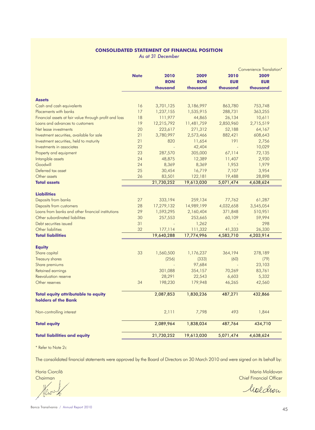# **Consolidated statement of financial position**

*As at 31 December*

|                                                        |             |            |            |            | <b>Convenience Translation*</b> |
|--------------------------------------------------------|-------------|------------|------------|------------|---------------------------------|
|                                                        | <b>Note</b> | 2010       | 2009       | 2010       | 2009                            |
|                                                        |             | <b>RON</b> | <b>RON</b> | <b>EUR</b> | <b>EUR</b>                      |
|                                                        |             | thousand   | thousand   | thousand   | thousand                        |
| <b>Assets</b>                                          |             |            |            |            |                                 |
| Cash and cash equivalents                              | 16          | 3,701,125  | 3,186,997  | 863,780    | 753,748                         |
| Placements with banks                                  | 17          | 1,237,155  | 1,535,915  | 288,731    | 363,255                         |
| Financial assets at fair value through profit and loss | 18          | 111,977    | 44,865     | 26,134     | 10,611                          |
| Loans and advances to customers                        | 19          | 12,215,792 | 11,481,759 | 2,850,960  | 2,715,519                       |
| Net lease investments                                  | 20          | 223,617    | 271,312    | 52,188     | 64,167                          |
| Investment securities, available for sale              | 21          | 3,780,997  | 2,573,466  | 882,421    | 608,643                         |
| Investment securities, held to maturity                | 21          | 820        | 11,654     | 191        | 2,756                           |
| Investments in associates                              | 22          |            | 42,404     |            | 10,029                          |
| Property and equipment                                 | 23          | 287,570    | 305,000    | 67,114     | 72,135                          |
| Intangible assets                                      | 24          | 48,875     | 12,389     | 11,407     | 2,930                           |
| Goodwill                                               | 24          | 8,369      | 8,369      | 1,953      | 1,979                           |
| Deferred tax asset                                     | 25          | 30,454     | 16,719     | 7,107      | 3,954                           |
| Other assets                                           | 26          | 83,501     | 122,181    | 19,488     | 28,898                          |
| <b>Total assets</b>                                    |             | 21,730,252 | 19,613,030 | 5,071,474  | 4,638,624                       |
|                                                        |             |            |            |            |                                 |
| <b>Liabilities</b>                                     |             |            |            |            |                                 |
| Deposits from banks                                    | 27          | 333,194    | 259,134    | 77,762     | 61,287                          |
| Deposits from customers                                | 28          | 17,279,132 | 14,989,199 | 4,032,658  | 3,545,054                       |
| Loans from banks and other financial institutions      | 29          | 1,593,295  | 2,160,404  | 371,848    | 510,951                         |
| Other subordinated liabilities                         | 30          | 257,553    | 253,665    | 60,109     | 59,994                          |
| Debt securities issued                                 | 31          |            | 1,262      |            | 298                             |
| Other liabilities                                      | 32          | 177,114    | 111,332    | 41,333     | 26,330                          |
| <b>Total liabilities</b>                               |             | 19,640,288 | 17,774,996 | 4,583,710  | 4,203,914                       |
| <b>Equity</b>                                          |             |            |            |            |                                 |
| Share capital                                          | 33          | 1,560,500  | 1,176,237  | 364,194    | 278,189                         |
| Treasury shares                                        |             | (256)      | (333)      | (60)       | (79)                            |
| Share premiums                                         |             |            | 97,684     |            | 23,103                          |
| Retained earnings                                      |             | 301,088    | 354,157    | 70,269     | 83,761                          |
| Reevaluation reserve                                   |             | 28,291     | 22,543     | 6,603      | 5,332                           |
| Other reserves                                         | 34          | 198,230    | 179,948    | 46,265     | 42,560                          |
| <b>Total equity attributable to equity</b>             |             | 2,087,853  | 1,830,236  | 487,271    | 432,866                         |
| holders of the Bank                                    |             |            |            |            |                                 |
| Non-controlling interest                               |             | 2,111      | 7,798      | 493        | 1,844                           |
| <b>Total equity</b>                                    |             | 2,089,964  | 1,838,034  | 487,764    | 434,710                         |
| <b>Total liabilities and equity</b>                    |             | 21,730,252 | 19,613,030 | 5,071,474  | 4,638,624                       |
|                                                        |             |            |            |            |                                 |

\* Refer to Note 2c

The consolidated financial statements were approved by the Board of Directors on 30 March 2010 and were signed on its behalf by:

Vlior

Maria Ciorcilă de Antonio Constituit a Santo Constituit a Santo Constituit a Santo Constituit a Maria Moldovan<br>Altitulă Chairman din Antonio Chief Financial Officer a Santo Chief Financial Officer a Santo Chief Financial Chief Financial Officer

Moldron

45 Banca Transilvania / Annual Report 2010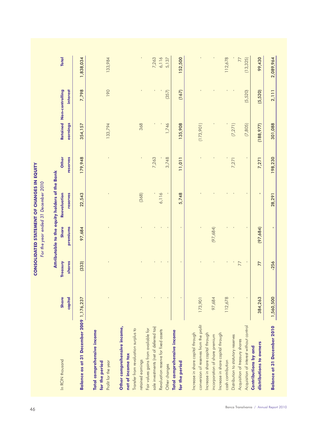|                                          |                         |                    | For the year ended 31 December 2010 |                                                |                   |            |                                      |                |
|------------------------------------------|-------------------------|--------------------|-------------------------------------|------------------------------------------------|-------------------|------------|--------------------------------------|----------------|
|                                          |                         |                    |                                     | Attributable to the equity holders of the Bank |                   |            |                                      |                |
| In RON thousand                          | capital<br><b>Share</b> | shares<br>Treasury | Share<br>premiums                   | Reevaluation<br>reserves                       | reserves<br>Other | earnings   | Retained Non-controlling<br>interest | <b>Total</b>   |
| Balance as at 31 December 2009 1,176,237 |                         | (333)              | 97,684                              | 22,543                                         | 179,948           | 354,157    | 7,798                                | 1,838,034      |
| Total comprehensive income               |                         |                    |                                     |                                                |                   |            |                                      |                |
| Profit for the year<br>for the period    |                         |                    |                                     |                                                |                   | 133,794    | 190                                  | 133,984        |
| Other comprehensive income,              |                         |                    |                                     |                                                |                   |            |                                      |                |
| net of income tax                        |                         |                    |                                     |                                                |                   |            |                                      |                |
| Transfer from revaluation surplus to     |                         |                    |                                     |                                                |                   |            |                                      |                |
| retained earnings                        |                         |                    |                                     | (368)                                          | $\blacksquare$    | 368        | $\blacksquare$                       | $\blacksquare$ |
| Fair values gains from available for     |                         |                    |                                     |                                                |                   |            |                                      |                |
| sale investments (net of deferred tax)   |                         |                    |                                     |                                                | 7,263             |            | $\blacksquare$                       | 7,263          |
| Revaluation reserve for fixed assets     |                         |                    |                                     | 6,116                                          |                   |            |                                      | 6,116          |
| Other changes                            |                         | $\mathbf{I}$       |                                     |                                                | 3,748             | 1,746      | (357)                                | 5,137          |
| Total comprehensive income               |                         |                    |                                     |                                                |                   |            |                                      |                |
| for the period                           |                         | $\mathbf{I}$       |                                     | 5,748                                          | 11,011            | 135,908    | (167)                                | 152,500        |
| Increase in share capital through        |                         |                    |                                     |                                                |                   |            |                                      |                |
| conversion of reserves from the profit   | 173,901                 |                    | $\mathbf{I}$                        |                                                |                   | (173,901)  |                                      | $\blacksquare$ |
| Increase in share capital through        |                         |                    |                                     |                                                |                   |            |                                      |                |
| incorporation of share premium           | 97,684                  |                    | (97,684)                            |                                                |                   |            |                                      |                |
| Increase in share capital through        |                         |                    |                                     |                                                |                   |            |                                      |                |
| cash contribution                        | 112,678                 |                    |                                     |                                                |                   |            | T.                                   | 112,678        |
| Distribution to statutory reserves       |                         |                    |                                     |                                                | 7,271             | (7, 271)   |                                      |                |
| Acquisition of treasury shares           |                         | 77                 |                                     |                                                |                   |            |                                      | 77             |
| Acquisition of interest without control  | $\mathbf{r}$            |                    | $\mathbf{r}$                        |                                                | ×.                | (7,805)    | (5,520)                              | (13, 325)      |
| <b>Contributions by and</b>              |                         |                    |                                     |                                                |                   |            |                                      |                |
| distributions to owners                  | 384,263                 | 77                 | (97, 684)                           | ٠                                              | 7,271             | (188, 977) | (5,520)                              | 99,430         |
| <b>Balance at 31 December 2010</b>       | 1,560,500               | $-256$             | 1                                   | 28,291                                         | 198,230           | 301,088    | 2,111                                | 2,089,964      |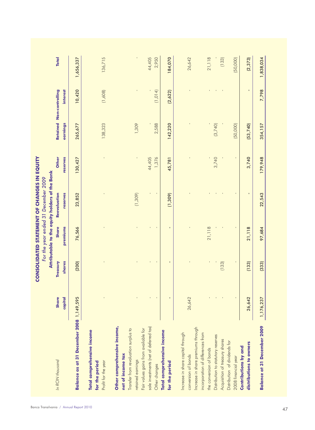|                                          |                         |                    | For the year ended 31 December 2009 | Attributable to the equity holders of the Bank |                   |          |                                             |              |
|------------------------------------------|-------------------------|--------------------|-------------------------------------|------------------------------------------------|-------------------|----------|---------------------------------------------|--------------|
| In RON thousand                          | capital<br><b>Share</b> | Treasury<br>shares | <b>Share</b><br>premiums            | Reevaluation<br>reserves                       | reserves<br>Other | earnings | Retained Non-controlling<br><b>interest</b> | <b>Total</b> |
| Balance as at 31 December 2008 1,149,595 |                         | (200)              | 76,566                              | 23,852                                         | 130,427           | 265,677  | 10,420                                      | 1,656,337    |
| Total comprehensive income               |                         |                    |                                     |                                                |                   |          |                                             |              |
| for the period                           |                         |                    |                                     |                                                |                   |          |                                             |              |
| Profit for the year                      |                         | $\bar{1}$          | $\blacksquare$                      | $\blacksquare$                                 | ï                 | 138,323  | (1,608)                                     | 136,715      |
| Other comprehensive income,              |                         |                    |                                     |                                                |                   |          |                                             |              |
| net of income tax                        |                         |                    |                                     |                                                |                   |          |                                             |              |
| Transfer from revaluation surplus to     |                         |                    |                                     |                                                |                   |          |                                             |              |
| retained earnings                        |                         |                    |                                     | (1,309)                                        |                   | 1,309    |                                             |              |
| Fair values gains from available for     |                         |                    |                                     |                                                |                   |          |                                             |              |
| sale investments (net of deferred tax)   |                         | ï                  | T.                                  | ٠                                              | 44,405            |          | $\mathbf{I}$                                | 44,405       |
| Other changes                            |                         |                    | $\mathbf{I}$                        | $\mathbf{I}$                                   | 1,376             | 2,588    | (1, 014)                                    | 2,950        |
| Total comprehensive income               |                         |                    |                                     |                                                |                   |          |                                             |              |
| for the period                           | $\blacksquare$          | ٠                  | $\blacksquare$                      | (1,309)                                        | 45,781            | 142,220  | (2,622)                                     | 184,070      |
| Increase in share capital through        |                         |                    |                                     |                                                |                   |          |                                             |              |
| conversion of bonds                      | 26,642                  |                    |                                     |                                                |                   |          |                                             | 26,642       |
| Increase in share premiums through       |                         |                    |                                     |                                                |                   |          |                                             |              |
| incorporation of differences from        |                         |                    |                                     |                                                |                   |          |                                             |              |
| the conversion of bonds                  |                         | $\mathbf{r}$       | 21,118                              |                                                |                   |          |                                             | 21,118       |
| Distribution to statutory reserves       |                         |                    |                                     | $\blacksquare$                                 | 3,740             | (3,740)  | $\blacksquare$                              |              |
| Acquisition of treasury shares           |                         | (133)              |                                     |                                                |                   |          |                                             | (133)        |
| Distribution of dividends for            |                         |                    |                                     |                                                |                   |          |                                             |              |
| 2008 financial year                      |                         |                    | $\mathbf{I}$                        | $\blacksquare$                                 |                   | (50,000) |                                             | (50,000)     |
| <b>Contributions by and</b>              |                         |                    |                                     |                                                |                   |          |                                             |              |
| distributions to owners                  | 26,642                  | (133)              | 21,118                              | T,                                             | 3,740             | (53,740) | Ŧ,                                          | (2, 373)     |
| <b>Balance at 31 December 2009</b>       | 1,176,237               | (333)              | 97,684                              | 22,543                                         | 179,948           | 354,157  | 7,798                                       | 1,838,034    |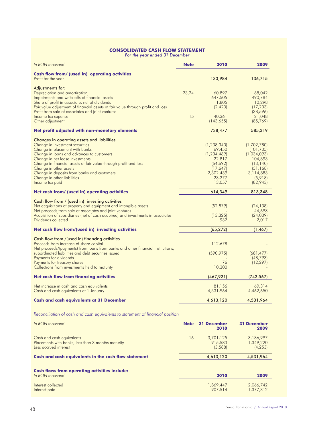# **Consolidated cash flow statement**

*For the year ended 31 December*

| In RON thousand                                                                                                                                                                                                                                                                                                                                                                                 | <b>Note</b> | 2010                                                                                                         | 2009                                                                                                               |
|-------------------------------------------------------------------------------------------------------------------------------------------------------------------------------------------------------------------------------------------------------------------------------------------------------------------------------------------------------------------------------------------------|-------------|--------------------------------------------------------------------------------------------------------------|--------------------------------------------------------------------------------------------------------------------|
| Cash flow from/ (used in) operating activities<br>Profit for the year                                                                                                                                                                                                                                                                                                                           |             | 133,984                                                                                                      | 136,715                                                                                                            |
| Adjustments for:<br>Depreciation and amortization<br>Impairments and write-offs of financial assets<br>Share of profit in associate, net of dividends<br>Fair value adjustment of financial assets at fair value through profit and loss                                                                                                                                                        | 23,24       | 60,897<br>647,505<br>1,805<br>(2,420)                                                                        | 68,042<br>490,784<br>10,298<br>(17, 203)                                                                           |
| Profit from sale of associates and joint ventures<br>Income tax expense<br>Other adjustment                                                                                                                                                                                                                                                                                                     | 15          | 40,361<br>(143, 655)                                                                                         | (38, 596)<br>21,048<br>(85, 769)                                                                                   |
| Net profit adjusted with non-monetary elements                                                                                                                                                                                                                                                                                                                                                  |             | 738,477                                                                                                      | 585,319                                                                                                            |
| Changes in operating assets and liabilities<br>Change in investment securities<br>Change in placement with banks<br>Change in loans and advances to customers<br>Change in net lease investments<br>Change in financial assets at fair value through profit and loss<br>Change in other assets<br>Change in deposits from banks and customers<br>Change in other liabilities<br>Income tax paid |             | (1, 238, 340)<br>69,450<br>(1, 234, 489)<br>22,817<br>(64, 692)<br>(17,647)<br>2,302,439<br>23,277<br>13,057 | (1,702,780)<br>(101, 705)<br>(1,034,093)<br>104,893<br>(13, 140)<br>(51, 168)<br>3,114,883<br>(5,918)<br>(82, 943) |
| Net cash from/ (used in) operating activities                                                                                                                                                                                                                                                                                                                                                   |             | 614,349                                                                                                      | 813,348                                                                                                            |
| Cash flow from / (used in) investing activities<br>Net acquisitions of property and equipment and intangible assets<br>Net proceeds from sale of associates and joint ventures<br>Acquisition of subsidiaries (net of cash acquired) and investments in associates<br>Dividends collected                                                                                                       |             | (52, 879)<br>(13, 325)<br>932                                                                                | (24, 138)<br>44,693<br>(24, 039)<br>2,017                                                                          |
| Net cash flow from/(used in) investing activities                                                                                                                                                                                                                                                                                                                                               |             | (65, 272)                                                                                                    | (1, 467)                                                                                                           |
| Cash flow from /(used in) financing activities<br>Proceeds from increase of share capital<br>Net proceeds/(payments) from loans from banks and other financial institutions,<br>subordinated liabilities and debt securities issued<br>Payments for dividends<br>Payments for treasury shares<br>Collections from investments held to maturity                                                  |             | 112,678<br>(590, 975)<br>76<br>10,300                                                                        | (681, 477)<br>(48, 793)<br>(12, 297)                                                                               |
| <b>Net cash flow from financing activities</b>                                                                                                                                                                                                                                                                                                                                                  |             | (467, 921)                                                                                                   | (742, 567)                                                                                                         |
| Net increase in cash and cash equivalents<br>Cash and cash equivalents at 1 January                                                                                                                                                                                                                                                                                                             |             | 81,156<br>4,531,964                                                                                          | 69,314<br>4,462,650                                                                                                |
| <b>Cash and cash equivalents at 31 December</b>                                                                                                                                                                                                                                                                                                                                                 |             | 4,613,120                                                                                                    | 4,531,964                                                                                                          |
| Reconciliation of cash and cash equivalents to statement of financial position                                                                                                                                                                                                                                                                                                                  |             |                                                                                                              |                                                                                                                    |
| In RON thousand                                                                                                                                                                                                                                                                                                                                                                                 | <b>Note</b> | <b>31 December</b><br>2010                                                                                   | <b>31 December</b><br>2009                                                                                         |
| Cash and cash equivalents<br>Placements with banks, less than 3 months maturity<br>Less accrued interest                                                                                                                                                                                                                                                                                        | 16          | 3,701,125<br>915,583<br>(3,588)                                                                              | 3,186,997<br>1,349,220<br>(4, 253)                                                                                 |
| Cash and cash equivalents in the cash flow statement                                                                                                                                                                                                                                                                                                                                            |             | 4,613,120                                                                                                    | 4,531,964                                                                                                          |
| <b>Cash flows from operating activities include:</b><br>In RON thousand                                                                                                                                                                                                                                                                                                                         |             |                                                                                                              | 2009                                                                                                               |
|                                                                                                                                                                                                                                                                                                                                                                                                 |             | 2010                                                                                                         |                                                                                                                    |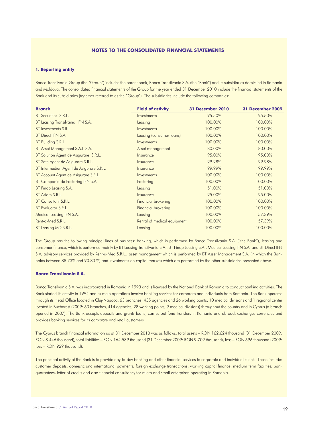## **Notes to the consolidated financial statements**

#### **1. Reporting entity**

Banca Transilvania Group (the "Group") includes the parent bank, Banca Transilvania S.A. (the "Bank") and its subsidiaries domiciled in Romania and Moldova. The consolidated financial statements of the Group for the year ended 31 December 2010 include the financial statements of the Bank and its subsidiaries (together referred to as the "Group"). The subsidiaries include the following companies:

| <b>Branch</b>                             | <b>Field of activity</b>    | <b>31 December 2010</b> | 31 December 2009 |
|-------------------------------------------|-----------------------------|-------------------------|------------------|
| BT Securities S.R.L.                      | Investments                 | 95.50%                  | 95.50%           |
| BT Leasing Transilvania IFN S.A.          | Leasing                     | 100.00%                 | 100.00%          |
| BT Investments S.R.L.                     | Investments                 | 100.00%                 | 100.00%          |
| BT Direct IFN S.A.                        | Leasing (consumer loans)    | 100.00%                 | 100.00%          |
| BT Building S.R.L.                        | Investments                 | 100.00%                 | 100.00%          |
| BT Asset Management S.A.I S.A.            | Asset management            | 80.00%                  | 80.00%           |
| BT Solution Agent de Asigurare S.R.L.     | Insurance                   | 95.00%                  | 95.00%           |
| BT Safe Agent de Asigurare S.R.L.         | Insurance                   | 99.98%                  | 99.98%           |
| BT Intermedieri Agent de Asigurare S.R.L. | Insurance                   | 99.99%                  | 99.99%           |
| BT Account Agent de Asigurare S.R.L.      | Investments                 | 100.00%                 | 100.00%          |
| BT Compania de Factoring IFN S.A.         | Factoring                   | 100.00%                 | 100.00%          |
| BT Finop Leasing S.A.                     | Leasing                     | 51.00%                  | 51.00%           |
| BT Asiom S.R.L.                           | Insurance                   | 95.00%                  | 95.00%           |
| BT Consultant S.R.L.                      | Financial brokering         | 100.00%                 | 100.00%          |
| BT Evaluator S.R.L.                       | Financial brokering         | 100.00%                 | 100.00%          |
| Medical Leasing IFN S.A.                  | Leasing                     | 100.00%                 | 57.39%           |
| Rent-a-Med S.R.L.                         | Rental of medical equipment | 100.00%                 | 57.39%           |
| BT Leasing MD S.R.L.                      | Leasing                     | 100.00%                 | 100.00%          |

The Group has the following principal lines of business: banking, which is performed by Banca Transilvania S.A. ("the Bank"), leasing and consumer finance, which is performed mainly by BT Leasing Transilvania S.A., BT Finop Leasing S.A., Medical Leasing IFN S.A. and BT Direct IFN S.A, advisory services provided by Rent-a-Med S.R.L., asset management which is performed by BT Asset Management S.A. (in which the Bank holds between 88.73% and 90.80 %) and investments on capital markets which are performed by the other subsidiaries presented above.

# **Banca Transilvania S.A.**

Banca Transilvania S.A. was incorporated in Romania in 1993 and is licensed by the National Bank of Romania to conduct banking activities. The Bank started its activity in 1994 and its main operations involve banking services for corporate and individuals from Romania. The Bank operates through its Head Office located in Cluj-Napoca, 63 branches, 435 agencies and 26 working points, 10 medical divisions and 1 regional center located in Bucharest (2009: 63 branches, 414 agencies, 28 working points, 9 medical divisions) throughout the country and in Cyprus (a branch opened in 2007). The Bank accepts deposits and grants loans, carries out fund transfers in Romania and abroad, exchanges currencies and provides banking services for its corporate and retail customers.

The Cyprus branch financial information as at 31 December 2010 was as follows: total assets – RON 162,624 thousand (31 December 2009: RON 8.446 thousand), total liabilities – RON 164,589 thousand (31 December 2009: RON 9,709 thousand), loss – RON 696 thousand (2009: loss – RON 929 thousand).

The principal activity of the Bank is to provide day-to-day banking and other financial services to corporate and individual clients. These include: customer deposits, domestic and international payments, foreign exchange transactions, working capital finance, medium term facilities, bank guarantees, letter of credits and also financial consultancy for micro and small enterprises operating in Romania.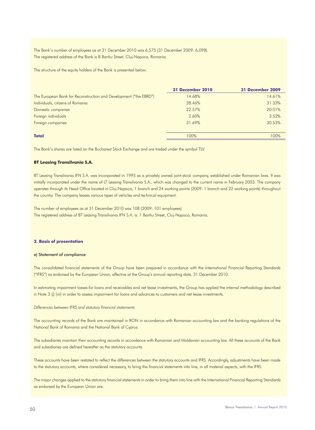The Bank's number of employees as at 31 December 2010 was 6,575 (31 December 2009: 6,098). The registered address of the Bank is 8 Baritiu Street, Cluj-Napoca, Romania.

The structure of the equity holders of the Bank is presented below:

|                                                                   | 31 December 2010 | 31 December 2009 |
|-------------------------------------------------------------------|------------------|------------------|
| The European Bank for Reconstruction and Development ("the EBRD") | 14.68%           | 14.61%           |
| Individuals, citizens of Romania                                  | 28.46%           | 31.33%           |
| Domestic companies                                                | 22.57%           | 20.01%           |
| Foreign individuals                                               | 2.60%            | 3.52%            |
| Foreign companies                                                 | 31.69%           | 30.53%           |
| <b>Total</b>                                                      | 100%             | 100%             |

The Bank's shares are listed on the Bucharest Stock Exchange and are traded under the symbol TLV.

# **BT Leasing Transilvania S.A.**

BT Leasing Transilvania IFN S.A. was incorporated in 1995 as a privately owned joint-stock company, established under Romanian laws. It was initially incorporated under the name of LT Leasing Transilvania S.A., which was changed to the current name in February 2003. The company operates through its Head Office located in Cluj-Napoca, 1 branch and 24 working points (2009: 1 branch and 22 working points) throughout the country. The company leases various types of vehicles and technical equipment.

The number of employees as at 31 December 2010 was 108 (2009: 101 employees). The registered address of BT Leasing Transilvania IFN S.A. is: 1 Baritiu Street, Cluj-Napoca, Romania.

#### **2. Basis of presentation**

#### a) Statement of compliance

The consolidated financial statements of the Group have been prepared in accordance with the International Financial Reporting Standards ("IFRS") as endorsed by the European Union, effective at the Group's annual reporting date, 31 December 2010.

In estimating impairment losses for loans and receivables and net lease investments, the Group has applied the internal methodology described in Note 3 (j) (vii) in order to assess impairment for loans and advances to customers and net lease investments.

#### *Differences between IFRS and statutory financial statements*

The accounting records of the Bank are maintained in RON in accordance with Romanian accounting law and the banking regulations of the National Bank of Romania and the National Bank of Cyprus.

The subsidiaries maintain their accounting records in accordance with Romanian and Moldavian accounting law. All these accounts of the Bank and subsidiaries are defined hereafter as the statutory accounts.

These accounts have been restated to reflect the differences between the statutory accounts and IFRS. Accordingly, adjustments have been made to the statutory accounts, where considered necessary, to bring the financial statements into line, in all material aspects, with the IFRS.

The major changes applied to the statutory financial statements in order to bring them into line with the International Financial Reporting Standards as endorsed by the European Union are: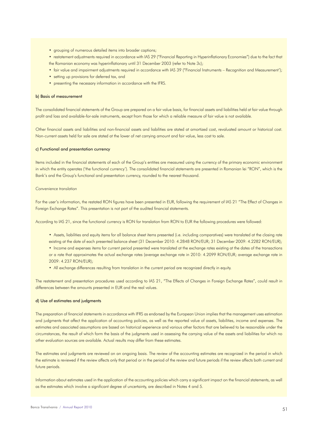- grouping of numerous detailed items into broader captions;
- restatement adjustments required in accordance with IAS 29 ("Financial Reporting in Hyperinflationary Economies") due to the fact that the Romanian economy was hyperinflationary until 31 December 2003 (refer to Note 3c);
- fair value and impairment adjustments required in accordance with IAS 39 ("Financial Instruments Recognition and Measurement');
- setting up provisions for deferred tax, and
- presenting the necessary information in accordance with the IFRS.

#### b) Basis of measurement

The consolidated financial statements of the Group are prepared on a fair value basis, for financial assets and liabilities held at fair value through profit and loss and available-for-sale instruments, except from those for which a reliable measure of fair value is not available.

Other financial assets and liabilities and non-financial assets and liabilities are stated at amortized cost, revaluated amount or historical cost. Non-current assets held for sale are stated at the lower of net carrying amount and fair value, less cost to sale.

#### c) Functional and presentation currency

Items included in the financial statements of each of the Group's entities are measured using the currency of the primary economic environment in which the entity operates ('the functional currency'). The consolidated financial statements are presented in Romanian lei "RON", which is the Bank's and the Group's functional and presentation currency, rounded to the nearest thousand.

#### *Convenience translation*

For the user's information, the restated RON figures have been presented in EUR, following the requirement of IAS 21 "The Effect of Changes in Foreign Exchange Rates". This presentation is not part of the audited financial statements.

According to IAS 21, since the functional currency is RON for translation from RON to EUR the following procedures were followed:

- Assets, liabilities and equity items for all balance sheet items presented (i.e. including comparatives) were translated at the closing rate existing at the date of each presented balance sheet (31 December 2010: 4.2848 RON/EUR; 31 December 2009: 4.2282 RON/EUR);
- Income and expenses items for current period presented were translated at the exchange rates existing at the dates of the transactions or a rate that approximates the actual exchange rates (average exchange rate in 2010: 4.2099 RON/EUR; average exchange rate in 2009: 4.237 RON/EUR);
- All exchange differences resulting from translation in the current period are recognized directly in equity.

The restatement and presentation procedures used according to IAS 21, "The Effects of Changes in Foreign Exchange Rates", could result in differences between the amounts presented in EUR and the real values.

# d) Use of estimates and judgments

The preparation of financial statements in accordance with IFRS as endorsed by the European Union implies that the management uses estimation and judgments that affect the application of accounting policies, as well as the reported value of assets, liabilities, income and expenses. The estimates and associated assumptions are based on historical experience and various other factors that are believed to be reasonable under the circumstances, the result of which form the basis of the judgments used in assessing the carrying value of the assets and liabilities for which no other evaluation sources are available. Actual results may differ from these estimates.

The estimates and judgments are reviewed on an ongoing basis. The review of the accounting estimates are recognized in the period in which the estimate is reviewed if the review affects only that period or in the period of the review and future periods if the review affects both current and future periods.

Information about estimates used in the application of the accounting policies which carry a significant impact on the financial statements, as well as the estimates which involve a significant degree of uncertainty, are described in Notes 4 and 5.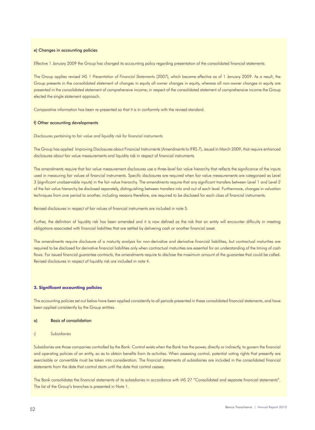#### e) Changes in accounting policies

Effective 1 January 2009 the Group has changed its accounting policy regarding presentation of the consolidated financial statements.

The Group applies revised IAS 1 *Presentation of Financial Statements* (2007), which became effective as of 1 January 2009. As a result, the Group presents in the consolidated statement of changes in equity all owner changes in equity, whereas all non-owner changes in equity are presented in the consolidated statement of comprehensive income; in respect of the consolidated statement of comprehensive income the Group elected the single statement approach.

Comparative information has been re-presented so that it is in conformity with the revised standard.

#### f) Other accounting developments

*Disclosures pertaining to fair value and liquidity risk for financial instruments*

The Group has applied Improving Disclosures about Financial Instruments (Amendments to IFRS 7), issued in March 2009, that require enhanced disclosures about fair value measurements and liquidity risk in respect of financial instruments.

The amendments require that fair value measurement disclosures use a three-level fair value hierarchy that reflects the significance of the inputs used in measuring fair values of financial instruments. Specific disclosures are required when fair value measurements are categorized as Level 3 (significant unobservable inputs) in the fair value hierarchy. The amendments require that any significant transfers between Level 1 and Level 2 of the fair value hierarchy be disclosed separately, distinguishing between transfers into and out of each level. Furthermore, changes in valuation techniques from one period to another, including reasons therefore, are required to be disclosed for each class of financial instruments.

Revised disclosures in respect of fair values of financial instruments are included in note 5.

Further, the definition of liquidity risk has been amended and it is now defined as the risk that an entity will encounter difficulty in meeting obligations associated with financial liabilities that are settled by delivering cash or another financial asset.

The amendments require disclosure of a maturity analysis for non-derivative and derivative financial liabilities, but contractual maturities are required to be disclosed for derivative financial liabilities only when contractual maturities are essential for an understanding of the timing of cash flows. For issued financial guarantee contracts, the amendments require to disclose the maximum amount of the guarantee that could be called. Revised disclosures in respect of liquidity risk are included in note 4.

#### **3. Significant accounting policies**

The accounting policies set out below have been applied consistently to all periods presented in these consolidated financial statements, and have been applied consistently by the Group entities.

#### a) Basis of consolidation

# *i) Subsidiaries*

Subsidiaries are those companies controlled by the Bank. Control exists when the Bank has the power, directly or indirectly, to govern the financial and operating policies of an entity, so as to obtain benefits from its activities. When assessing control, potential voting rights that presently are exercisable or convertible must be taken into consideration. The financial statements of subsidiaries are included in the consolidated financial statements from the date that control starts until the date that control ceases.

The Bank consolidates the financial statements of its subsidiaries in accordance with IAS 27 "Consolidated and separate financial statements". The list of the Group's branches is presented in Note 1.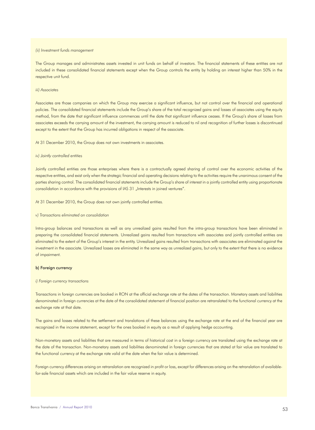#### *(ii) Investment funds management*

The Group manages and administrates assets invested in unit funds on behalf of investors. The financial statements of these entities are not included in these consolidated financial statements except when the Group controls the entity by holding an interest higher than 50% in the respective unit fund.

#### *iii) Associates*

Associates are those companies on which the Group may exercise a significant influence, but not control over the financial and operational policies. The consolidated financial statements include the Group's share of the total recognized gains and losses of associates using the equity method, from the date that significant influence commences until the date that significant influence ceases. If the Group's share of losses from associates exceeds the carrying amount of the investment, the carrying amount is reduced to nil and recognition of further losses is discontinued except to the extent that the Group has incurred obligations in respect of the associate.

At 31 December 2010, the Group does not own investments in associates.

#### *iv) Jointly controlled entities*

Jointly controlled entities are those enterprises where there is a contractually agreed sharing of control over the economic activities of the respective entities, and exist only when the strategic financial and operating decisions relating to the activities require the unanimous consent of the parties sharing control. The consolidated financial statements include the Group's share of interest in a jointly controlled entity using proportionate consolidation in accordance with the provisions of IAS 31 "Interests in joined ventures".

At 31 December 2010, the Group does not own jointly controlled entities.

#### *v) Transactions eliminated on consolidation*

Intra-group balances and transactions as well as any unrealized gains resulted from the intra-group transactions have been eliminated in preparing the consolidated financial statements. Unrealized gains resulted from transactions with associates and jointly controlled entities are eliminated to the extent of the Group's interest in the entity. Unrealized gains resulted from transactions with associates are eliminated against the investment in the associate. Unrealized losses are eliminated in the same way as unrealized gains, but only to the extent that there is no evidence of impairment.

#### b) Foreign currency

#### *i) Foreign currency transactions*

Transactions in foreign currencies are booked in RON at the official exchange rate at the dates of the transaction. Monetary assets and liabilities denominated in foreign currencies at the date of the consolidated statement of financial position are retranslated to the functional currency at the exchange rate at that date.

The gains and losses related to the settlement and translations of these balances using the exchange rate at the end of the financial year are recognized in the income statement, except for the ones booked in equity as a result of applying hedge accounting.

Non-monetary assets and liabilities that are measured in terms of historical cost in a foreign currency are translated using the exchange rate at the date of the transaction. Non-monetary assets and liabilities denominated in foreign currencies that are stated at fair value are translated to the functional currency at the exchange rate valid at the date when the fair value is determined.

Foreign currency differences arising on retranslation are recognized in profit or loss, except for differences arising on the retranslation of availablefor-sale financial assets which are included in the fair value reserve in equity.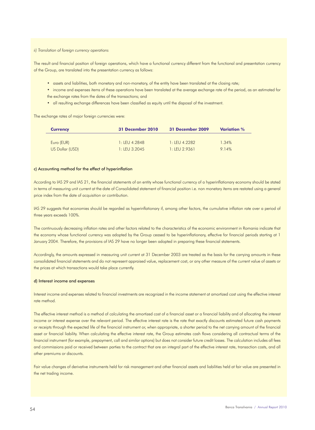#### *ii) Translation of foreign currency operations*

The result and financial position of foreign operations, which have a functional currency different from the functional and presentation currency of the Group, are translated into the presentation currency as follows:

- assets and liabilities, both monetary and non-monetary, of the entity have been translated at the closing rate;
- income and expenses items of these operations have been translated at the average exchange rate of the period, as an estimated for the exchange rates from the dates of the transactions; and
- all resulting exchange differences have been classified as equity until the disposal of the investment.

The exchange rates of major foreign currencies were:

| <b>Currency</b> | <b>31 December 2010</b> | <b>31 December 2009</b> | <b>Variation</b> % |
|-----------------|-------------------------|-------------------------|--------------------|
|                 |                         |                         |                    |
| Euro (EUR)      | $1.1$ FU 4 2848         | $1:$ LEU 4.2282         | 1.34%              |
| US Dollar (USD) | $1 \cdot$ IFU 3 2045    | 1: LEU 2.9361           | 9 1 4%             |

### c) Accounting method for the effect of hyperinflation

According to IAS 29 and IAS 21, the financial statements of an entity whose functional currency of a hyperinflationary economy should be stated in terms of measuring unit current at the date of Consolidated statement of financial position i.e. non monetary items are restated using a general price index from the date of acquisition or contribution.

IAS 29 suggests that economies should be regarded as hyperinflationary if, among other factors, the cumulative inflation rate over a period of three years exceeds 100%.

The continuously decreasing inflation rates and other factors related to the characteristics of the economic environment in Romania indicate that the economy whose functional currency was adopted by the Group ceased to be hyperinflationary, effective for financial periods starting at 1 January 2004. Therefore, the provisions of IAS 29 have no longer been adopted in preparing these financial statements.

Accordingly, the amounts expressed in measuring unit current at 31 December 2003 are treated as the basis for the carrying amounts in these consolidated financial statements and do not represent appraised value, replacement cost, or any other measure of the current value of assets or the prices at which transactions would take place currently.

#### d) Interest income and expenses

Interest income and expenses related to financial investments are recognized in the income statement at amortized cost using the effective interest rate method.

The effective interest method is a method of calculating the amortized cost of a financial asset or a financial liability and of allocating the interest income or interest expense over the relevant period. The effective interest rate is the rate that exactly discounts estimated future cash payments or receipts through the expected life of the financial instrument or, when appropriate, a shorter period to the net carrying amount of the financial asset or financial liability. When calculating the effective interest rate, the Group estimates cash flows considering all contractual terms of the financial instrument (for example, prepayment, call and similar options) but does not consider future credit losses. The calculation includes all fees and commissions paid or received between parties to the contract that are an integral part of the effective interest rate, transaction costs, and all other premiums or discounts.

Fair value changes of derivative instruments held for risk management and other financial assets and liabilities held at fair value are presented in the net trading income.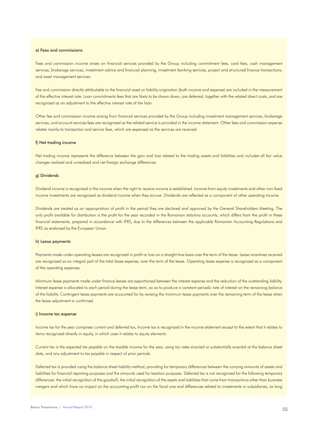#### e) Fees and commissions

Fees and commission income arises on financial services provided by the Group including commitment fees, card fees, cash management services, brokerage services, investment advice and financial planning, investment banking services, project and structured finance transactions, and asset management services.

Fee and commission directly attributable to the financial asset or liability origination (both income and expense) are included in the measurement of the effective interest rate. Loan commitments fees that are likely to be drawn down, are deferred, together with the related direct costs, and are recognized as an adjustment to the effective interest rate of the loan.

Other fee and commission income arising from financial services provided by the Group including investment management services, brokerage services, and account services fees are recognized as the related service is provided in the income statement. Other fees and commission expense relates mainly to transaction and service fees, which are expensed as the services are received.

### f) Net trading income

Net trading income represents the difference between the gain and loss related to the trading assets and liabilities and includes all fair value changes realized and unrealized and net foreign exchange differences.

#### g) Dividends

Dividend income is recognized in the income when the right to receive income is established. Income from equity investments and other non-fixed income investments are recognized as dividend income when they accrue. Dividends are reflected as a component of other operating income.

Dividends are treated as an appropriation of profit in the period they are declared and approved by the General Shareholders Meeting. The only profit available for distribution is the profit for the year recorded in the Romanian statutory accounts, which differs from the profit in these financial statements, prepared in accordance with IFRS, due to the differences between the applicable Romanian Accounting Regulations and IFRS as endorsed by the European Union.

#### h) Lease payments

Payments made under operating leases are recognized in profit or loss on a straight-line basis over the term of the lease. Lease incentives received are recognized as an integral part of the total lease expense, over the term of the lease. Operating lease expense is recognized as a component of the operating expenses.

Minimum lease payments made under finance leases are apportioned between the interest expense and the reduction of the outstanding liability. Interest expense is allocated to each period during the lease term, so as to produce a constant periodic rate of interest on the remaining balance of the liability. Contingent lease payments are accounted for by revising the minimum lease payments over the remaining term of the lease when the lease adjustment is confirmed.

#### i) Income tax expense

Income tax for the year comprises current and deferred tax, Income tax is recognized in the income statement except to the extent that it relates to items recognized directly in equity, in which case it relates to equity elements.

Current tax is the expected tax payable on the taxable income for the year, using tax rates enacted or substantially enacted at the balance sheet date, and any adjustment to tax payable in respect of prior periods.

Deferred tax is provided using the balance sheet liability method, providing for temporary differences between the carrying amounts of assets and liabilities for financial reporting purposes and the amounts used for taxation purposes. Deferred tax is not recognized for the following temporary differences: the initial recognition of the goodwill, the initial recognition of the assets and liabilities that come from transactions other than business mergers and which have no impact on the accounting profit nor on the fiscal one and differences related to investments in subsidiaries, as long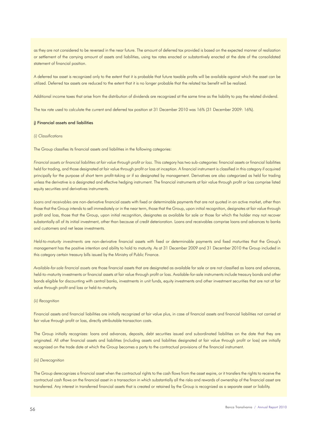as they are not considered to be reversed in the near future. The amount of deferred tax provided is based on the expected manner of realization or settlement of the carrying amount of assets and liabilities, using tax rates enacted or substantively enacted at the date of the consolidated statement of financial position.

A deferred tax asset is recognized only to the extent that it is probable that future taxable profits will be available against which the asset can be utilized. Deferred tax assets are reduced to the extent that it is no longer probable that the related tax benefit will be realized.

Additional income taxes that arise from the distribution of dividends are recognized at the same time as the liability to pay the related dividend.

The tax rate used to calculate the current and deferred tax position at 31 December 2010 was 16% (31 December 2009: 16%).

#### j) Financial assets and liabilities

#### *(i) Classifications*

The Group classifies its financial assets and liabilities in the following categories:

*Financial assets or financial liabilities at fair value through profit or loss*. This category has two sub-categories: financial assets or financial liabilities held for trading, and those designated at fair value through profit or loss at inception. A financial instrument is classified in this category if acquired principally for the purpose of short term profit-taking or if so designated by management. Derivatives are also categorized as held for trading unless the derivative is a designated and effective hedging instrument. The financial instruments at fair value through profit or loss comprise listed equity securities and derivatives instruments.

*Loans and receivables* are non-derivative financial assets with fixed or determinable payments that are not quoted in an active market, other than those that the Group intends to sell immediately or in the near term, those that the Group, upon initial recognition, designates at fair value through profit and loss, those that the Group, upon initial recognition, designates as available for sale or those for which the holder may not recover substantially all of its initial investment, other than because of credit deterioration. Loans and receivables comprise loans and advances to banks and customers and net lease investments.

*Held-to-maturity investments* are non-derivative financial assets with fixed or determinable payments and fixed maturities that the Group's management has the positive intention and ability to hold to maturity. As at 31 December 2009 and 31 December 2010 the Group included in this category certain treasury bills issued by the Ministry of Public Finance.

*Available-for-sale financial assets* are those financial assets that are designated as available for sale or are not classified as loans and advances, held-to-maturity investments or financial assets at fair value through profit or loss. Available-for-sale instruments include treasury bonds and other bonds eligible for discounting with central banks, investments in unit funds, equity investments and other investment securities that are not at fair value through profit and loss or held-to-maturity.

#### *(ii) Recognition*

Financial assets and financial liabilities are initially recognized at fair value plus, in case of financial assets and financial liabilities not carried at fair value through profit or loss, directly attributable transaction costs.

The Group initially recognizes: loans and advances, deposits, debt securities issued and subordinated liabilities on the date that they are originated. All other financial assets and liabilities (including assets and liabilities designated at fair value through profit or loss) are initially recognized on the trade date at which the Group becomes a party to the contractual provisions of the financial instrument.

#### *(iii) Derecognition*

The Group derecognizes a financial asset when the contractual rights to the cash flows from the asset expire, or it transfers the rights to receive the contractual cash flows on the financial asset in a transaction in which substantially all the risks and rewards of ownership of the financial asset are transferred. Any interest in transferred financial assets that is created or retained by the Group is recognized as a separate asset or liability.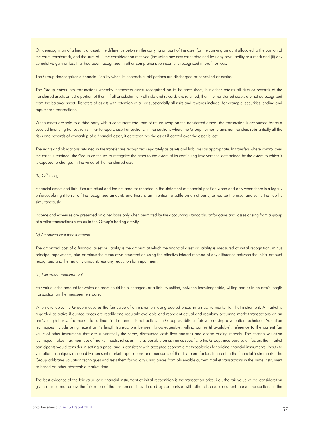On derecognition of a financial asset, the difference between the carrying amount of the asset (or the carrying amount allocated to the portion of the asset transferred), and the sum of (i) the consideration received (including any new asset obtained less any new liability assumed) and (ii) any cumulative gain or loss that had been recognized in other comprehensive income is recognized in profit or loss.

The Group derecognizes a financial liability when its contractual obligations are discharged or cancelled or expire.

The Group enters into transactions whereby it transfers assets recognized on its balance sheet, but either retains all risks or rewards of the transferred assets or just a portion of them. If all or substantially all risks and rewards are retained, then the transferred assets are not derecognized from the balance sheet. Transfers of assets with retention of all or substantially all risks and rewards include, for example, securities lending and repurchase transactions.

When assets are sold to a third party with a concurrent total rate of return swap on the transferred assets, the transaction is accounted for as a secured financing transaction similar to repurchase transactions. In transactions where the Group neither retains nor transfers substantially all the risks and rewards of ownership of a financial asset, it derecognizes the asset if control over the asset is lost.

The rights and obligations retained in the transfer are recognized separately as assets and liabilities as appropriate. In transfers where control over the asset is retained, the Group continues to recognize the asset to the extent of its continuing involvement, determined by the extent to which it is exposed to changes in the value of the transferred asset.

#### *(iv) Offsetting*

Financial assets and liabilities are offset and the net amount reported in the statement of financial position when and only when there is a legally enforceable right to set off the recognized amounts and there is an intention to settle on a net basis, or realize the asset and settle the liability simultaneously.

Income and expenses are presented on a net basis only when permitted by the accounting standards, or for gains and losses arising from a group of similar transactions such as in the Group's trading activity.

#### *(v) Amortized cost measurement*

The amortized cost of a financial asset or liability is the amount at which the financial asset or liability is measured at initial recognition, minus principal repayments, plus or minus the cumulative amortization using the effective interest method of any difference between the initial amount recognized and the maturity amount, less any reduction for impairment.

#### *(vi) Fair value measurement*

Fair value is the amount for which an asset could be exchanged, or a liability settled, between knowledgeable, willing parties in an arm's length transaction on the measurement date.

When available, the Group measures the fair value of an instrument using quoted prices in an active market for that instrument. A market is regarded as active if quoted prices are readily and regularly available and represent actual and regularly occurring market transactions on an arm's length basis. If a market for a financial instrument is not active, the Group establishes fair value using a valuation technique. Valuation techniques include using recent arm's length transactions between knowledgeable, willing parties (if available), reference to the current fair value of other instruments that are substantially the same, discounted cash flow analyses and option pricing models. The chosen valuation technique makes maximum use of market inputs, relies as little as possible on estimates specific to the Group, incorporates all factors that market participants would consider in setting a price, and is consistent with accepted economic methodologies for pricing financial instruments. Inputs to valuation techniques reasonably represent market expectations and measures of the risk-return factors inherent in the financial instruments. The Group calibrates valuation techniques and tests them for validity using prices from observable current market transactions in the same instrument or based on other observable market data.

The best evidence of the fair value of a financial instrument at initial recognition is the transaction price, i.e., the fair value of the consideration given or received, unless the fair value of that instrument is evidenced by comparison with other observable current market transactions in the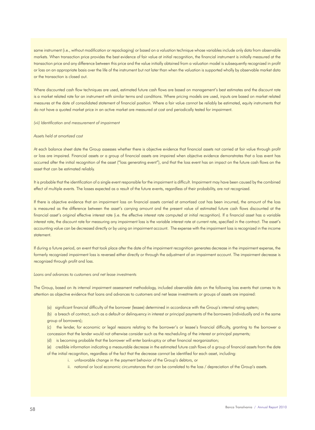same instrument (i.e., without modification or repackaging) or based on a valuation technique whose variables include only data from observable markets. When transaction price provides the best evidence of fair value at initial recognition, the financial instrument is initially measured at the transaction price and any difference between this price and the value initially obtained from a valuation model is subsequently recognized in profit or loss on an appropriate basis over the life of the instrument but not later than when the valuation is supported wholly by observable market data or the transaction is closed out.

Where discounted cash flow techniques are used, estimated future cash flows are based on management's best estimates and the discount rate is a market related rate for an instrument with similar terms and conditions. Where pricing models are used, inputs are based on market related measures at the date of consolidated statement of financial position. Where a fair value cannot be reliably be estimated, equity instruments that do not have a quoted market price in an active market are measured at cost and periodically tested for impairment.

*(vii) Identification and measurement of impairment* 

#### *Assets held at amortized cost*

At each balance sheet date the Group assesses whether there is objective evidence that financial assets not carried at fair value through profit or loss are impaired. Financial assets or a group of financial assets are impaired when objective evidence demonstrates that a loss event has occurred after the initial recognition of the asset ("loss generating event"), and that the loss event has an impact on the future cash flows on the asset that can be estimated reliably.

It is probable that the identification of a single event responsible for the impairment is difficult. Impairment may have been caused by the combined effect of multiple events. The losses expected as a result of the future events, regardless of their probability, are not recognized.

If there is objective evidence that an impairment loss on financial assets carried at amortized cost has been incurred, the amount of the loss is measured as the difference between the asset's carrying amount and the present value of estimated future cash flows discounted at the financial asset's original effective interest rate (i.e. the effective interest rate computed at initial recognition). If a financial asset has a variable interest rate, the discount rate for measuring any impairment loss is the variable interest rate at current rate, specified in the contract. The asset's accounting value can be decreased directly or by using an impairment account. The expense with the impairment loss is recognized in the income statement.

If during a future period, an event that took place after the date of the impairment recognition generates decrease in the impairment expense, the formerly recognized impairment loss is reversed either directly or through the adjustment of an impairment account. The impairment decrease is recognized through profit and loss.

#### *Loans and advances to customers and net lease investments*

The Group, based on its internal impairment assessment methodology, included observable data on the following loss events that comes to its attention as objective evidence that loans and advances to customers and net lease investments or groups of assets are impaired:

(a) significant financial difficulty of the borrower (lessee) determined in accordance with the Group's internal rating system;

(b) a breach of contract, such as a default or delinquency in interest or principal payments of the borrowers (individually and in the same group of borrowers);

(c) the lender, for economic or legal reasons relating to the borrower's or lessee's financial difficulty, granting to the borrower a concession that the lender would not otherwise consider such as the rescheduling of the interest or principal payments;

(d) is becoming probable that the borrower will enter bankruptcy or other financial reorganization;

(e) credible information indicating a measurable decrease in the estimated future cash flows of a group of financial assets from the date of the initial recognition, regardless of the fact that the decrease cannot be identified for each asset, including:

- i. unfavorable change in the payment behavior of the Group's debtors, or
- ii. national or local economic circumstances that can be correlated to the loss / depreciation of the Group's assets.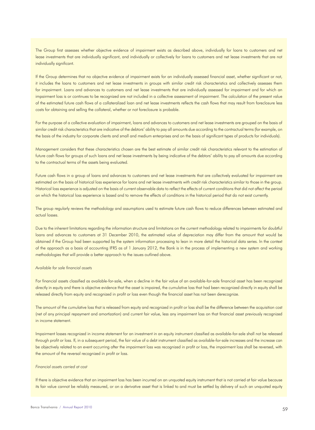The Group first assesses whether objective evidence of impairment exists as described above, individually for loans to customers and net lease investments that are individually significant, and individually or collectively for loans to customers and net lease investments that are not individually significant.

If the Group determines that no objective evidence of impairment exists for an individually assessed financial asset, whether significant or not, it includes the loans to customers and net lease investments in groups with similar credit risk characteristics and collectively assesses them for impairment. Loans and advances to customers and net lease investments that are individually assessed for impairment and for which an impairment loss is or continues to be recognized are not included in a collective assessment of impairment. The calculation of the present value of the estimated future cash flows of a collateralized loan and net lease investments reflects the cash flows that may result from foreclosure less costs for obtaining and selling the collateral, whether or not foreclosure is probable.

For the purpose of a collective evaluation of impairment, loans and advances to customers and net lease investments are grouped on the basis of similar credit risk characteristics that are indicative of the debtors' ability to pay all amounts due according to the contractual terms (for example, on the basis of the industry for corporate clients and small and medium enterprises and on the basis of significant types of products for individuals).

Management considers that these characteristics chosen are the best estimate of similar credit risk characteristics relevant to the estimation of future cash flows for groups of such loans and net lease investments by being indicative of the debtors' ability to pay all amounts due according to the contractual terms of the assets being evaluated.

Future cash flows in a group of loans and advances to customers and net lease investments that are collectively evaluated for impairment are estimated on the basis of historical loss experience for loans and net lease investments with credit risk characteristics similar to those in the group. Historical loss experience is adjusted on the basis of current observable data to reflect the effects of current conditions that did not affect the period on which the historical loss experience is based and to remove the effects of conditions in the historical period that do not exist currently.

The group regularly reviews the methodology and assumptions used to estimate future cash flows to reduce differences between estimated and actual losses.

Due to the inherent limitations regarding the information structure and limitations on the current methodology related to impairments for doubtful loans and advances to customers at 31 December 2010, the estimated value of depreciation may differ from the amount that would be obtained if the Group had been supported by the system information processing to lean in more detail the historical data series. In the context of the approach as a basis of accounting IFRS as of 1 January 2012, the Bank is in the process of implementing a new system and working methodologies that will provide a better approach to the issues outlined above.

#### *Available for sale financial assets*

For financial assets classified as available-for-sale, when a decline in the fair value of an available-for-sale financial asset has been recognized directly in equity and there is objective evidence that the asset is impaired, the cumulative loss that had been recognized directly in equity shall be released directly from equity and recognized in profit or loss even though the financial asset has not been derecognize.

The amount of the cumulative loss that is released from equity and recognized in profit or loss shall be the difference between the acquisition cost (net of any principal repayment and amortization) and current fair value, less any impairment loss on that financial asset previously recognized in income statement.

Impairment losses recognized in income statement for an investment in an equity instrument classified as available-for-sale shall not be released through profit or loss. If, in a subsequent period, the fair value of a debt instrument classified as available-for-sale increases and the increase can be objectively related to an event occurring after the impairment loss was recognized in profit or loss, the impairment loss shall be reversed, with the amount of the reversal recognized in profit or loss.

#### *Financial assets carried at cost*

If there is objective evidence that an impairment loss has been incurred on an unquoted equity instrument that is not carried at fair value because its fair value cannot be reliably measured, or on a derivative asset that is linked to and must be settled by delivery of such an unquoted equity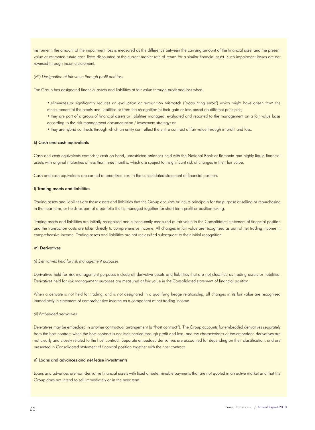instrument, the amount of the impairment loss is measured as the difference between the carrying amount of the financial asset and the present value of estimated future cash flows discounted at the current market rate of return for a similar financial asset. Such impairment losses are not reversed through income statement.

*(viii) Designation at fair value through profit and loss*

The Group has designated financial assets and liabilities at fair value through profit and loss when:

- eliminates or significantly reduces an evaluation or recognition mismatch ("accounting error") which might have arisen from the measurement of the assets and liabilities or from the recognition of their gain or loss based on different principles;
- they are part of a group of financial assets or liabilities managed, evaluated and reported to the management on a fair value basis according to the risk management documentation / investment strategy; or
- they are hybrid contracts through which an entity can reflect the entire contract at fair value through in profit and loss.

# k) Cash and cash equivalents

Cash and cash equivalents comprise: cash on hand, unrestricted balances held with the National Bank of Romania and highly liquid financial assets with original maturities of less than three months, which are subject to insignificant risk of changes in their fair value.

Cash and cash equivalents are carried at amortized cost in the consolidated statement of financial position.

#### l) Trading assets and liabilities

Trading assets and liabilities are those assets and liabilities that the Group acquires or incurs principally for the purpose of selling or repurchasing in the near term, or holds as part of a portfolio that is managed together for short-term profit or position taking.

Trading assets and liabilities are initially recognized and subsequently measured at fair value in the Consolidated statement of financial position and the transaction costs are taken directly to comprehensive income. All changes in fair value are recognized as part of net trading income in comprehensive income. Trading assets and liabilities are not reclassified subsequent to their initial recognition.

#### m) Derivatives

*(i) Derivatives held for risk management purposes* 

Derivatives held for risk management purposes include all derivative assets and liabilities that are not classified as trading assets or liabilities. Derivatives held for risk management purposes are measured at fair value in the Consolidated statement of financial position.

When a derivate is not held for trading, and is not designated in a qualifying hedge relationship, all changes in its fair value are recognized immediately in statement of comprehensive income as a component of net trading income.

#### *(ii) Embedded derivatives*

Derivatives may be embedded in another contractual arrangement (a "host contract"). The Group accounts for embedded derivatives separately from the host contract when the host contract is not itself carried through profit and loss, and the characteristics of the embedded derivatives are not clearly and closely related to the host contract. Separate embedded derivatives are accounted for depending on their classification, and are presented in Consolidated statement of financial position together with the host contract.

#### n) Loans and advances and net lease investments

Loans and advances are non-derivative financial assets with fixed or determinable payments that are not quoted in an active market and that the Group does not intend to sell immediately or in the near term.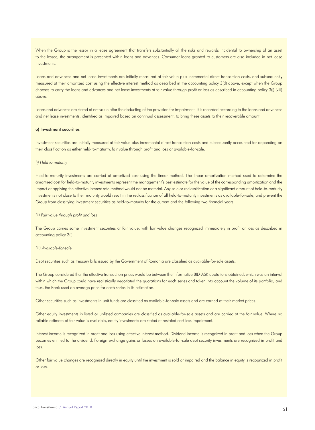When the Group is the lessor in a lease agreement that transfers substantially all the risks and rewards incidental to ownership of an asset to the lessee, the arrangement is presented within loans and advances. Consumer loans granted to customers are also included in net lease investments.

Loans and advances and net lease investments are initially measured at fair value plus incremental direct transaction costs, and subsequently measured at their amortized cost using the effective interest method as described in the accounting policy 3(d) above, except when the Group chooses to carry the loans and advances and net lease investments at fair value through profit or loss as described in accounting policy 3(j) (viii) above.

Loans and advances are stated at net value after the deducting of the provision for impairment. It is recorded according to the loans and advances and net lease investments, identified as impaired based on continual assessment, to bring these assets to their recoverable amount.

#### o) Investment securities

Investment securities are initially measured at fair value plus incremental direct transaction costs and subsequently accounted for depending on their classification as either held-to-maturity, fair value through profit and loss or available-for-sale.

#### *(i) Held to maturity*

Held-to-maturity investments are carried at amortized cost using the linear method. The linear amortization method used to determine the amortized cost for held-to-maturity investments represent the management's best estimate for the value of the corresponding amortization and the impact of applying the effective interest rate method would not be material. Any sale or reclassification of a significant amount of held-to-maturity investments not close to their maturity would result in the reclassification of all held-to-maturity investments as available-for-sale, and prevent the Group from classifying investment securities as held-to-maturity for the current and the following two financial years.

#### *(ii) Fair value through profit and loss*

The Group carries some investment securities at fair value, with fair value changes recognized immediately in profit or loss as described in accounting policy 3(l).

#### *(iii) Available-for-sale*

Debt securities such as treasury bills issued by the Government of Romania are classified as available-for-sale assets.

The Group considered that the effective transaction prices would be between the informative BID-ASK quotations obtained, which was an interval within which the Group could have realistically negotiated the quotations for each series and taken into account the volume of its portfolio, and thus, the Bank used an average price for each series in its estimation.

Other securities such as investments in unit funds are classified as available-for-sale assets and are carried at their market prices.

Other equity investments in listed or unlisted companies are classified as available-for-sale assets and are carried at the fair value. Where no reliable estimate of fair value is available, equity investments are stated at restated cost less impairment.

Interest income is recognized in profit and loss using effective interest method. Dividend income is recognized in profit and loss when the Group becomes entitled to the dividend. Foreign exchange gains or losses on available-for-sale debt security investments are recognized in profit and loss.

Other fair value changes are recognized directly in equity until the investment is sold or impaired and the balance in equity is recognized in profit or loss.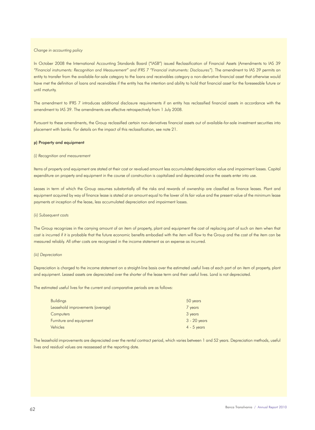#### *Change in accounting policy*

In October 2008 the International Accounting Standards Board ("IASB") issued Reclassification of Financial Assets (Amendments to IAS 39 *"Financial instruments: Recognition and Measurement" and IFRS 7 "Financial instruments: Disclosures"*). The amendment to IAS 39 permits an entity to transfer from the available-for-sale category to the loans and receivables category a non-derivative financial asset that otherwise would have met the definition of loans and receivables if the entity has the intention and ability to hold that financial asset for the foreseeable future or until maturity.

The amendment to IFRS 7 introduces additional disclosure requirements if an entity has reclassified financial assets in accordance with the amendment to IAS 39. The amendments are effective retrospectively from 1 July 2008.

Pursuant to these amendments, the Group reclassified certain non-derivatives financial assets out of available-for-sale investment securities into placement with banks. For details on the impact of this reclassification, see note 21.

#### p) Property and equipment

#### *(i) Recognition and measurement*

Items of property and equipment are stated at their cost or revalued amount less accumulated depreciation value and impairment losses. Capital expenditure on property and equipment in the course of construction is capitalized and depreciated once the assets enter into use.

Leases in term of which the Group assumes substantially all the risks and rewards of ownership are classified as finance leases. Plant and equipment acquired by way of finance lease is stated at an amount equal to the lower of its fair value and the present value of the minimum lease payments at inception of the lease, less accumulated depreciation and impairment losses.

#### *(ii) Subsequent costs*

The Group recognizes in the carrying amount of an item of property, plant and equipment the cost of replacing part of such an item when that cost is incurred if it is probable that the future economic benefits embodied with the item will flow to the Group and the cost of the item can be measured reliably. All other costs are recognized in the income statement as an expense as incurred.

#### *(iii) Depreciation*

Depreciation is charged to the income statement on a straight-line basis over the estimated useful lives of each part of an item of property, plant and equipment. Leased assets are depreciated over the shorter of the lease term and their useful lives. Land is not depreciated.

The estimated useful lives for the current and comparative periods are as follows:

| <b>Buildings</b>                 | 50 years       |
|----------------------------------|----------------|
| Leasehold improvements (average) | 7 years        |
| Computers                        | 3 years        |
| Furniture and equipment          | $3 - 20$ years |
| Vehicles                         | $4 - 5$ years  |

The leasehold improvements are depreciated over the rental contract period, which varies between 1 and 52 years. Depreciation methods, useful lives and residual values are reassessed at the reporting date.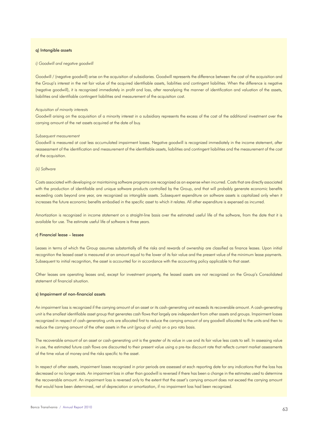#### q) Intangible assets

#### *i) Goodwill and negative goodwill*

Goodwill / (negative goodwill) arise on the acquisition of subsidiaries. Goodwill represents the difference between the cost of the acquisition and the Group's interest in the net fair value of the acquired identifiable assets, liabilities and contingent liabilities. When the difference is negative (negative goodwill), it is recognized immediately in profit and loss, after reanalyzing the manner of identification and valuation of the assets, liabilities and identifiable contingent liabilities and measurement of the acquisition cost.

#### *Acquisition of minority interests*

Goodwill arising on the acquisition of a minority interest in a subsidiary represents the excess of the cost of the additional investment over the carrying amount of the net assets acquired at the date of buy.

#### *Subsequent measurement*

Goodwill is measured at cost less accumulated impairment losses. Negative goodwill is recognized immediately in the income statement, after reassessment of the identification and measurement of the identifiable assets, liabilities and contingent liabilities and the measurement of the cost of the acquisition.

### *(ii) Software*

Costs associated with developing or maintaining software programs are recognized as an expense when incurred. Costs that are directly associated with the production of identifiable and unique software products controlled by the Group, and that will probably generate economic benefits exceeding costs beyond one year, are recognized as intangible assets. Subsequent expenditure on software assets is capitalized only when it increases the future economic benefits embodied in the specific asset to which it relates. All other expenditure is expensed as incurred.

Amortization is recognized in income statement on a straight-line basis over the estimated useful life of the software, from the date that it is available for use. The estimate useful life of software is three years.

#### r) Financial lease – lessee

Leases in terms of which the Group assumes substantially all the risks and rewards of ownership are classified as finance leases. Upon initial recognition the leased asset is measured at an amount equal to the lower of its fair value and the present value of the minimum lease payments. Subsequent to initial recognition, the asset is accounted for in accordance with the accounting policy applicable to that asset.

Other leases are operating leases and, except for investment property, the leased assets are not recognized on the Group's Consolidated statement of financial situation.

#### s) Impairment of non-financial assets

An impairment loss is recognized if the carrying amount of an asset or its cash-generating unit exceeds its recoverable amount. A cash-generating unit is the smallest identifiable asset group that generates cash flows that largely are independent from other assets and groups. Impairment losses recognized in respect of cash-generating units are allocated first to reduce the carrying amount of any goodwill allocated to the units and then to reduce the carrying amount of the other assets in the unit (group of units) on a pro rata basis.

The recoverable amount of an asset or cash-generating unit is the greater of its value in use and its fair value less costs to sell. In assessing value in use, the estimated future cash flows are discounted to their present value using a pre-tax discount rate that reflects current market assessments of the time value of money and the risks specific to the asset.

In respect of other assets, impairment losses recognized in prior periods are assessed at each reporting date for any indications that the loss has decreased or no longer exists. An impairment loss in other than goodwill is reversed if there has been a change in the estimates used to determine the recoverable amount. An impairment loss is reversed only to the extent that the asset's carrying amount does not exceed the carrying amount that would have been determined, net of depreciation or amortization, if no impairment loss had been recognized.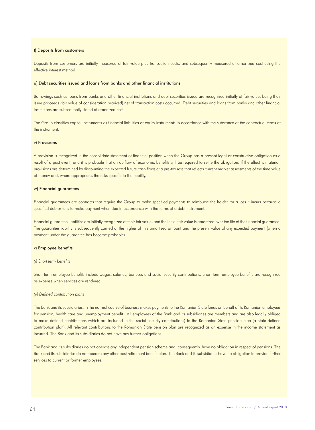#### t) Deposits from customers

Deposits from customers are initially measured at fair value plus transaction costs, and subsequently measured at amortized cost using the effective interest method.

#### u) Debt securities issued and loans from banks and other financial institutions

Borrowings such as loans from banks and other financial institutions and debt securities issued are recognized initially at fair value, being their issue proceeds (fair value of consideration received) net of transaction costs occurred. Debt securities and loans from banks and other financial institutions are subsequently stated at amortized cost.

The Group classifies capital instruments as financial liabilities or equity instruments in accordance with the substance of the contractual terms of the instrument.

#### v) Provisions

A provision is recognized in the consolidate statement of financial position when the Group has a present legal or constructive obligation as a result of a past event, and it is probable that an outflow of economic benefits will be required to settle the obligation. If the effect is material, provisions are determined by discounting the expected future cash flows at a pre-tax rate that reflects current market assessments of the time value of money and, where appropriate, the risks specific to the liability.

#### w) Financial guarantees

Financial guarantees are contracts that require the Group to make specified payments to reimburse the holder for a loss it incurs because a specified debtor fails to make payment when due in accordance with the terms of a debt instrument.

Financial guarantee liabilities are initially recognized at their fair value, and the initial fair value is amortized over the life of the financial guarantee. The guarantee liability is subsequently carried at the higher of this amortized amount and the present value of any expected payment (when a payment under the guarantee has become probable).

#### x) Employee benefits

#### *(i) Short term benefits*

Short-term employee benefits include wages, salaries, bonuses and social security contributions. Short-term employee benefits are recognized as expense when services are rendered.

#### *(ii) Defined contribution plans*

The Bank and its subsidiaries, in the normal course of business makes payments to the Romanian State funds on behalf of its Romanian employees for pension, health care and unemployment benefit. All employees of the Bank and its subsidiaries are members and are also legally obliged to make defined contributions (which are included in the social security contributions) to the Romanian State pension plan (a State defined contribution plan). All relevant contributions to the Romanian State pension plan are recognized as an expense in the income statement as incurred. The Bank and its subsidiaries do not have any further obligations.

The Bank and its subsidiaries do not operate any independent pension scheme and, consequently, have no obligation in respect of pensions. The Bank and its subsidiaries do not operate any other post retirement benefit plan. The Bank and its subsidiaries have no obligation to provide further services to current or former employees.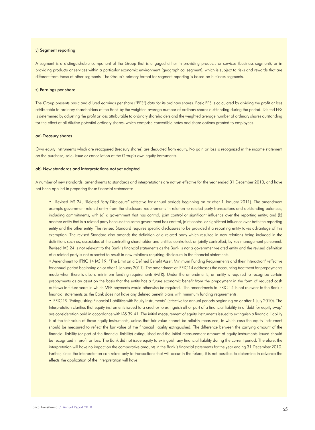#### y) Segment reporting

A segment is a distinguishable component of the Group that is engaged either in providing products or services (business segment), or in providing products or services within a particular economic environment (geographical segment), which is subject to risks and rewards that are different from those of other segments. The Group's primary format for segment reporting is based on business segments.

#### z) Earnings per share

The Group presents basic and diluted earnings per share ("EPS") data for its ordinary shares. Basic EPS is calculated by dividing the profit or loss attributable to ordinary shareholders of the Bank by the weighted average number of ordinary shares outstanding during the period. Diluted EPS is determined by adjusting the profit or loss attributable to ordinary shareholders and the weighted average number of ordinary shares outstanding for the effect of all dilutive potential ordinary shares, which comprise convertible notes and share options granted to employees.

#### aa) Treasury shares

Own equity instruments which are reacquired (treasury shares) are deducted from equity. No gain or loss is recognized in the income statement on the purchase, sale, issue or cancellation of the Group's own equity instruments.

### ab) New standards and interpretations not yet adopted

A number of new standards, amendments to standards and interpretations are not yet effective for the year ended 31 December 2010, and have not been applied in preparing these financial statements:

• Revised IAS 24, "Related Party Disclosure" (effective for annual periods beginning on or after 1 January 2011). The amendment exempts government-related entity from the disclosure requirements in relation to related party transactions and outstanding balances, including commitments, with (a) a government that has control, joint control or significant influence over the reporting entity; and (b) another entity that is a related party because the same government has control, joint control or significant influence over both the reporting entity and the other entity. The revised Standard requires specific disclosures to be provided if a reporting entity takes advantage of this exemption. The revised Standard also amends the definition of a related party which resulted in new relations being included in the definition, such as, associates of the controlling shareholder and entities controlled, or jointly controlled, by key management personnel. Revised IAS 24 is not relevant to the Bank's financial statements as the Bank is not a government-related entity and the revised definition of a related party is not expected to result in new relations requiring disclosure in the financial statements.

• Amendment to IFRIC 14 IAS 19, "The Limit on a Defined Benefit Asset, Minimum Funding Requirements and their Interaction" (effective for annual period beginning on or after 1 January 2011). The amendment of IFRIC 14 addresses the accounting treatment for prepayments made when there is also a minimum funding requirements (MFR). Under the amendments, an entity is required to recognize certain prepayments as an asset on the basis that the entity has a future economic benefit from the prepayment in the form of reduced cash outflows in future years in which MFR payments would otherwise be required. The amendments to IFRIC 14 is not relevant to the Bank's financial statements as the Bank does not have any defined benefit plans with minimum funding requirements.

• IFRIC 19 "Extinguishing Financial Liabilities with Equity Instruments" (effective for annual periods beginning on or after 1 July 2010). The Interpretation clarifies that equity instruments issued to a creditor to extinguish all or part of a financial liability in a 'debt for equity swap' are consideration paid in accordance with IAS 39.41. The initial measurement of equity instruments issued to extinguish a financial liability is at the fair value of those equity instruments, unless that fair value cannot be reliably measured, in which case the equity instrument should be measured to reflect the fair value of the financial liability extinguished. The difference between the carrying amount of the financial liability (or part of the financial liability) extinguished and the initial measurement amount of equity instruments issued should be recognized in profit or loss. The Bank did not issue equity to extinguish any financial liability during the current period. Therefore, the interpretation will have no impact on the comparative amounts in the Bank's financial statements for the year ending 31 December 2010. Further, since the interpretation can relate only to transactions that will occur in the future, it is not possible to determine in advance the effects the application of the interpretation will have.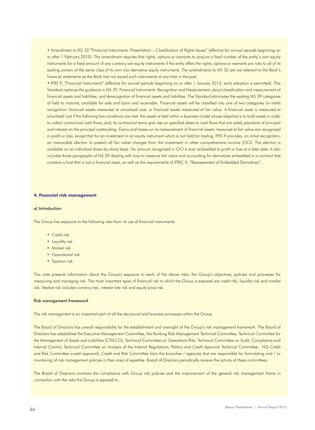• Amendment to IAS 32 "Financial Instruments: Presentation – Classification of Rights Issues" (effective for annual periods beginning on or after 1 February 2010). The amendment requires that rights, options or warrants to acquire a fixed number of the entity's own equity instruments for a fixed amount of any currency are equity instruments if the entity offers the rights, options or warrants pro rata to all of its existing owners of the same class of its own non-derivative equity instruments. The amendments to IAS 32 are not relevant to the Bank's financial statements as the Bank has not issued such instruments at any time in the past.

• IFRS 9, "Financial Instruments" (effective for annual periods beginning on or after 1 January 2013, early adoption is permitted). This Standard replaces the guidance in IAS 39, Financial Instruments: Recognition and Measurement, about classification and measurement of financial assets and liabilities, and derecognition of financial assets and liabilities. The Standard eliminates the existing IAS 39 categories of held to maturity, available for sale and loans and receivable. Financial assets will be classified into one of two categories on initial recognition: financial assets measured at amortized cost; or financial assets measured at fair value. A financial asset is measured at amortized cost if the following two conditions are met: the assets is held within a business model whose objective is to hold assets in order to collect contractual cash flows; and, its contractual terms give rise on specified dates to cash flows that are solely payments of principal and interest on the principal outstanding. Gains and losses on re-measurement of financial assets measured at fair value are recognized in profit or loss, except that for an investment in an equity instrument which is not held for trading, IFRS 9 provides, on initial recognition, an irrevocable election to present all fair value changes from the investment in other comprehensive income (OCI). The election is available on an individual share-by-share basis. No amount recognized in OCI is ever reclassified to profit or loss at a later date. It also includes those paragraphs of IAS 39 dealing with how to measure fair value and accounting for derivatives embedded in a contract that contains a host that is not a financial asset, as well as the requirements of IFRIC 9, "Reassessment of Embedded Derivatives".

#### **4. Financial risk management**

#### a) Introduction

The Group has exposure to the following risks from its use of financial instruments:

- Credit risk
- Liquidity risk
- Market risk
- Operational risk
- Taxation risk

This note presents information about the Group's exposure to each of the above risks, the Group's objectives, policies and processes for measuring and managing risk. The most important types of financial risk to which the Group is exposed are credit risk, liquidity risk and market risk. Market risk includes currency risk, interest rate risk and equity price risk.

#### *Risk management framework*

The risk management is an important part of all the decisional and business processes within the Group.

The Board of Directors has overall responsibility for the establishment and oversight of the Group's risk management framework. The Board of Directors has established the Executive Management Committee, the Banking Risk Management Technical Committee, Technical Committee for the Management of Assets and Liabilities (CTALCO), Technical Committee on Operations Risk, Technical Committee on Audit, Compliance and Internal Control, Technical Committee on Analysis of the Internal Regulations, Politics and Credit Approval Technical Committee, HQ Credit and Risk Committee (credit approval), Credit and Risk Committee from the branches / agencies that are responsible for formulating and / or monitoring of risk management policies in their area of expertise. Board of Directors periodically reviews the activity of these committees.

The Board of Directors monitors the compliance with Group risk policies and the improvement of the general risk management frame in connection with the risks the Group is exposed to.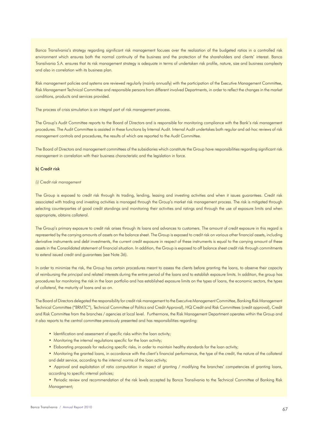Banca Transilvania's strategy regarding significant risk management focuses over the realization of the budgeted ratios in a controlled risk environment which ensures both the normal continuity of the business and the protection of the shareholders and clients' interest. Banca Transilvania S.A. ensures that its risk management strategy is adequate in terms of undertaken risk profile, nature, size and business complexity and also in correlation with its business plan.

Risk management policies and systems are reviewed regularly (mainly annually) with the participation of the Executive Management Committee, Risk Management Technical Committee and responsible persons from different involved Departments, in order to reflect the changes in the market conditions, products and services provided.

The process of crisis simulation is an integral part of risk management process.

The Group's Audit Committee reports to the Board of Directors and is responsible for monitoring compliance with the Bank's risk management procedures. The Audit Committee is assisted in these functions by Internal Audit. Internal Audit undertakes both regular and ad-hoc reviews of risk management controls and procedures, the results of which are reported to the Audit Committee.

The Board of Directors and management committees of the subsidiaries which constitute the Group have responsibilities regarding significant risk management in correlation with their business characteristic and the legislation in force.

# b) Credit risk

*(i) Credit risk management*

The Group is exposed to credit risk through its trading, lending, leasing and investing activities and when it issues guarantees. Credit risk associated with trading and investing activities is managed through the Group's market risk management process. The risk is mitigated through selecting counterparties of good credit standings and monitoring their activities and ratings and through the use of exposure limits and when appropriate, obtains collateral.

The Group's primary exposure to credit risk arises through its loans and advances to customers. The amount of credit exposure in this regard is represented by the carrying amounts of assets on the balance sheet. The Group is exposed to credit risk on various other financial assets, including derivative instruments and debt investments, the current credit exposure in respect of these instruments is equal to the carrying amount of these assets in the Consolidated statement of financial situation. In addition, the Group is exposed to off balance sheet credit risk through commitments to extend issued credit and guarantees (see Note 36).

In order to minimize the risk, the Group has certain procedures meant to assess the clients before granting the loans, to observe their capacity of reimbursing the principal and related interests during the entire period of the loans and to establish exposure limits. In addition, the group has procedures for monitoring the risk in the loan portfolio and has established exposure limits on the types of loans, the economic sectors, the types of collateral, the maturity of loans and so on.

The Board of Directors delegated the responsibility for credit risk management to the Executive Management Committee, Banking Risk Management Technical Committee ("BRMTC"), Technical Committee of Politics and Credit Approval), HQ Credit and Risk Committees (credit approval), Credit and Risk Committee from the branches / agencies at local level. Furthermore, the Risk Management Department operates within the Group and it also reports to the central committee previously presented and has responsibilities regarding:

- Identification and assessment of specific risks within the loan activity;
- Monitoring the internal regulations specific for the loan activity;
- Elaborating proposals for reducing specific risks, in order to maintain healthy standards for the loan activity;
- Monitoring the granted loans, in accordance with the client's financial performance, the type of the credit, the nature of the collateral and debt service, according to the internal norms of the loan activity;
- Approval and exploitation of ratio computation in respect of granting / modifying the branches' competencies of granting loans, according to specific internal policies;
- Periodic review and recommendation of the risk levels accepted by Banca Transilvania to the Technical Committee of Banking Risk Management;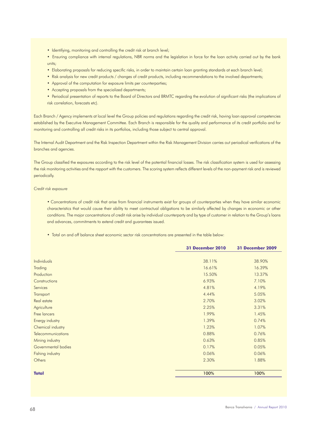- Identifying, monitoring and controlling the credit risk at branch level;
- Ensuring compliance with internal regulations, NBR norms and the legislation in force for the loan activity carried out by the bank units;
- Elaborating proposals for reducing specific risks, in order to maintain certain loan granting standards at each branch level;
- Risk analysis for new credit products / changes of credit products, including recommendations to the involved departments;
- Approval of the computation for exposure limits per counterparties;
- Accepting proposals from the specialized departments;
- Periodical presentation of reports to the Board of Directors and BRMTC regarding the evolution of significant risks (the implications of risk correlation, forecasts etc).

Each Branch / Agency implements at local level the Group policies and regulations regarding the credit risk, having loan approval competencies established by the Executive Management Committee. Each Branch is responsible for the quality and performance of its credit portfolio and for monitoring and controlling all credit risks in its portfolios, including those subject to central approval.

The Internal Audit Department and the Risk Inspection Department within the Risk Management Division carries out periodical verifications of the branches and agencies.

The Group classified the exposures according to the risk level of the potential financial losses. The risk classification system is used for assessing the risk monitoring activities and the rapport with the customers. The scoring system reflects different levels of the non-payment risk and is reviewed periodically.

#### *Credit risk exposure*

• Concentrations of credit risk that arise from financial instruments exist for groups of counterparties when they have similar economic characteristics that would cause their ability to meet contractual obligations to be similarly affected by changes in economic or other conditions. The major concentrations of credit risk arise by individual counterparty and by type of customer in relation to the Group's loans and advances, commitments to extend credit and guarantees issued.

• Total on and off balance sheet economic sector risk concentrations are presented in the table below:

|                     | <b>31 December 2010</b> | <b>31 December 2009</b> |
|---------------------|-------------------------|-------------------------|
|                     |                         |                         |
| <b>Individuals</b>  | 38.11%                  | 38.90%                  |
| Trading             | 16.61%                  | 16.39%                  |
| Production          | 15.50%                  | 13.37%                  |
| Constructions       | 6.93%                   | 7.10%                   |
| Services            | 4.81%                   | 4.19%                   |
| Transport           | 4.44%                   | 5.05%                   |
| Real estate         | 2.70%                   | 3.02%                   |
| Agriculture         | 2.25%                   | 3.31%                   |
| Free lancers        | 1.99%                   | 1.45%                   |
| Energy industry     | 1.39%                   | 0.74%                   |
| Chemical industry   | 1.23%                   | 1.07%                   |
| Telecommunications  | 0.88%                   | 0.76%                   |
| Mining industry     | 0.63%                   | 0.85%                   |
| Governmental bodies | 0.17%                   | 0.05%                   |
| Fishing industry    | 0.06%                   | 0.06%                   |
| Others              | 2.30%                   | 1.88%                   |
| <b>Total</b>        | 100%                    | 100%                    |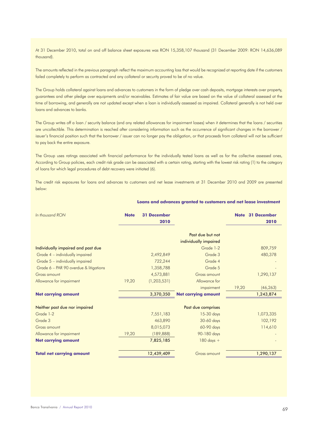At 31 December 2010, total on and off balance sheet exposures was RON 15,358,107 thousand (31 December 2009: RON 14,636,089 thousand).

The amounts reflected in the previous paragraph reflect the maximum accounting loss that would be recognized at reporting date if the customers failed completely to perform as contracted and any collateral or security proved to be of no value.

The Group holds collateral against loans and advances to customers in the form of pledge over cash deposits, mortgage interests over property, guarantees and other pledge over equipments and/or receivables. Estimates of fair value are based on the value of collateral assessed at the time of borrowing, and generally are not updated except when a loan is individually assessed as impaired. Collateral generally is not held over loans and advances to banks.

The Group writes off a loan / security balance (and any related allowances for impairment losses) when it determines that the loans / securities are uncollectible. This determination is reached after considering information such as the occurrence of significant changes in the borrower / issuer's financial position such that the borrower / issuer can no longer pay the obligation, or that proceeds from collateral will not be sufficient to pay back the entire exposure.

The Group uses ratings associated with financial performance for the individually tested loans as well as for the collective assessed ones, According to Group policies, each credit risk grade can be associated with a certain rating, starting with the lowest risk rating (1) to the category of loans for which legal procedures of debt recovery were initiated (6).

The credit risk exposures for loans and advances to customers and net lease investments at 31 December 2010 and 2009 are presented below:

| <b>Note</b> | <b>31 December</b><br>2010 |                            |                                                                                | Note 31 December<br>2010 |
|-------------|----------------------------|----------------------------|--------------------------------------------------------------------------------|--------------------------|
|             |                            | Past due but not           |                                                                                |                          |
|             |                            |                            |                                                                                | 809,759                  |
|             |                            |                            |                                                                                |                          |
|             |                            |                            |                                                                                | 480,378                  |
|             |                            |                            |                                                                                |                          |
|             | 1,358,788                  | Grade 5                    |                                                                                |                          |
|             | 4,573,881                  | Gross amount               |                                                                                | 1,290,137                |
| 19,20       | (1, 203, 531)              | Allowance for              |                                                                                |                          |
|             |                            | impairment                 | 19,20                                                                          | (46, 263)                |
|             | 3,370,350                  | <b>Net carrying amount</b> |                                                                                | 1,243,874                |
|             |                            |                            |                                                                                |                          |
|             | 7,551,183                  | 15-30 days                 |                                                                                | 1,073,335                |
|             | 463,890                    | 30-60 days                 |                                                                                | 102,192                  |
|             | 8,015,073                  | 60-90 days                 |                                                                                | 114,610                  |
| 19,20       | (189, 888)                 | 90-180 days                |                                                                                |                          |
|             | 7,825,185                  | $180$ days $+$             |                                                                                |                          |
|             | 12,439,409                 | <b>Gross amount</b>        |                                                                                | 1,290,137                |
|             |                            | 2,492,849<br>722,244       | individually impaired<br>Grade 1-2<br>Grade 3<br>Grade 4<br>Past due comprises |                          |

#### **Loans and advances granted to customers and net lease investment**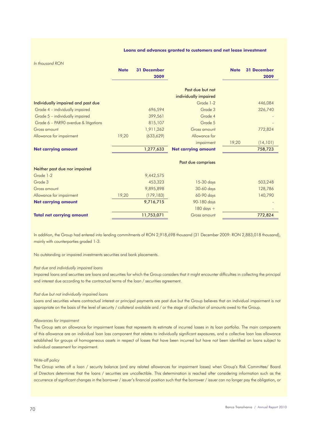#### **Loans and advances granted to customers and net lease investment**

*In thousand RON*

|                                       | <b>Note</b> | <b>31 December</b><br>2009 |                            | <b>Note</b> | <b>31 December</b><br>2009 |
|---------------------------------------|-------------|----------------------------|----------------------------|-------------|----------------------------|
|                                       |             |                            | Past due but not           |             |                            |
|                                       |             |                            | individually impaired      |             |                            |
| Individually impaired and past due    |             |                            | Grade 1-2                  |             | 446,084                    |
| Grade 4 - individually impaired       |             | 696,594                    | Grade 3                    |             | 326,740                    |
| Grade 5 - individually impaired       |             | 399,561                    | Grade 4                    |             |                            |
| Grade 6 - PAR90 overdue & litigations |             | 815,107                    | Grade 5                    |             |                            |
| Gross amount                          |             | 1,911,262                  | Gross amount               |             | 772,824                    |
| Allowance for impairment              | 19,20       | (633, 629)                 | Allowance for              |             |                            |
|                                       |             |                            | impairment                 | 19,20       | (14, 101)                  |
| <b>Net carrying amount</b>            |             | 1,277,633                  | <b>Net carrying amount</b> |             | 758,723                    |
|                                       |             |                            | Past due comprises         |             |                            |
| Neither past due nor impaired         |             |                            |                            |             |                            |
| Grade 1-2                             |             | 9,442,575                  |                            |             |                            |
| Grade 3                               |             | 453,323                    | 15-30 days                 |             | 503,248                    |
| <b>Gross amount</b>                   |             | 9,895,898                  | 30-60 days                 |             | 128,786                    |
| Allowance for impairment              | 19,20       | (179, 183)                 | 60-90 days                 |             | 140,790                    |
| <b>Net carrying amount</b>            |             | 9,716,715                  | 90-180 days                |             |                            |
|                                       |             |                            | $180$ days $+$             |             |                            |
| <b>Total net carrying amount</b>      |             | 11,753,071                 | <b>Gross amount</b>        |             | 772,824                    |

In addition, the Group had entered into lending commitments of RON 2,918,698 thousand (31 December 2009: RON 2,883,018 thousand), mainly with counterparties graded 1-3.

No outstanding or impaired investments securities and bank placements.

#### *Past due and individually impaired loans*

Impaired loans and securities are loans and securities for which the Group considers that it might encounter difficulties in collecting the principal and interest due according to the contractual terms of the loan / securities agreement.

#### *Past due but not individually impaired loans*

Loans and securities where contractual interest or principal payments are past due but the Group believes that an individual impairment is not appropriate on the basis of the level of security / collateral available and / or the stage of collection of amounts owed to the Group.

#### *Allowances for impairment*

The Group sets an allowance for impairment losses that represents its estimate of incurred losses in its loan portfolio. The main components of this allowance are an individual loan loss component that relates to individually significant exposures, and a collective loan loss allowance established for groups of homogeneous assets in respect of losses that have been incurred but have not been identified on loans subject to individual assessment for impairment.

# *Write-off policy*

The Group writes off a loan / security balance (and any related allowances for impairment losses) when Group's Risk Committee/ Board of Directors determines that the loans / securities are uncollectible. This determination is reached after considering information such as the occurrence of significant changes in the borrower / issuer's financial position such that the borrower / issuer can no longer pay the obligation, or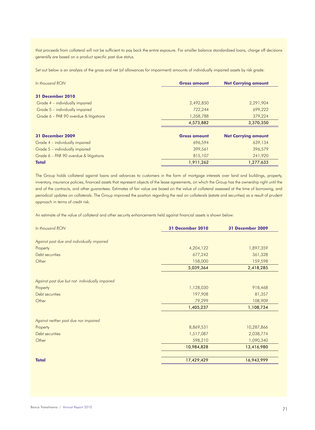that proceeds from collateral will not be sufficient to pay back the entire exposure. For smaller balance standardized loans, charge off decisions generally are based on a product specific past due status.

Set out below is an analysis of the gross and net (of allowances for impairment) amounts of individually impaired assets by risk grade:

| In thousand RON                        | <b>Gross amount</b> | <b>Net Carrying amount</b> |
|----------------------------------------|---------------------|----------------------------|
| <b>31 December 2010</b>                |                     |                            |
| Grade 4 – individually impaired        | 2,492,850           | 2,291,904                  |
| Grade 5 - individually impaired        | 722,244             | 699,222                    |
| Grade 6 – PAR 90 overdue & litigations | 1,358,788           | 379,224                    |
|                                        | 4,573,882           | 3,370,350                  |
| 31 December 2009                       | <b>Gross amount</b> | <b>Net Carrying amount</b> |
| Grade 4 – individually impaired        | 696,594             | 639,134                    |
| Grade 5 - individually impaired        | 399,561             | 396,579                    |
| Grade 6 - PAR 90 overdue & litigations | 815,107             | 241,920                    |
| <b>Total</b>                           | 1,911,262           | 1,277,633                  |

The Group holds collateral against loans and advances to customers in the form of mortgage interests over land and buildings, property, inventory, insurance policies, financed assets that represent objects of the lease agreements, on which the Group has the ownership right until the end of the contracts, and other guarantees. Estimates of fair value are based on the value of collateral assessed at the time of borrowing, and periodical updates on collaterals. The Group improved the position regarding the real on collaterals (estate and securities) as a result of prudent approach in terms of credit risk.

An estimate of the value of collateral and other security enhancements held against financial assets is shown below:

| In thousand RON                                | <b>31 December 2010</b> | 31 December 2009 |
|------------------------------------------------|-------------------------|------------------|
| Against past due and individually impaired     |                         |                  |
| Property                                       | 4,204,122               | 1,897,359        |
| Debt securities                                | 677,242                 | 361,328          |
| Other                                          | 158,000                 | 159,598          |
|                                                | 5,039,364               | 2,418,285        |
| Against past due but not individually impaired |                         |                  |
| Property                                       | 1,128,030               | 918,468          |
| Debt securities                                | 197,908                 | 81,357           |
| Other                                          | 79,299                  | 108,909          |
|                                                | 1,405,237               | 1,108,734        |
| Against neither past due nor impaired          |                         |                  |
| Property                                       | 8,869,531               | 10,287,866       |
| Debt securities                                | 1,517,087               | 2,038,774        |
| Other                                          | 598,210                 | 1,090,340        |
|                                                | 10,984,828              | 13,416,980       |
| <b>Total</b>                                   | 17,429,429              | 16,943,999       |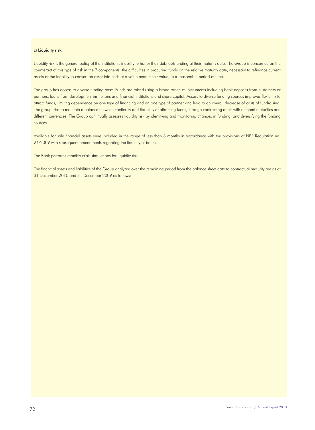# c) Liquidity risk

Liquidity risk is the general policy of the institution's inability to honor their debt outstanding at their maturity date. The Group is concerned on the counteract of this type of risk in the 2 components: the difficulties in procuring funds on the relative maturity date, necessary to refinance current assets or the inability to convert an asset into cash at a value near its fair value, in a reasonable period of time.

The group has access to diverse funding base. Funds are raised using a broad range of instruments including bank deposits from customers or partners, loans from development institutions and financial institutions and share capital. Access to diverse funding sources improves flexibility to attract funds, limiting dependence on one type of financing and on one type of partner and lead to an overall decrease of costs of fundraising. The group tries to maintain a balance between continuity and flexibility of attracting funds, through contracting debts with different maturities and different currencies. The Group continually assesses liquidity risk by identifying and monitoring changes in funding, and diversifying the funding sources.

Available for sale financial assets were included in the range of less than 3 months in accordance with the provisions of NBR Regulation no. 24/2009 with subsequent amendments regarding the liquidity of banks.

The Bank performs monthly crisis simulations for liquidity risk.

The financial assets and liabilities of the Group analyzed over the remaining period from the balance sheet date to contractual maturity are as at 31 December 2010 and 31 December 2009 as follows: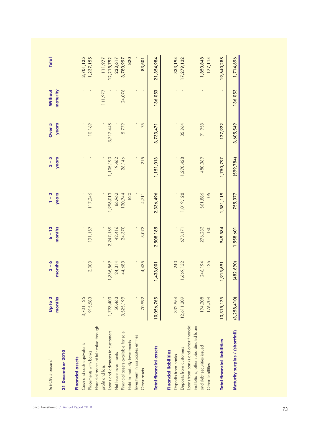| <b>Total</b>               |                  |                         | 3,701,125                 | 1,237,155             |                                        | 111,977         | 12,215,792                      | 223,617               | 3,780,997                           | 820                          |                                   | 83,501       | 21,354,984                    |                              | 333, 194            | 17,279,132              |                                      |                                        | 1,850,848                  | 177, 114          | 19,640,288                         | 1,714,696                      |  |
|----------------------------|------------------|-------------------------|---------------------------|-----------------------|----------------------------------------|-----------------|---------------------------------|-----------------------|-------------------------------------|------------------------------|-----------------------------------|--------------|-------------------------------|------------------------------|---------------------|-------------------------|--------------------------------------|----------------------------------------|----------------------------|-------------------|------------------------------------|--------------------------------|--|
| <b>Without</b><br>maturity |                  |                         | $\mathbf{I}$              | $\blacksquare$        |                                        | 11,977          |                                 |                       | 24,076                              |                              |                                   | $\mathbf{I}$ | 136,053                       |                              |                     | $\blacksquare$          |                                      |                                        | $\Gamma$                   | $\mathbf{I}$      | $\blacksquare$                     | 136,053                        |  |
| years<br>Over 5            |                  |                         |                           | 10,169                |                                        |                 | 3,717,448                       |                       | 5,779                               |                              |                                   | 75           | 3,733,471                     |                              |                     | 35,964                  |                                      |                                        | 91,958                     |                   | 127,922                            | 3,605,549                      |  |
| years<br>$3 - 5$           |                  |                         |                           |                       |                                        |                 | 1,105,190                       | 19,462                | 26,146                              |                              |                                   | 215          | 1,151,013                     |                              |                     | 1,270,428               |                                      |                                        | 480,369                    |                   | 1,750,797                          | (599, 784)                     |  |
| $1 - 3$<br><b>years</b>    |                  |                         |                           | 117,246               |                                        |                 | 1,996,013                       | 86,962                | 130,744                             | 820                          |                                   | 4,711        | 2,336,496                     |                              |                     | 1,019,128               |                                      |                                        | 561,886                    | 105               | 1,581,119                          | 755,377                        |  |
| $6 - 12$<br>months         |                  |                         |                           | 191,157               |                                        |                 | 2,247,169                       | 42,416                | 24,370                              |                              |                                   | 3,073        | 2,508,185                     |                              |                     | 673,171                 |                                      |                                        | 276,233                    | 180               | 949,584                            | 1,558,601                      |  |
| $3 - 6$<br>months          |                  |                         |                           | 3,000                 |                                        |                 | 1,356,569                       | 24,314                | 44,683                              |                              |                                   | 4,435        | 1,433,001                     |                              | 240                 | 1,669,132               |                                      |                                        | 246, 194                   | 125               | 1,915,691                          | (482, 690)                     |  |
| months<br>Up to 3          |                  |                         | 3,701,125                 | 915,583               |                                        |                 | 1,793,403                       | 50,463                | 3,525,199                           |                              |                                   | 70,992       | 10,056,765                    |                              | 332,954             | 12,611,309              |                                      |                                        | 194,208                    | 176,704           | 13,315,175                         | (3,258,410)                    |  |
| In RON thousand            | 31 December 2010 | <b>Financial assets</b> | Cash and cash equivalents | Placements with banks | Financial assets at fair value through | profit and loss | Loans and advances to customers | Net lease investments | Financial assets available for sale | Held-to-maturity investments | Investment in associates entities | Other assets | <b>Total financial assets</b> | <b>Financial liabilities</b> | Deposits from banks | Deposits from customers | Loans from banks and other financial | institutions, other subordinated loans | and debt securities issued | Other liabilities | <b>Total financial liabilities</b> | Maturity surplus / (shortfall) |  |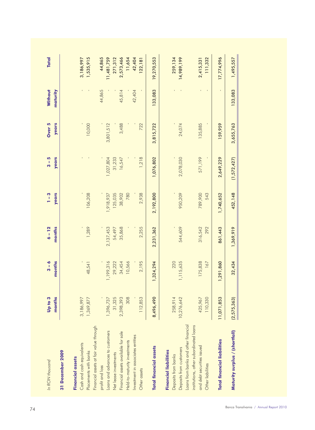| months<br>Up to 3 | months<br>$3-6$ | months<br>$6 - 12$ | $1-3$<br>years | years<br>$3-5$            | years<br>Over 5 | Without<br>maturity | <b>Total</b> |
|-------------------|-----------------|--------------------|----------------|---------------------------|-----------------|---------------------|--------------|
|                   |                 |                    |                |                           |                 |                     |              |
| 3,186,997         |                 |                    |                |                           |                 | T.                  | 3,186,997    |
| 1,369,877         | 48,541          | 1,289              | 106,208        | $\sim$ 1                  | 10,000          |                     | 1,535,915    |
|                   |                 |                    |                |                           |                 |                     |              |
|                   |                 |                    |                |                           |                 | 44,865              | 44,865       |
| 1,396,737         | 1,199,316       | 2,137,453          | 1,918,937      | 1,027,804                 | 3,801,512       |                     | 11,481,759   |
| 31,325            | 29,222          | 54,497             | 125,035        | 31,233                    |                 |                     | 271,312      |
| 2,398,393         | 34,454          | 35,868             | 38,902         | 16,547                    | 3,488           | 45,814              | 2,573,466    |
| 308               | 10,566          |                    | 780            |                           |                 |                     | 11,654       |
|                   |                 |                    |                |                           |                 | 42,404              | 42,404       |
| 112,853           | 2,195           | 2,255              | 2,938          | 1,218                     | 722             |                     | 122, 181     |
| 8,496,490         | 1,324,294       | 2,231,362          | 2,192,800      | 1,076,802                 | 3,815,722       | 133,083             | 19,270,553   |
|                   |                 |                    |                |                           |                 |                     |              |
| 258,914           | 220             |                    |                |                           |                 |                     | 259, 134     |
| 10,276,642        | 1,115,635       | 544,609            | 950,209        | 2,078,030                 | 24,074          |                     | 14,989,199   |
|                   |                 |                    |                |                           |                 |                     |              |
| 425,967           | 175,838         |                    | 789,900        |                           | 135,885         |                     | 2,415,331    |
| 110,330           | 167             | 316,542<br>292     | 543            | 571,199<br>$\blacksquare$ | $\mathbf{I}$    | r.<br>$\sim$ 1      | 111,332      |
| 11,071,853        | 1,291,860       | 861,443            | 1,740,652      | 2,649,229                 | 159,959         | $\mathbf{I}$        | 17,774,996   |
| (2, 575, 363)     | 32,434          | 1,369,919          | 452,148        | (1,572,427)               | 3,655,763       | 133,083             | 1,495,557    |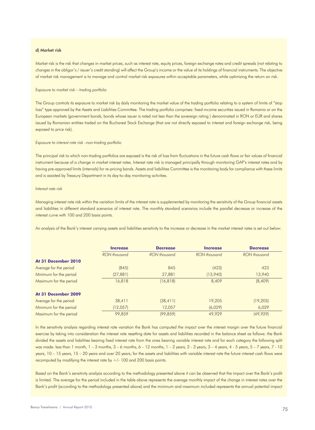#### d) Market risk

Market risk is the risk that changes in market prices, such as interest rate, equity prices, foreign exchange rates and credit spreads (not relating to changes in the obligor's / issuer's credit standing) will affect the Group's income or the value of its holdings of financial instruments. The objective of market risk management is to manage and control market risk exposures within acceptable parameters, while optimizing the return on risk.

#### *Exposure to market risk – trading portfolio*

The Group controls its exposure to market risk by daily monitoring the market value of the trading portfolio relating to a system of limits of "stop loss" type approved by the Assets and Liabilities Committee. The trading portfolio comprises: fixed-income securities issued in Romania or on the European markets (government bonds, bonds whose issuer is rated not less than the sovereign rating ) denominated in RON or EUR and shares issued by Romanian entities traded on the Bucharest Stock Exchange (that are not directly exposed to interest and foreign exchange risk, being exposed to price risk).

#### *Exposure to interest rate risk –non-trading portfolio*

The principal risk to which non-trading portfolios are exposed is the risk of loss from fluctuations in the future cash flows or fair values of financial instrument because of a change in market interest rates. Interest rate risk is managed principally through monitoring GAP's interest rates and by having pre-approved limits (intervals) for re-pricing bands. Assets and liabilities Committee is the monitoring body for compliance with these limits and is assisted by Treasury Department in its day-to-day monitoring activities.

#### *Interest rate risk*

Managing interest rate risk within the variation limits of the interest rate is supplemented by monitoring the sensitivity of the Group financial assets and liabilities in different standard scenarios of interest rate. The monthly standard scenarios include the parallel decrease or increase of the interest curve with 100 and 200 basis points.

An analysis of the Bank's interest carrying assets and liabilities sensitivity to the increase or decrease in the market interest rates is set out below:

|                        | <b>Increase</b> | <b>Decrease</b> | <b>Increase</b> | <b>Decrease</b>     |
|------------------------|-----------------|-----------------|-----------------|---------------------|
|                        | RON thousand    | RON thousand    | RON thousand    | <b>RON</b> thousand |
| At 31 December 2010    |                 |                 |                 |                     |
| Average for the period | (845)           | 845             | (423)           | 423                 |
| Minimum for the period | (27, 881)       | 27,881          | (13,940)        | 13,940              |
| Maximum for the period | 16,818          | (16, 818)       | 8,409           | (8,409)             |
| At 31 December 2009    |                 |                 |                 |                     |
| Average for the period | 38,411          | (38, 411)       | 19,205          | (19, 205)           |
| Minimum for the period | (12,057)        | 12,057          | (6,029)         | 6,029               |
| Maximum for the period | 99,859          | (99, 859)       | 49,929          | (49, 929)           |

In the sensitivity analysis regarding interest rate variation the Bank has computed the impact over the interest margin over the future financial exercise by taking into consideration the interest rate resetting date for assets and liabilities recorded in the balance sheet as follows: the Bank divided the assets and liabilities bearing fixed interest rate from the ones bearing variable interest rate and for each category the following split was made: less than 1 month, 1 – 3 months, 3 – 6 months, 6 – 12 months, 1 – 2 years, 2 - 3 years, 3 – 4 years, 4 - 5 years, 5 – 7 years, 7 - 10 years, 10 – 15 years, 15 – 20 years and over 20 years; for the assets and liabilities with variable interest rate the future interest cash flows were recomputed by modifying the interest rate by  $+/$ - 100 and 200 basis points.

Based on the Bank's sensitivity analysis according to the methodology presented above it can be observed that the impact over the Bank's profit is limited. The average for the period included in the table above represents the average monthly impact of the change in interest rates over the Bank's profit (according to the methodology presented above) and the minimum and maximum included represents the annual potential impact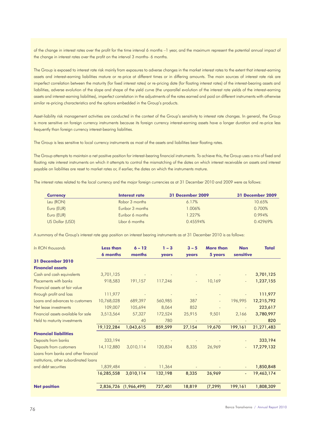of the change in interest rates over the profit for the time interval 6 months –1 year, and the maximum represent the potential annual impact of the change in interest rates over the profit on the interval 3 months- 6 months.

The Group is exposed to interest rate risk mainly from exposures to adverse changes in the market interest rates to the extent that interest-earning assets and interest-earning liabilities mature or re-price at different times or in differing amounts. The main sources of interest rate risk are imperfect correlation between the maturity (for fixed interest rates) or re-pricing date (for floating interest rates) of the interest-bearing assets and liabilities, adverse evolution of the slope and shape of the yield curve (the unparallel evolution of the interest rate yields of the interest-earning assets and interest-earning liabilities), imperfect correlation in the adjustments of the rates earned and paid on different instruments with otherwise similar re-pricing characteristics and the options embedded in the Group's products.

Asset-liability risk management activities are conducted in the context of the Group's sensitivity to interest rate changes. In general, the Group is more sensitive on foreign currency instruments because its foreign currency interest-earning assets have a longer duration and re-price less frequently than foreign currency interest-bearing liabilities.

The Group is less sensitive to local currency instruments as most of the assets and liabilities bear floating rates.

The Group attempts to maintain a net positive position for interest-bearing financial instruments. To achieve this, the Group uses a mix of fixed and floating rate interest instruments on which it attempts to control the mismatching of the dates on which interest receivable on assets and interest payable on liabilities are reset to market rates or, if earlier, the dates on which the instruments mature.

The interest rates related to the local currency and the major foreign currencies as at 31 December 2010 and 2009 were as follows:

| <b>Currency</b> | Interest rate    | 31 December 2009 | 31 December 2009 |
|-----------------|------------------|------------------|------------------|
| Leu (RON)       | Robor 3 months   | 6.17%            | 10.65%           |
| Euro (EUR)      | Euribor 3 months | 1.006%           | 0.700%           |
| Euro (EUR)      | Euribor 6 months | 1.227%           | 0.994%           |
| US Dollar (USD) | Libor 6 months   | 0.45594%         | 0.42969%         |

A summary of the Group's interest rate gap position on interest bearing instruments as at 31 December 2010 is as follows:

| In RON thousands                       | <b>Less than</b><br><b>6 months</b> | $6 - 12$<br>months    | $1 - 3$<br>years | $3 - 5$<br>years | <b>More than</b><br>5 years | <b>Non</b><br>sensitive  | <b>Total</b> |
|----------------------------------------|-------------------------------------|-----------------------|------------------|------------------|-----------------------------|--------------------------|--------------|
| <b>31 December 2010</b>                |                                     |                       |                  |                  |                             |                          |              |
| <b>Financial assets</b>                |                                     |                       |                  |                  |                             |                          |              |
| Cash and cash equivalents              | 3,701,125                           |                       |                  |                  |                             |                          | 3,701,125    |
| Placements with banks                  | 918,583                             | 191,157               | 117,246          | $\blacksquare$   | 10,169                      | $\overline{\phantom{a}}$ | 1,237,155    |
| Financial assets at fair value         |                                     |                       |                  |                  |                             |                          |              |
| through profit and loss                | 111,977                             |                       |                  |                  |                             |                          | 111,977      |
| Loans and advances to customers        | 10,768,028                          | 689,397               | 560,985          | 387              |                             | 196,995                  | 12,215,792   |
| Net lease investments                  | 109,007                             | 105,694               | 8,064            | 852              |                             |                          | 223,617      |
| Financial assets available for sale    | 3,513,564                           | 57,327                | 172,524          | 25,915           | 9,501                       | 2,166                    | 3,780,997    |
| Held to maturity investments           |                                     | 40                    | 780              |                  |                             |                          | 820          |
|                                        | 19,122,284                          | 1,043,615             | 859,599          | 27,154           | 19,670                      | 199,161                  | 21,271,483   |
| <b>Financial liabilities</b>           |                                     |                       |                  |                  |                             |                          |              |
| Deposits from banks                    | 333,194                             |                       |                  |                  |                             |                          | 333,194      |
| Deposits from customers                | 14,112,880                          | 3,010,114             | 120,834          | 8,335            | 26,969                      |                          | 17,279,132   |
| Loans from banks and other financial   |                                     |                       |                  |                  |                             |                          |              |
| institutions, other subordinated loans |                                     |                       |                  |                  |                             |                          |              |
| and debt securities                    | 1,839,484                           |                       | 11,364           |                  |                             |                          | 1,850,848    |
|                                        | 16,285,558                          | 3,010,114             | 132,198          | 8,335            | 26,969                      | $\blacksquare$           | 19,463,174   |
| <b>Net position</b>                    |                                     | 2,836,726 (1,966,499) | 727,401          | 18,819           | (7, 299)                    | 199,161                  | 1,808,309    |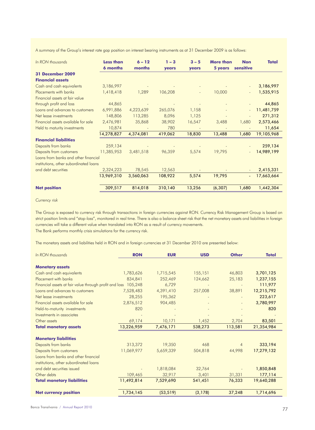A summary of the Group's interest rate gap position on interest bearing instruments as at 31 December 2009 is as follows:

| In RON thousands                       | <b>Less than</b><br><b>6 months</b> | $6 - 12$<br>months | $1 - 3$<br>years | $3 - 5$<br>years | <b>More than</b><br>5 years | <b>Non</b><br>sensitive | <b>Total</b> |
|----------------------------------------|-------------------------------------|--------------------|------------------|------------------|-----------------------------|-------------------------|--------------|
| 31 December 2009                       |                                     |                    |                  |                  |                             |                         |              |
| <b>Financial assets</b>                |                                     |                    |                  |                  |                             |                         |              |
| Cash and cash equivalents              | 3,186,997                           |                    |                  |                  |                             |                         | 3,186,997    |
| Placements with banks                  | 1,418,418                           | 1,289              | 106,208          |                  | 10,000                      |                         | 1,535,915    |
| Financial assets at fair value         |                                     |                    |                  |                  |                             |                         |              |
| through profit and loss                | 44,865                              |                    |                  |                  |                             |                         | 44,865       |
| Loans and advances to customers        | 6,991,886                           | 4,223,639          | 265,076          | 1,158            |                             |                         | 11,481,759   |
| Net lease investments                  | 148,806                             | 113,285            | 8,096            | 1,125            |                             |                         | 271,312      |
| Financial assets available for sale    | 2,476,981                           | 35,868             | 38,902           | 16,547           | 3,488                       | 1,680                   | 2,573,466    |
| Held to maturity investments           | 10,874                              |                    | 780              |                  |                             |                         | 11,654       |
|                                        | 14,278,827                          | 4,374,081          | 419,062          | 18,830           | 13,488                      | 1,680                   | 19,105,968   |
| <b>Financial liabilities</b>           |                                     |                    |                  |                  |                             |                         |              |
| Deposits from banks                    | 259,134                             |                    |                  |                  |                             |                         | 259,134      |
| Deposits from customers                | 11,385,953                          | 3,481,518          | 96,359           | 5,574            | 19,795                      |                         | 14,989,199   |
| Loans from banks and other financial   |                                     |                    |                  |                  |                             |                         |              |
| institutions, other subordinated loans |                                     |                    |                  |                  |                             |                         |              |
| and debt securities                    | 2,324,223                           | 78,545             | 12,563           |                  |                             |                         | 2,415,331    |
|                                        | 13,969,310                          | 3,560,063          | 108,922          | 5,574            | 19,795                      |                         | 17,663,664   |
| <b>Net position</b>                    | 309,517                             | 814,018            | 310,140          | 13,256           | (6, 307)                    | 1,680                   | 1,442,304    |

# *Currency risk*

The Group is exposed to currency risk through transactions in foreign currencies against RON. Currency Risk Management Group is based on strict position limits and "stop-loss", monitored in real time. There is also a balance sheet risk that the net monetary assets and liabilities in foreign currencies will take a different value when translated into RON as a result of currency movements. The Bank performs monthly crisis simulations for the currency risk.

The monetary assets and liabilities held in RON and in foreign currencies at 31 December 2010 are presented below:

| In RON thousands                                                               | <b>RON</b> | <b>EUR</b> | <b>USD</b> | <b>Other</b> | <b>Total</b> |
|--------------------------------------------------------------------------------|------------|------------|------------|--------------|--------------|
| <b>Monetary assets</b>                                                         |            |            |            |              |              |
| Cash and cash equivalents                                                      | 1,783,626  | 1,715,545  | 155,151    | 46,803       | 3,701,125    |
| Placement with banks                                                           | 834,841    | 252,469    | 124,662    | 25,183       | 1,237,155    |
| Financial assets at fair value through profit and loss                         | 105,248    | 6,729      |            |              | 111,977      |
| Loans and advances to customers                                                | 7,528,483  | 4,391,410  | 257,008    | 38,891       | 12,215,792   |
| Net lease investments                                                          | 28,255     | 195,362    |            |              | 223,617      |
| Financial assets available for sale                                            | 2,876,512  | 904,485    |            |              | 3,780,997    |
| Held-to-maturity investments                                                   | 820        |            |            |              | 820          |
| Investments in associates                                                      |            |            |            |              |              |
| Other assets                                                                   | 69,174     | 10,171     | 1,452      | 2,704        | 83,501       |
| <b>Total monetary assets</b>                                                   | 13,226,959 | 7,476,171  | 538,273    | 113,581      | 21,354,984   |
| <b>Monetary liabilities</b>                                                    |            |            |            |              |              |
| Deposits from banks                                                            | 313,372    | 19,350     | 468        | 4            | 333,194      |
| Deposits from customers                                                        | 11,069,977 | 5,659,339  | 504,818    | 44,998       | 17,279,132   |
| Loans from banks and other financial<br>institutions, other subordinated loans |            |            |            |              |              |
| and debt securities issued                                                     |            | 1,818,084  | 32,764     |              | 1,850,848    |
| Other debts                                                                    | 109,465    | 32,917     | 3,401      | 31,331       | 177,114      |
| <b>Total monetary liabilities</b>                                              | 11,492,814 | 7,529,690  | 541,451    | 76,333       | 19,640,288   |
| <b>Net currency position</b>                                                   | 1,734,145  | (53, 519)  | (3, 178)   | 37,248       | 1,714,696    |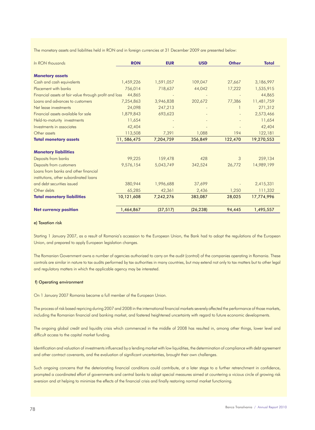The monetary assets and liabilities held in RON and in foreign currencies at 31 December 2009 are presented below:

| In RON thousands                                       | <b>RON</b>   | <b>EUR</b> | <b>USD</b> | <b>Other</b> | <b>Total</b> |
|--------------------------------------------------------|--------------|------------|------------|--------------|--------------|
| <b>Monetary assets</b>                                 |              |            |            |              |              |
| Cash and cash equivalents                              | 1,459,226    | 1,591,057  | 109,047    | 27,667       | 3,186,997    |
| Placement with banks                                   | 756,014      | 718,637    | 44,042     | 17,222       | 1,535,915    |
| Financial assets at fair value through profit and loss | 44,865       |            |            |              | 44,865       |
| Loans and advances to customers                        | 7,254,863    | 3,946,838  | 202,672    | 77,386       | 11,481,759   |
| Net lease investments                                  | 24,098       | 247,213    |            |              | 271,312      |
| Financial assets available for sale                    | 1,879,843    | 693,623    |            |              | 2,573,466    |
| Held-to-maturity investments                           | 11,654       |            |            |              | 11,654       |
| Investments in associates                              | 42,404       |            |            |              | 42,404       |
| Other assets                                           | 113,508      | 7,391      | 1,088      | 194          | 122,181      |
| <b>Total monetary assets</b>                           | 11, 586, 475 | 7,204,759  | 356,849    | 122,470      | 19,270,553   |
| <b>Monetary liabilities</b>                            |              |            |            |              |              |
| Deposits from banks                                    | 99,225       | 159,478    | 428        | 3            | 259,134      |
| Deposits from customers                                | 9,576,154    | 5,043,749  | 342,524    | 26,772       | 14,989,199   |
| Loans from banks and other financial                   |              |            |            |              |              |
| institutions, other subordinated loans                 |              |            |            |              |              |
| and debt securities issued                             | 380,944      | 1,996,688  | 37,699     |              | 2,415,331    |
| Other debts                                            | 65,285       | 42,361     | 2,436      | 1,250        | 111,332      |
| <b>Total monetary liabilities</b>                      | 10,121,608   | 7,242,276  | 383,087    | 28,025       | 17,774,996   |
| <b>Net currency position</b>                           | 1,464,867    | (37, 517)  | (26, 238)  | 94,445       | 1,495,557    |

# e) Taxation risk

Starting 1 January 2007, as a result of Romania's accession to the European Union, the Bank had to adopt the regulations of the European Union, and prepared to apply European legislation changes.

The Romanian Government owns a number of agencies authorized to carry on the audit (control) of the companies operating in Romania. These controls are similar in nature to tax audits performed by tax authorities in many countries, but may extend not only to tax matters but to other legal and regulatory matters in which the applicable agency may be interested.

#### f) Operating environment

On 1 January 2007 Romania became a full member of the European Union.

The process of risk based repricing during 2007 and 2008 in the international financial markets severely affected the performance of those markets, including the Romanian financial and banking market, and fostered heightened uncertainty with regard to future economic developments.

The ongoing global credit and liquidity crisis which commenced in the middle of 2008 has resulted in, among other things, lower level and difficult access to the capital market funding.

Identification and valuation of investments influenced by a lending market with low liquidities, the determination of compliance with debt agreement and other contract covenants, and the evaluation of significant uncertainties, brought their own challenges.

Such ongoing concerns that the deteriorating financial conditions could contribute, at a later stage to a further retrenchment in confidence, prompted a coordinated effort of governments and central banks to adopt special measures aimed at countering a vicious circle of growing risk aversion and at helping to minimize the effects of the financial crisis and finally restoring normal market functioning.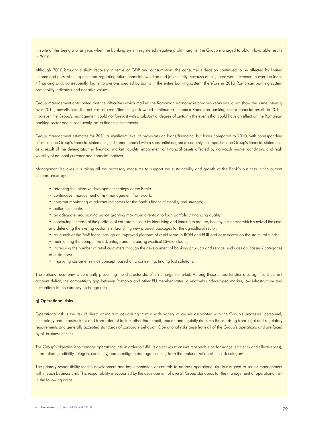In spite of this being a crisis year, when the banking system registered negative profit margins, the Group managed to obtain favorable results in 2010.

Although 2010 brought a slight recovery in terms of GDP and consumption, the consumer's decision continued to be affected by limited income and pessimistic expectations regarding future financial evolution and job security. Because of this, there were increases in overdue loans / financing and, consequently, higher provisions created by banks in the entire banking system, therefore in 2010 Romanian banking system profitability indicators had negative values.

Group management anticipated that the difficulties which marked the Romanian economy in previous years would not show the same intensity over 2011, nevertheless, the net cost of credit/financing risk would continue to influence Romanian banking sector financial results in 2011. However, the Group's management could not forecast with a substantial degree of certainty the events that could have an effect on the Romanian banking sector and subsequently, on its financial statements.

Group management estimates for 2011 a significant level of provisions on loans/financing, but lower compared to 2010, with corresponding effects on the Group's financial statements, but cannot predict with a substantial degree of certainty the impact on the Group's financial statements as a result of the deterioration in financial market liquidity, impairment of financial assets affected by non-cash market conditions and high volatility of national currency and financial markets.

Management believes it is taking all the necessary measures to support the sustainability and growth of the Bank's business in the current circumstances by:

- adopting the intensive development strategy of the Bank;
- continuous improvement of risk management framework;
- constant monitoring of relevant indicators for the Bank's financial stability and strength;
- better cost control;
- an adequate provisioning policy, granting maximum attention to loan portfolio / financing quality;
- continuing increase of the portfolio of corporate clients by identifying and lending to mature, healthy businesses which survived the crisis and defending the existing customers; launching new product packages for the agricultural sector;
- re-launch of the SME loans through an improved platform of rapid loans in RON and EUR and easy access on the structural funds;
- maintaining the competitive advantage and increasing Medical Division loans;
- increasing the number of retail customers through the development of banking products and service packages on classes / categories of customers;
- improving customer service concept, based on cross-selling, finding fast solutions.

The national economy is constantly presenting the characteristic of an emergent market. Among these characteristics are: significant current account deficit, the competitivity gap between Romania and other EU member states, a relatively undeveloped market, low infrastructure and fluctuations in the currency exchange rate.

#### g) Operational risks

Operational risk is the risk of direct or indirect loss arising from a wide variety of causes associated with the Group's processes, personnel, technology and infrastructure, and from external factors other than credit, market and liquidity risk such those arising from legal and regulatory requirements and generally accepted standards of corporate behavior. Operational risks arise from all of the Group's operations and are faced by all business entities.

The Group's objective is to manage operational risk in order to fulfill its objectives to ensure reasonable performance (efficiency and effectiveness), information (credibility, integrity, continuity) and to mitigate damage resulting from the materialization of this risk category.

The primary responsibility for the development and implementation of controls to address operational risk is assigned to senior management within each business unit. This responsibility is supported by the development of overall Group standards for the management of operational risk in the following areas: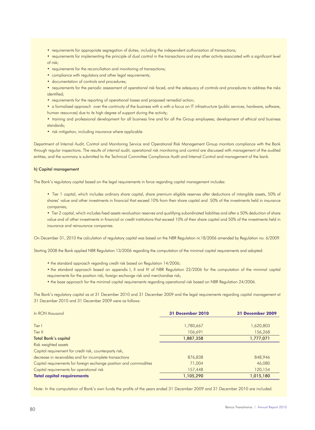- requirements for appropriate segregation of duties, including the independent authorization of transactions;
- requirements for implementing the principle of dual control in the transactions and any other activity associated with a significant level of risk;
- requirements for the reconciliation and monitoring of transactions;
- compliance with regulatory and other legal requirements;
- documentation of controls and procedures;

• requirements for the periodic assessment of operational risk faced, and the adequacy of controls and procedures to address the risks identified;

• requirements for the reporting of operational losses and proposed remedial action;

• a formalized approach over the continuity of the business with a with a focus on IT infrastructure (public services, hardware, software, human resources) due to its high degree of support during the activity;

• training and professional development for all business line and for all the Group employees; development of ethical and business standards;

• risk mitigation, including insurance where applicable.

Department of Internal Audit, Control and Monitoring Service and Operational Risk Management Group monitors compliance with the Bank through regular inspections. The results of internal audit, operational risk monitoring and control are discussed with management of the audited entities, and the summary is submitted to the Technical Committee Compliance Audit and Internal Control and management of the bank.

# h) Capital management

The Bank's regulatory capital based on the legal requirements in force regarding capital management includes:

• Tier 1 capital, which includes ordinary share capital, share premium eligible reserves after deductions of intangible assets, 50% of shares' value and other investments in financial that exceed 10% from their share capital and 50% of the investments held in insurance companies;

• Tier 2 capital, which includes fixed assets revaluation reserves and qualifying subordinated liabilities and after a 50% deduction of share value and of other investments in financial or credit institutions that exceed 10% of their share capital and 50% of the investments held in insurance and reinsurance companies.

On December 31, 2010 the calculation of regulatory capital was based on the NBR Regulation nr.18/2006 amended by Regulation no. 6/2009.

Starting 2008 the Bank applied NBR Regulation 13/2006 regarding the computation of the minimal capital requirements and adopted:

- the standard approach regarding credit risk based on Regulation 14/2006;
- the standard approach based on appendix I, II and IV of NBR Regulation 22/2006 for the computation of the minimal capital requirements for the position risk, foreign exchange risk and merchandise risk;
- the base approach for the minimal capital requirements regarding operational risk based on NBR Regulation 24/2006.

The Bank's regulatory capital as at 31 December 2010 and 31 December 2009 and the legal requirements regarding capital management at 31 December 2010 and 31 December 2009 were as follows:

| In RON thousand                                                    | <b>31 December 2010</b> | <b>31 December 2009</b> |  |
|--------------------------------------------------------------------|-------------------------|-------------------------|--|
|                                                                    |                         |                         |  |
| Tier I                                                             | 1,780,667               | 1,620,803               |  |
| Tier II                                                            | 106,691                 | 156,268                 |  |
| Total Bank's capital                                               | 1,887,358               | 1,777,071               |  |
| Risk weighted assets                                               |                         |                         |  |
| Capital requirement for credit risk, counterparty risk,            |                         |                         |  |
| decrease in receivables and for incomplete transactions            | 876,838                 | 848,946                 |  |
| Capital requirements for foreign exchange position and commodities | 71,004                  | 46,080                  |  |
| Capital requirements for operational risk                          | 157,448                 | 120,154                 |  |
| <b>Total capital requirements</b>                                  | 1,105,290               | 1,015,180               |  |

Note: In the computation of Bank's own funds the profits of the years ended 31 December 2009 and 31 December 2010 are included.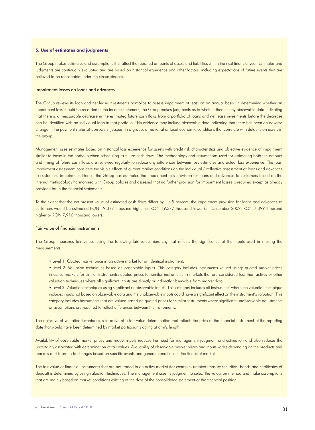#### **5. Use of estimates and judgments**

The Group makes estimates and assumptions that affect the reported amounts of assets and liabilities within the next financial year. Estimates and judgments are continually evaluated and are based on historical experience and other factors, including expectations of future events that are believed to be reasonable under the circumstances.

# Impairment losses on loans and advances

The Group reviews its loan and net lease investments portfolios to assess impairment at least on an annual basis. In determining whether an impairment loss should be recorded in the income statement, the Group makes judgments as to whether there is any observable data indicating that there is a measurable decrease in the estimated future cash flows from a portfolio of loans and net lease investments before the decrease can be identified with an individual loan in that portfolio. This evidence may include observable data indicating that there has been an adverse change in the payment status of borrowers (lessees) in a group, or national or local economic conditions that correlate with defaults on assets in the group.

Management uses estimates based on historical loss experience for assets with credit risk characteristics and objective evidence of impairment similar to those in the portfolio when scheduling its future cash flows. The methodology and assumptions used for estimating both the amount and timing of future cash flows are reviewed regularly to reduce any differences between loss estimates and actual loss experience. The loan impairment assessment considers the visible effects of current market conditions on the individual / collective assessment of loans and advances to customers' impairment. Hence, the Group has estimated the impairment loss provision for loans and advances to customers based on the internal methodology harmonized with Group policies and assessed that no further provision for impairment losses is required except as already provided for in the financial statements.

To the extent that the net present value of estimated cash flows differs by +/-5 percent, the impairment provision for loans and advances to customers would be estimated RON 19,377 thousand higher or RON 19,377 thousand lower (31 December 2009: RON 7,899 thousand higher or RON 7,916 thousand lower).

#### Fair value of financial instruments

The Group measures fair values using the following fair value hierarchy that reflects the significance of the inputs used in making the measurements:

- Level 1: Quoted market price in an active market for an identical instrument.
- Level 2: Valuation techniques based on observable inputs. This category includes instruments valued using: quoted market prices in active markets for similar instruments; quoted prices for similar instruments in markets that are considered less than active; or other valuation techniques where all significant inputs are directly or indirectly observable from market data.
- Level 3: Valuation techniques using significant unobservable inputs. This category includes all instruments where the valuation technique includes inputs not based on observable data and the unobservable inputs could have a significant effect on the instrument's valuation. This category includes instruments that are valued based on quoted prices for similar instruments where significant unobservable adjustments or assumptions are required to reflect differences between the instruments.

The objective of valuation techniques is to arrive at a fair value determination that reflects the price of the financial instrument at the reporting date that would have been determined by market participants acting at arm's length.

Availability of observable market prices and model inputs reduces the need for management judgment and estimation and also reduces the uncertainty associated with determination of fair values. Availability of observable market prices and inputs varies depending on the products and markets and is prone to changes based on specific events and general conditions in the financial markets.

The fair value of financial instruments that are not traded in an active market (for example, unlisted treasury securities, bonds and certificates of deposit) is determined by using valuation techniques. The management uses its judgment to select the valuation method and make assumptions that are mainly based on market conditions existing at the date of the consolidated statement of the financial position.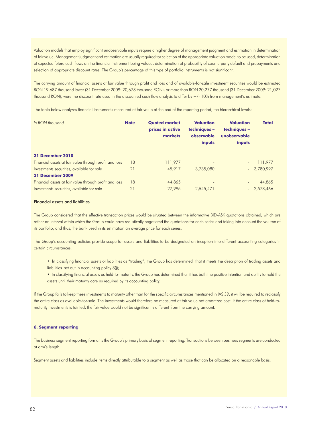Valuation models that employ significant unobservable inputs require a higher degree of management judgment and estimation in determination of fair value. Management judgment and estimation are usually required for selection of the appropriate valuation model to be used, determination of expected future cash flows on the financial instrument being valued, determination of probability of counterparty default and prepayments and selection of appropriate discount rates. The Group's percentage of this type of portfolio instruments is not significant.

The carrying amount of financial assets at fair value through profit and loss and of available-for-sale investment securities would be estimated RON 19,687 thousand lower (31 December 2009: 20,678 thousand RON), or more than RON 20,277 thousand (31 December 2009: 21,027 thousand RON), were the discount rate used in the discounted cash flow analysis to differ by +/- 10% from management's estimate.

The table below analyzes financial instruments measured at fair value at the end of the reporting period, the hierarchical levels:

| In RON thousand                                        | <b>Note</b> | <b>Quoted market</b><br>prices in active<br>markets | <b>Valuation</b><br>techniques -<br>observable<br>inputs | Valuation<br>techniques -<br>unobservable<br>inputs | <b>Total</b> |
|--------------------------------------------------------|-------------|-----------------------------------------------------|----------------------------------------------------------|-----------------------------------------------------|--------------|
| <b>31 December 2010</b>                                |             |                                                     |                                                          |                                                     |              |
| Financial assets at fair value through profit and loss | 18          | 111,977                                             | ٠                                                        |                                                     | 111,977      |
| Investments securities, available for sale             | 21          | 45,917                                              | 3,735,080                                                |                                                     | 3,780,997    |
| <b>31 December 2009</b>                                |             |                                                     |                                                          |                                                     |              |
| Financial assets at fair value through profit and loss | 18          | 44,865                                              | $\overline{a}$                                           |                                                     | 44,865       |
| Investments securities, available for sale             | 21          | 27,995                                              | 2,545,471                                                |                                                     | $-2.573.466$ |

#### Financial assets and liabilities

The Group considered that the effective transaction prices would be situated between the informative BID-ASK quotations obtained, which are rather an interval within which the Group could have realistically negotiated the quotations for each series and taking into account the volume of its portfolio, and thus, the bank used in its estimation an average price for each series.

The Group's accounting policies provide scope for assets and liabilities to be designated on inception into different accounting categories in certain circumstances:

- In classifying financial assets or liabilities as "trading", the Group has determined that it meets the description of trading assets and liabilities set out in accounting policy 3(j);
- In classifying financial assets as held-to-maturity, the Group has determined that it has both the positive intention and ability to hold the assets until their maturity date as required by its accounting policy.

If the Group fails to keep these investments to maturity other than for the specific circumstances mentioned in IAS 39, it will be required to reclassify the entire class as available-for-sale. The investments would therefore be measured at fair value not amortized cost. If the entire class of held-tomaturity investments is tainted, the fair value would not be significantly different from the carrying amount.

# **6. Segment reporting**

The business segment reporting format is the Group's primary basis of segment reporting. Transactions between business segments are conducted at arm's length.

Segment assets and liabilities include items directly attributable to a segment as well as those that can be allocated on a reasonable basis.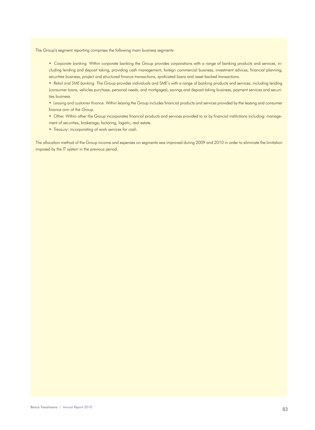The Group's segment reporting comprises the following main business segments:

- *Corporate banking.* Within corporate banking the Group provides corporations with a range of banking products and services, including lending and deposit taking, providing cash management, foreign commercial business, investment advices, financial planning, securities business, project and structured finance transactions, syndicated loans and asset backed transactions.
- *Retail and SME banking.* The Group provides individuals and SME's with a range of banking products and services, including lending (consumer loans, vehicles purchase, personal needs, and mortgages), savings and deposit taking business, payment services and securities business.
- *Leasing and customer finance.* Within leasing the Group includes financial products and services provided by the leasing and consumer finance arm of the Group.
- Other. Within other the Group incorporates financial products and services provided to or by financial institutions including: management of securities, brokerage, factoring, logistic, real estate.
- *Treasury*: incorporating of work services for cash.

The allocation method of the Group income and expenses on segments was improved during 2009 and 2010 in order to eliminate the limitation imposed by the IT system in the previous period.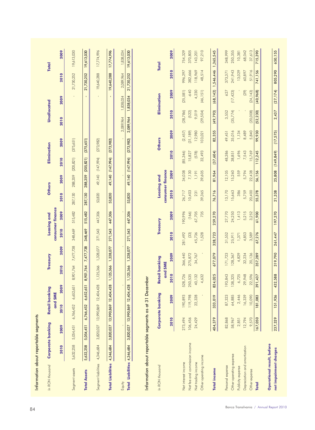| In RON thousand               |           | Corporate banking |            | <b>Retail banking</b> |           | Treasury                 |         | <b>Leasing and</b>       | <b>Others</b> |                  |            | Elimination |           | Unallocated        |            | <b>Total</b> |
|-------------------------------|-----------|-------------------|------------|-----------------------|-----------|--------------------------|---------|--------------------------|---------------|------------------|------------|-------------|-----------|--------------------|------------|--------------|
|                               | 2010      | 2009              | 2010       | 2009<br>and SME       | 2010      | 2009                     | 2010    | consumer finance<br>2009 | 2010          | 2009             | 2010       | 2009        | 2010      | 2009               | 2010       | 2009         |
| Segment assets                | 5,632,258 | 5,054,451         | 6,766,452  | 6,652,651             | 8,901,764 | 7,477,738                | 348,469 | 515,482                  | 287,130       | 288,359          | (205, 821) | (375, 651)  |           |                    | 21,730,252 | 19,613,030   |
|                               |           |                   |            |                       |           |                          |         |                          |               |                  |            |             |           |                    |            |              |
| <b>Total Assets</b>           | 5,632,258 | 5,054,451         | 6,766,452  | 6,652,651             | 8,901,764 | 7,477,738                | 348,469 | 515,482                  | 287,130       | 288,359          | (205, 821) | (375, 651)  |           | $\bar{\mathbf{r}}$ | 21,730,252 | 19,613,030   |
| Segment liabilities           | 4,346,684 | 3,820,027         | 13,990,869 | 12,404,428            | 1,125,366 | 1,328,077                | 271,543 | 447,306                  | 53,820        | 49,140           | (147,994)  | (273, 982)  |           |                    | 19,640,288 | 17,774,996   |
| <b>Total Liabilities</b>      | 4,346,684 | 3,820,027         | 13,990,869 | 12,404,428            | 1,125,366 | 28,077<br>$\frac{37}{2}$ | 271,543 | 447,306                  | 53,820        | 49,140           | (147,994)  | (273, 982)  |           | $\blacksquare$     | 19,640,288 | 17,774,996   |
| Equity                        |           |                   |            |                       |           |                          |         |                          |               |                  |            |             | 2,089,964 | 1,838,034          | 2,089,964  | 1,838,034    |
| Total Liabilities 4,346,684   |           | 3,820,027         |            | 13,990,869 12,404,428 | 1,125,366 | 1,328,077                | 271,543 | 447,306                  | 53,820        | 49,140           | (147,994)  | (273, 982)  | 2,089,964 | 1,838,034          | 21,730,252 | 19,613,030   |
|                               |           |                   |            |                       | and SME   |                          |         |                          |               | consumer finance |            |             |           |                    |            |              |
|                               |           | 2010              |            | 2009                  | 2010      | 2009                     | 2010    | 2009                     | 2010          | 2009             | 2010       | 2009        | 2010      | 2009               | 2010       | 2009         |
| Net interest income           |           | 273,494           |            | 190,893               | 528,726   | 366,440                  | 281,492 | 190,996                  | 26,717        | 34,038           | (85, 346)  | (2,457)     | (28, 786) | (25, 581)          | 996,297    | 754,329      |
| Net fee and commission income |           | 106,456           |            | 119,798               | 250,535   | 275,872                  | $(33)$  | (166)                    | 10,403        | 7,130            | 15,827     | (31, 189)   | (522)     | $-640$             | 382,666    | 370,805      |
| Net trading income            |           | 24,429            |            | 22,328                | 40,132    | 34,767                   | 45,736  | 67,705                   | 231           | 1,191            | (578)      | 12,980      | 9,019     | 4,230              | 118,969    | 143,201      |
| Other operating income        |           |                   |            |                       | 4,632     |                          | 1,528   | 735                      | 39,365        | 39,605           | 32,493     | 103,021     | (29,504)  | (46, 151)          | 48,514     | 97,210       |
| <b>Total income</b>           |           | 404,379           |            | 333,019               | 824,025   | 677,079                  | 328,723 | 259,270                  | 76,716        | 81,964           | (37,604)   | 82,355      | (49, 793) | (68, 142)          | 1,546,446  | 1,365,545    |
| Personal expense              |           | 82,868            |            | 87,323                | 193,843   | 171,723                  | 31,552  | 27,770                   | 13,170        | 12,105           | 48,386     | 49,451      | 3,552     | 627                | 373,371    | 348,999      |
| Other operating expense       |           | 58,967            |            | 64,885                | 138,325   | 128,367                  | 25,911  | 24,250                   | 15,663        | 15,260           | 38,851     | 35,016      | (35, 774) | (17, 423)          | 241,943    | 250,355      |
| Publicity expense             |           | 2,851             |            | 2,446                 | 6,725     | 4,829                    | 1,371   | 1,413                    | 386           | 559              | 1,696      | 1,134       |           |                    | 13,029     | 10,381       |
| Depreciation and amortization |           | 12,794            |            | 16,339                | 29,948    | 32,234                   | 4,853   | 5,215                    | 5,759         | 5,794            | 7,543      | 8,489       |           | (29)               | 60,897     | 68,042       |
| Other expense                 |           | 9,570             |            | 10,090                | 22,596    | 20,136                   | 3,589   | 3,252                    | 20,400        | 22,438           | 15,769     | 5,840       | (20,008)  | (24, 143)          | 51,916     | 37,613       |
| <b>Total</b>                  |           | 167,050           | 181,083    |                       | 391,437   | 357,289                  | 67,276  | 61,900                   | 55,378        | 56,156           | 112,245    | 99,930      | (52, 230) | (40, 968)          | 741,156    | 715,390      |
| Operational result, before    |           |                   |            |                       |           |                          |         |                          |               |                  |            |             |           |                    |            |              |
| net impairment charges        |           | 237,329           | 151,936    |                       | 432,588   | 319,790                  | 261,447 | 197,370                  | 21,338        | 25,808           | (149, 849) | (17, 575)   | 2,437     | (27, 174)          | 805,290    | 650,155      |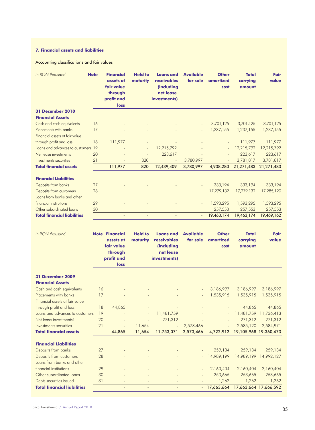# **7. Financial assets and liabilities**

Accounting classifications and fair values

| In RON thousand                    | <b>Note</b> | <b>Financial</b><br>assets at<br>fair value<br>through<br>profit and<br>loss | <b>Held to</b><br>maturity | <b>Loans and</b><br>receivables<br>(including<br>net lease<br>investments) | <b>Available</b><br>for sale | <b>Other</b><br>amortized<br>cost | <b>Total</b><br>carrying<br>amount | Fair<br>value         |
|------------------------------------|-------------|------------------------------------------------------------------------------|----------------------------|----------------------------------------------------------------------------|------------------------------|-----------------------------------|------------------------------------|-----------------------|
| <b>31 December 2010</b>            |             |                                                                              |                            |                                                                            |                              |                                   |                                    |                       |
| <b>Financial Assets</b>            |             |                                                                              |                            |                                                                            |                              |                                   |                                    |                       |
| Cash and cash equivalents          | 16          |                                                                              |                            |                                                                            |                              | 3,701,125                         | 3,701,125                          | 3,701,125             |
| Placements with banks              | 17          |                                                                              |                            |                                                                            |                              | 1,237,155                         | 1,237,155                          | 1,237,155             |
| Financial assets at fair value     |             |                                                                              |                            |                                                                            |                              |                                   |                                    |                       |
| through profit and loss            | 18          | 111,977                                                                      |                            |                                                                            |                              |                                   | 111,977                            | 111,977               |
| Loans and advances to customers 19 |             |                                                                              | ÷,                         | 12,215,792                                                                 |                              |                                   | 12,215,792                         | 12,215,792            |
| Net lease investments              | 20          |                                                                              | ÷,                         | 223,617                                                                    |                              |                                   | 223,617                            | 223,617               |
| Investments securities             | 21          |                                                                              | 820                        |                                                                            | 3,780,997                    |                                   | 3,781,817                          | 3,781,817             |
| <b>Total financial assets</b>      |             | 111,977                                                                      | 820                        | 12,439,409                                                                 | 3,780,997                    | 4,938,280                         | 21,271,483                         | 21,271,483            |
|                                    |             |                                                                              |                            |                                                                            |                              |                                   |                                    |                       |
| <b>Financial Liabilities</b>       |             |                                                                              |                            |                                                                            |                              |                                   |                                    |                       |
| Deposits from banks                | 27          |                                                                              |                            |                                                                            |                              | 333,194                           | 333,194                            | 333,194               |
| Deposits from customers            | 28          |                                                                              |                            |                                                                            |                              | 17,279,132                        | 17,279,132                         | 17,285,120            |
| Loans from banks and other         |             |                                                                              |                            |                                                                            |                              |                                   |                                    |                       |
| financial institutions             | 29          |                                                                              |                            |                                                                            |                              | 1,593,295                         | 1,593,295                          | 1,593,295             |
| Other subordinated loans           | 30          |                                                                              |                            |                                                                            |                              | 257,553                           | 257,553                            | 257,553               |
| <b>Total financial liabilities</b> |             |                                                                              |                            |                                                                            | $\overline{\phantom{a}}$     | 19,463,174                        | 19,463,174                         | 19,469,162            |
|                                    |             |                                                                              |                            |                                                                            |                              |                                   |                                    |                       |
| In RON thousand                    |             | <b>Note Financial</b>                                                        | <b>Held to</b>             | <b>Loans</b> and                                                           | <b>Available</b>             | <b>Other</b>                      | <b>Total</b>                       | Fair                  |
|                                    |             | assets at                                                                    | maturity                   | receivables                                                                | for sale                     | amortized                         | carrying                           | value                 |
|                                    |             | fair value                                                                   |                            | (including                                                                 |                              | cost                              | amount                             |                       |
|                                    |             | through                                                                      |                            | net lease                                                                  |                              |                                   |                                    |                       |
|                                    |             | profit and                                                                   |                            | investments)                                                               |                              |                                   |                                    |                       |
|                                    |             | loss                                                                         |                            |                                                                            |                              |                                   |                                    |                       |
| <b>31 December 2009</b>            |             |                                                                              |                            |                                                                            |                              |                                   |                                    |                       |
| <b>Financial Assets</b>            |             |                                                                              |                            |                                                                            |                              |                                   |                                    |                       |
| Cash and cash equivalents          | 16          |                                                                              |                            |                                                                            |                              | 3,186,997                         | 3,186,997                          | 3,186,997             |
| Placements with banks              | 17          |                                                                              |                            |                                                                            |                              | 1,535,915                         | 1,535,915                          | 1,535,915             |
| Financial assets at fair value     |             |                                                                              |                            |                                                                            |                              |                                   |                                    |                       |
| through profit and loss            | 18          | 44,865                                                                       |                            |                                                                            |                              |                                   | 44,865                             | 44,865                |
| Loans and advances to customers    | 19          |                                                                              |                            | 11,481,759                                                                 |                              |                                   | 11,481,759                         | 11,736,413            |
| Net lease investments1             | 20          |                                                                              |                            | 271,312                                                                    |                              |                                   | 271,312                            | 271,312               |
| Investments securities             | 21          |                                                                              | 11,654                     |                                                                            | 2,573,466                    |                                   | 2,585,120                          | 2,584,971             |
| <b>Total financial assets</b>      |             | 44,865                                                                       | 11,654                     | 11,753,071                                                                 | 2,573,466                    | 4,722,912                         |                                    | 19,105,968 19,360,473 |
|                                    |             |                                                                              |                            |                                                                            |                              |                                   |                                    |                       |
| <b>Financial Liabilities</b>       |             |                                                                              |                            |                                                                            |                              |                                   |                                    |                       |
| Deposits from banks                | 27          |                                                                              |                            |                                                                            |                              | 259,134                           | 259,134                            | 259,134               |
| Deposits from customers            | 28          |                                                                              |                            |                                                                            |                              | 14,989,199                        | 14,989,199                         | 14,992,127            |
| Loans from banks and other         |             |                                                                              |                            |                                                                            |                              |                                   |                                    |                       |
| financial institutions             | 29          |                                                                              |                            |                                                                            |                              | 2,160,404                         | 2,160,404                          | 2,160,404             |
| Other subordinated loans           | 30          |                                                                              |                            |                                                                            |                              | 253,665                           | 253,665                            | 253,665               |
| Debts securities issued            | 31          |                                                                              |                            |                                                                            |                              | 1,262                             | 1,262                              | 1,262                 |
| <b>Total financial liabilities</b> |             |                                                                              |                            |                                                                            |                              | 17,663,664                        |                                    | 17,663,664 17,666,592 |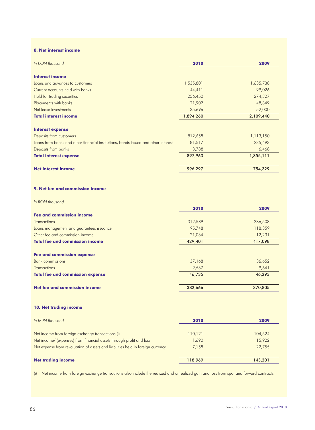# **8. Net interest income**

| In RON thousand                                                                    | 2010      | 2009      |
|------------------------------------------------------------------------------------|-----------|-----------|
| <b>Interest income</b>                                                             |           |           |
| Loans and advances to customers                                                    | 1,535,801 | 1,635,738 |
| Current accounts held with banks                                                   | 44,411    | 99,026    |
| Held for trading securities                                                        | 256,450   | 274,327   |
| Placements with banks                                                              | 21,902    | 48,349    |
| Net lease investments                                                              | 35,696    | 52,000    |
| <b>Total interest income</b>                                                       | 1,894,260 | 2,109,440 |
| <b>Interest expense</b>                                                            |           |           |
| Deposits from customers                                                            | 812,658   | 1,113,150 |
| Loans from banks and other financial institutions, bonds issued and other interest | 81,517    | 235,493   |
| Deposits from banks                                                                | 3,788     | 6,468     |
| <b>Total interest expense</b>                                                      | 897,963   | 1,355,111 |
| <b>Net interest income</b>                                                         | 996,297   | 754,329   |

# **9. Net fee and commission income**

*In RON thousand*

|                                          | 2010    | 2009    |
|------------------------------------------|---------|---------|
| <b>Fee and commission income</b>         |         |         |
| <b>Transactions</b>                      | 312,589 | 286,508 |
| Loans management and guarantees issuance | 95,748  | 118,359 |
| Other fee and commission income          | 21,064  | 12,231  |
| <b>Total fee and commission income</b>   | 429,401 | 417,098 |
| <b>Fee and commission expense</b>        |         |         |
| <b>Bank commissions</b>                  | 37,168  | 36,652  |
| <b>Transactions</b>                      | 9,567   | 9,641   |
| <b>Total fee and commission expense</b>  | 46,735  | 46,293  |
| Net fee and commission income            | 382,666 | 370,805 |

# **10. Net trading income**

| In RON thousand                                                                 | 2010    | 2009    |
|---------------------------------------------------------------------------------|---------|---------|
| Net income from foreign exchange transactions (i)                               | 110,121 | 104,524 |
| Net income/ (expenses) from financial assets through profit and loss            | 1,690   | 15,922  |
| Net expense from revaluation of assets and liabilities held in foreign currency | 7,158   | 22,755  |
| <b>Net trading income</b>                                                       | 118,969 | 143,201 |

(i) Net income from foreign exchange transactions also include the realized and unrealized gain and loss from spot and forward contracts.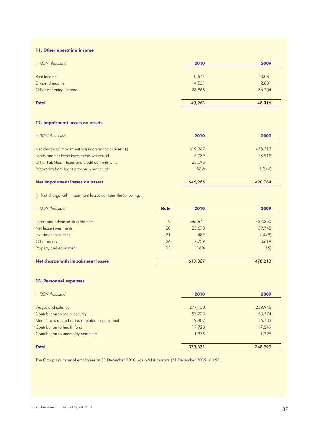# **11. Other operating income**

| In RON thousand        | 2010   | 2009   |
|------------------------|--------|--------|
| Rent income            | 10,544 | 10,081 |
| Dividend income        | 4,551  | 2,031  |
| Other operating income | 28,868 | 36,204 |
| <b>Total</b>           | 43,963 | 48,316 |

# **12. Impairment losses on assets**

| In RON thousand                                         | 2010    | 2009    |
|---------------------------------------------------------|---------|---------|
| Net charge of impairment losses on financial assets (i) | 619,367 | 478,213 |
| Loans and net lease investments written-off             | 5,039   | 13,915  |
| Other liabilities – taxes and credit commitments        | 23,098  |         |
| Recoveries from loans previously written off            | (539)   | (1.344) |
| Net impairment losses on assets                         | 646.965 | 490.784 |

(i) Net charge with impairment losses contains the following:

| In RON thousand                          | <b>Note</b> | 2010    | 2009     |
|------------------------------------------|-------------|---------|----------|
| Loans and advances to customers          | 19          | 585,641 | 437,350  |
| Net lease investments                    | 20          | 25,678  | 39,748   |
| Investment securities                    | 21          | 489     | (2, 449) |
| Other assets                             | 26          | 7,739   | 3,619    |
| Property and equipment                   | 23          | (180)   | (55)     |
| <b>Net charge with impairment losses</b> |             | 619,367 | 478,213  |

### **13. Personnel expenses**

| In RON thousand                                   | 2010    | 2009    |
|---------------------------------------------------|---------|---------|
| Wages and salaries                                | 277,130 | 259,948 |
| Contribution to social security                   | 57,733  | 53,774  |
| Meal tickets and other taxes related to personnel | 19,402  | 16,733  |
| Contribution to health fund                       | 17,728  | 17,249  |
| Contribution to unemployment fund                 | 1,378   | 1,295   |
| <b>Total</b>                                      | 373,371 | 348,999 |

The Group's number of employees at 31 December 2010 was 6,914 persons (31 December 2009: 6,453).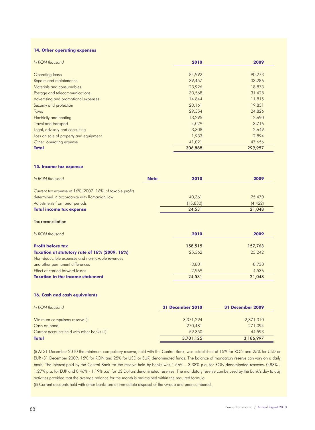# **14. Other operating expenses**

| In RON thousand                        | 2010    | 2009    |
|----------------------------------------|---------|---------|
| Operating lease                        | 84,992  | 90,273  |
| Repairs and maintenance                | 39,457  | 33,286  |
| Materials and consumables              | 23,926  | 18,873  |
| Postage and telecommunications         | 30,568  | 31,428  |
| Advertising and promotional expenses   | 14.844  | 11.815  |
| Security and protection                | 20,161  | 19,851  |
| <b>Taxes</b>                           | 29,354  | 24,826  |
| <b>Electricity and heating</b>         | 13,295  | 12,690  |
| Travel and transport                   | 4,029   | 3,716   |
| Legal, advisory and consulting         | 3,308   | 2,649   |
| Loss on sale of property and equipment | 1,933   | 2,894   |
| Other operating expense                | 41,021  | 47,656  |
| <b>Total</b>                           | 306,888 | 299,957 |

# **15. Income tax expense**

| In RON thousand                                           | <b>Note</b> | 2010     | 2009     |
|-----------------------------------------------------------|-------------|----------|----------|
| Current tax expense at 16% (2007: 16%) of taxable profits |             |          |          |
| determined in accordance with Romanian Law                |             | 40,361   | 25,470   |
| Adjustments from prior periods                            |             | (15,830) | (4, 422) |
| <b>Total income tax expense</b>                           |             | 24.531   | 21.048   |
|                                                           |             |          |          |

Tax reconciliation

| In RON thousand                                  | 2010     | 2009     |
|--------------------------------------------------|----------|----------|
|                                                  |          |          |
| <b>Profit before tax</b>                         | 158,515  | 157,763  |
| Taxation at statutory rate of 16% (2009: 16%)    | 25,362   | 25,242   |
| Non-deductible expenses and non-taxable revenues |          |          |
| and other permanent differences                  | $-3,801$ | $-8,730$ |
| Effect of carried forward losses                 | 2.969    | 4,536    |
| <b>Taxation in the income statement</b>          | 24.531   | 21,048   |

#### **16. Cash and cash equivalents**

| In RON thousand                             | <b>31 December 2010</b> | 31 December 2009 |
|---------------------------------------------|-------------------------|------------------|
| Minimum compulsory reserve (i)              | 3,371,294               | 2,871,310        |
| Cash on hand                                | 270,481                 | 271,094          |
| Current accounts held with other banks (ii) | 59.350                  | 44,593           |
| <b>Total</b>                                | 3,701,125               | 3,186,997        |

(i) At 31 December 2010 the minimum compulsory reserve, held with the Central Bank, was established at 15% for RON and 25% for USD or EUR (31 December 2009: 15% for RON and 25% for USD or EUR) denominated funds. The balance of mandatory reserve can vary on a daily basis. The interest paid by the Central Bank for the reserve held by banks was 1.56% – 3.38% p.a. for RON denominated reserves, 0.88% - 1.27% p.a. for EUR and 0.46% - 1.19% p.a. for US Dollars denominated reserves. The mandatory reserve can be used by the Bank's day to day activities provided that the average balance for the month is maintained within the required formula.

(ii) Current accounts held with other banks are at immediate disposal of the Group and unencumbered.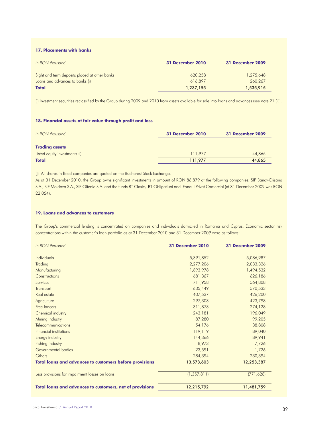# **17. Placements with banks**

| In RON thousand                               | <b>31 December 2010</b> | 31 December 2009 |
|-----------------------------------------------|-------------------------|------------------|
| Sight and term deposits placed at other banks | 620,258                 | 1,275,648        |
| Loans and advances to banks (i)               | 616.897                 | 260,267          |
| <b>Total</b>                                  | 1,237,155               | 1,535,915        |

(i) Investment securities reclassified by the Group during 2009 and 2010 from assets available for sale into loans and advances (see note 21 (ii)).

# **18. Financial assets at fair value through profit and loss**

| In RON thousand               | <b>31 December 2010</b> | <b>31 December 2009</b> |
|-------------------------------|-------------------------|-------------------------|
| <b>Trading assets</b>         |                         |                         |
| Listed equity investments (i) | 111.977                 | 44,865                  |
| <b>Total</b>                  | 111.977                 | 44,865                  |

(i) All shares in listed companies are quoted on the Bucharest Stock Exchange.

As at 31 December 2010, the Group owns significant investments in amount of RON 86,879 at the following companies: SIF Banat-Crisana S.A., SIF Moldova S.A., SIF Oltenia S.A. and the funds BT Clasic, BT Obligatiuni and Fondul Privat Comercial (at 31 December 2009 was RON 22,054).

# **19. Loans and advances to customers**

The Group's commercial lending is concentrated on companies and individuals domiciled in Romania and Cyprus. Economic sector risk concentrations within the customer's loan portfolio as at 31 December 2010 and 31 December 2009 were as follows:

| In RON thousand                                          | <b>31 December 2010</b> | <b>31 December 2009</b> |
|----------------------------------------------------------|-------------------------|-------------------------|
| Individuals                                              | 5,391,852               | 5,086,987               |
| Trading                                                  | 2,277,206               | 2,033,326               |
| Manufacturing                                            | 1,893,978               | 1,494,532               |
| Constructions                                            | 681,367                 | 626,186                 |
| Services                                                 | 711,958                 | 564,808                 |
| Transport                                                | 635,449                 | 570,533                 |
| Real estate                                              | 407,537                 | 426,200                 |
| Agriculture                                              | 297,303                 | 423,798                 |
| Free lancers                                             | 311,873                 | 274,128                 |
| Chemical industry                                        | 243,181                 | 196,049                 |
| Mining industry                                          | 87,280                  | 99,205                  |
| Telecommunications                                       | 54,176                  | 38,808                  |
| <b>Financial institutions</b>                            | 119,119                 | 89,040                  |
| <b>Energy industry</b>                                   | 144,366                 | 89,941                  |
| Fishing industry                                         | 8,973                   | 7,726                   |
| Governmental bodies                                      | 23,591                  | 1,726                   |
| Others                                                   | 284,394                 | 230,394                 |
| Total loans and advances to customers before provisions  | 13,573,603              | 12,253,387              |
| Less provisions for impairment losses on loans           | (1, 357, 811)           | (771, 628)              |
| Total loans and advances to customers, net of provisions | 12,215,792              | 11,481,759              |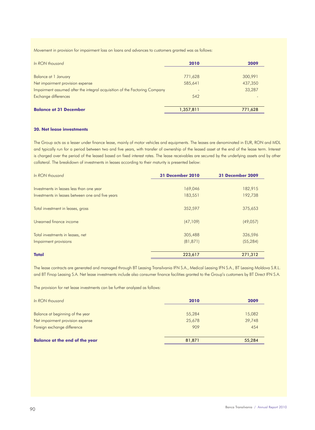Movement in provision for impairment loss on loans and advances to customers granted was as follows:

| In RON thousand                                                            | 2010      | 2009    |
|----------------------------------------------------------------------------|-----------|---------|
|                                                                            |           |         |
| Balance at 1 January                                                       | 771,628   | 300,991 |
| Net impairment provision expense                                           | 585,641   | 437,350 |
| Impairment assumed after the integral acquisition of the Factoring Company |           | 33,287  |
| Exchange differences                                                       | 542       |         |
|                                                                            |           |         |
| <b>Balance at 31 December</b>                                              | 1,357,811 | 771,628 |

# **20. Net lease investments**

The Group acts as a lesser under finance lease, mainly of motor vehicles and equipments. The leases are denominated in EUR, RON and MDL and typically run for a period between two and five years, with transfer of ownership of the leased asset at the end of the lease term. Interest is charged over the period of the leased based on fixed interest rates. The lease receivables are secured by the underlying assets and by other collateral. The breakdown of investments in leases according to their maturity is presented below:

| In RON thousand                                  | <b>31 December 2010</b> | 31 December 2009 |
|--------------------------------------------------|-------------------------|------------------|
| Investments in leases less than one year         | 169,046                 | 182,915          |
| Investments in leases between one and five years | 183,551                 | 192,738          |
| Total investment in leases, gross                | 352,597                 | 375,653          |
| Unearned finance income                          | (47,109)                | (49,057)         |
| Total investments in leases, net                 | 305,488                 | 326,596          |
| Impairment provisions                            | (81, 871)               | (55, 284)        |
| <b>Total</b>                                     | 223,617                 | 271,312          |

The lease contracts are generated and managed through BT Leasing Transilvania IFN S.A., Medical Leasing IFN S.A., BT Leasing Moldova S.R.L. and BT Finop Leasing S.A. Net lease investments include also consumer finance facilities granted to the Group's customers by BT Direct IFN S.A.

The provision for net lease investments can be further analyzed as follows:

| In RON thousand                       | 2010   | 2009   |
|---------------------------------------|--------|--------|
| Balance at beginning of the year      | 55,284 | 15,082 |
| Net impairment provision expense      | 25,678 | 39,748 |
| Foreign exchange difference           | 909    | 454    |
| <b>Balance at the end of the year</b> | 81,871 | 55,284 |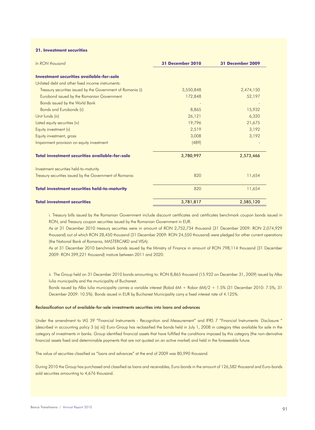#### **21. Investment securities**

| In RON thousand                                             | <b>31 December 2010</b> | 31 December 2009 |
|-------------------------------------------------------------|-------------------------|------------------|
| Investment securities available-for-sale                    |                         |                  |
| Unlisted debt and other fixed income instruments:           |                         |                  |
| Treasury securities issued by the Government of Romania (i) | 3,550,848               | 2,474,150        |
| Eurobond issued by the Romanian Government                  | 172,848                 | 52,197           |
| Bonds issued by the World Bank                              |                         |                  |
| <b>Bonds and Eurobonds (ii)</b>                             | 8,865                   | 15,932           |
| Unit funds (iii)                                            | 26,121                  | 6,320            |
| Listed equity securities (iv)                               | 19,796                  | 21,675           |
| Equity investment (v)                                       | 2,519                   | 3,192            |
| Equity investment, gross                                    | 3,008                   | 3,192            |
| Impairment provision on equity investment                   | (489)                   |                  |
| <b>Total investment securities available-for-sale</b>       | 3,780,997               | 2,573,466        |
| Investment securities held-to-maturity                      |                         |                  |
| Treasury securities issued by the Government of Romania     | 820                     | 11,654           |
| <b>Total investment securities held-to-maturity</b>         | 820                     | 11,654           |
| <b>Total investment securities</b>                          | 3,781,817               | 2,585,120        |

i. Treasury bills issued by the Romanian Government include discount certificates and certificates benchmark coupon bonds issued in RON, and Treasury coupon securities issued by the Romanian Government in EUR.

As at 31 December 2010 treasury securities were in amount of RON 2,752,734 thousand (31 December 2009: RON 2,074,929 thousand) out of which RON 28,450 thousand (31 December 2009: RON 24,550 thousand) were pledged for other current operations (the National Bank of Romania, MASTERCARD and VISA).

As at 31 December 2010 benchmark bonds issued by the Ministry of Finance in amount of RON 798,114 thousand (31 December 2009: RON 399,221 thousand) mature between 2011 and 2020.

ii. The Group held on 31 December 2010 bonds amounting to: RON 8,865 thousand (15.932 on December 31, 2009) issued by Alba Iulia municipality and the municipality of Bucharest.

Bonds issued by Alba Iulia municipality carries a variable interest (Robid 6M + Robor 6M)/2 + 1.5% (31 December 2010: 7.5%; 31 December 2009: 10.5%). Bonds issued in EUR by Bucharest Municipality carry a fixed interest rate of 4.125%.

# Reclassification out of available-for-sale investments securities into loans and advances

Under the amendment to IAS 39 "Financial Instruments - Recognition and Measurement" and IFRS 7 "Financial Instruments: Disclosure " (described in accounting policy 3 (a) iii)) Euro-Group has reclassified the bonds held in July 1, 2008 in category titles available for sale in the category of investments in banks. Group identified financial assets that have fulfilled the conditions imposed by this category (the non-derivative financial assets fixed and determinable payments that are not quoted on an active market) and held in the foreseeable future.

The value of securities classified as "loans and advances" at the end of 2009 was 80,990 thousand.

During 2010 the Group has purchased and classified as loans and receivables, Euro-bonds in the amount of 126,582 thousand and Euro-bonds sold securities amounting to 4,676 thousand.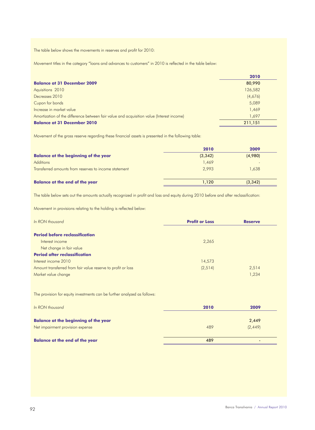The table below shows the movements in reserves and profit for 2010:

Movement titles in the category "loans and advances to customers" in 2010 is reflected in the table below:

|                                                                                           | 2010    |  |
|-------------------------------------------------------------------------------------------|---------|--|
| <b>Balance at 31 December 2009</b>                                                        | 80,990  |  |
| Aquisitions 2010                                                                          | 126,582 |  |
| Decreases 2010                                                                            | (4,676) |  |
| Cupon for bonds                                                                           | 5,089   |  |
| Increase in market value                                                                  | 1,469   |  |
| Amortization of the difference between fair value and acquisition value (Interest income) | 1,697   |  |
| <b>Balance at 31 December 2010</b>                                                        | 211,151 |  |

Movement of the gross reserve regarding these financial assets is presented in the following table:

|                                                       | 2010    | 2009                     |
|-------------------------------------------------------|---------|--------------------------|
| <b>Balance at the beginning of the year</b>           | (3,342) | (4,980)                  |
| <b>Additions</b>                                      | 1,469   | $\overline{\phantom{a}}$ |
| Transferred amounts from reserves to income statement | 2,993   | 1,638                    |
| <b>Balance at the end of the year</b>                 | 1.120   | (3,342)                  |

The table below sets out the amounts actually recognized in profit and loss and equity during 2010 before and after reclassification:

Movement in provisions relating to the holding is reflected below:

| In RON thousand                                              | <b>Profit or Loss</b> | <b>Reserve</b> |
|--------------------------------------------------------------|-----------------------|----------------|
| <b>Period before reclassification</b>                        |                       |                |
| Interest income                                              | 2,265                 |                |
| Net change in fair value                                     |                       |                |
| <b>Period after reclassification</b>                         |                       |                |
| Interest income 2010                                         | 14,573                |                |
| Amount transferred from fair value reserve to profit or loss | (2, 514)              | 2,514          |
| Market value change                                          |                       | 1,234          |

The provision for equity investments can be further analyzed as follows:

| In RON thousand                             | 2010 | 2009                     |
|---------------------------------------------|------|--------------------------|
| <b>Balance at the beginning of the year</b> |      | 2,449                    |
| Net impairment provision expense            | 489  | (2, 449)                 |
|                                             |      |                          |
| <b>Balance at the end of the year</b>       | 489  | $\overline{\phantom{0}}$ |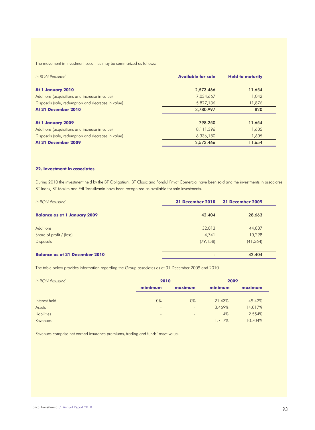The movement in investment securities may be summarized as follows:

| In RON thousand                                    | <b>Available for sale</b> | <b>Held to maturity</b> |
|----------------------------------------------------|---------------------------|-------------------------|
|                                                    |                           |                         |
| At 1 January 2010                                  | 2,573,466                 | 11,654                  |
| Additions (acquisitions and increase in value)     | 7,034,667                 | 1,042                   |
| Disposals (sale, redemption and decrease in value) | 5,827,136                 | 11,876                  |
| At 31 December 2010                                | 3,780,997                 | 820                     |
|                                                    |                           |                         |
| At 1 January 2009                                  | 798,250                   | 11,654                  |
| Additions (acquisitions and increase in value)     | 8,111,396                 | 1,605                   |
| Disposals (sale, redemption and decrease in value) | 6,336,180                 | 1,605                   |
| At 31 December 2009                                | 2,573,466                 | 11,654                  |

# **22. Investment in associates**

During 2010 the investment held by the BT Obligatiuni, BT Clasic and Fondul Privat Comercial have been sold and the investments in associates BT Index, BT Maxim and FdI Transilvania have been recognized as available for sale investments.

| In RON thousand                       | <b>31 December 2010</b> | <b>31 December 2009</b> |  |
|---------------------------------------|-------------------------|-------------------------|--|
| <b>Balance as at 1 January 2009</b>   | 42,404                  | 28,663                  |  |
| <b>Additions</b>                      | 32,013                  | 44,807                  |  |
| Share of profit / (loss)              | 4,741                   | 10,298                  |  |
| <b>Disposals</b>                      | (79, 158)               | (41, 364)               |  |
| <b>Balance as at 31 December 2010</b> |                         | 42,404                  |  |

The table below provides information regarding the Group associates as at 31 December 2009 and 2010

| In RON thousand    | 2010                         |                          | 2009    |         |
|--------------------|------------------------------|--------------------------|---------|---------|
|                    | mimimum                      | maximum                  | minimum | maximum |
|                    |                              |                          |         |         |
| Interest held      | $0\%$                        | $0\%$                    | 21.43%  | 49.42%  |
| Assets             | $\overline{\phantom{a}}$     | ٠                        | 3.469%  | 14.017% |
| <b>Liabilities</b> | $\overline{\phantom{a}}$     | $\overline{\phantom{0}}$ | 4%      | 2.554%  |
| Revenues           | $\qquad \qquad \blacksquare$ | $\overline{\phantom{a}}$ | 1.717%  | 10.704% |

Revenues comprise net earned insurance premiums, trading and funds' asset value.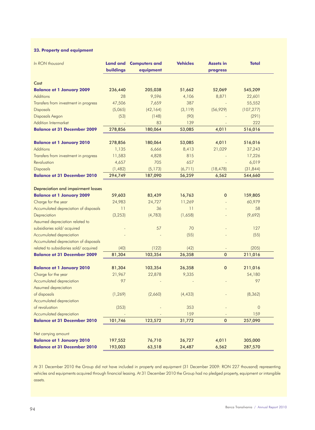# **23. Property and equipment**

| In RON thousand                           | <b>Land and</b><br>buildings | <b>Computers and</b><br>equipment | <b>Vehicles</b> | <b>Assets in</b><br>progress | <b>Total</b>   |
|-------------------------------------------|------------------------------|-----------------------------------|-----------------|------------------------------|----------------|
| Cost                                      |                              |                                   |                 |                              |                |
| <b>Balance at 1 January 2009</b>          | 236,440                      | 205,038                           | 51,662          | 52,069                       | 545,209        |
| <b>Additions</b>                          | 28                           | 9,596                             | 4,106           | 8,871                        | 22,601         |
| Transfers from investment in progress     | 47,506                       | 7,659                             | 387             |                              | 55,552         |
| <b>Disposals</b>                          | (5,065)                      | (42, 164)                         | (3, 119)        | (56, 929)                    | (107, 277)     |
| Disposals Aegon                           | (53)                         | (148)                             | (90)            |                              | (291)          |
| <b>Addition Intermarket</b>               |                              | 83                                | 139             |                              | 222            |
| <b>Balance at 31 December 2009</b>        | 278,856                      | 180,064                           | 53,085          | 4,011                        | 516,016        |
| <b>Balance at 1 January 2010</b>          | 278,856                      | 180,064                           | 53,085          | 4,011                        | 516,016        |
| <b>Additions</b>                          | 1,135                        | 6,666                             | 8,413           | 21,029                       | 37,243         |
| Transfers from investment in progress     | 11,583                       | 4,828                             | 815             |                              | 17,226         |
| Revaluation                               | 4,657                        | 705                               | 657             |                              | 6,019          |
| <b>Disposals</b>                          | (1, 482)                     | (5, 173)                          | (6, 711)        | (18, 478)                    | (31, 844)      |
| <b>Balance at 31 December 2010</b>        | 294,749                      | 187,090                           | 56,259          | 6,562                        | 544,660        |
| <b>Depreciation and impairment losses</b> |                              |                                   |                 |                              |                |
| <b>Balance at 1 January 2009</b>          | 59,603                       | 83,439                            | 16,763          | $\mathbf 0$                  | 159,805        |
| Charge for the year                       | 24,983                       | 24,727                            | 11,269          |                              | 60,979         |
| Accumulated depreciation of disposals     | 11                           | 36                                | 11              |                              | 58             |
| Depreciation                              | (3, 253)                     | (4, 783)                          | (1,658)         |                              | (9,692)        |
| Assumed depreciation related to           |                              |                                   |                 |                              |                |
| subsidiaries sold/acquired                |                              | 57                                | 70              |                              | 127            |
| Accumulated depreciation                  |                              |                                   | (55)            |                              | (55)           |
| Accumulated depreciation of disposals     |                              |                                   |                 |                              |                |
| related to subsidiaries sold/acquired     | (40)                         | (122)                             | (42)            |                              | (205)          |
| <b>Balance at 31 December 2009</b>        | 81,304                       | 103,354                           | 26,358          | $\pmb{0}$                    | 211,016        |
| <b>Balance at 1 January 2010</b>          | 81,304                       | 103,354                           | 26,358          | $\mathbf 0$                  | 211,016        |
| Charge for the year                       | 21,967                       | 22,878                            | 9,335           |                              | 54,180         |
| Accumulated depreciation                  | 97                           |                                   |                 |                              | 97             |
| Assumed depreciation                      |                              |                                   |                 |                              |                |
| of disposals                              | (1, 269)                     | (2,660)                           | (4, 433)        |                              | (8, 362)       |
| Accumulated depreciation                  |                              |                                   |                 |                              |                |
| of revaluation                            | (353)                        |                                   | 353             |                              | $\overline{0}$ |
| Accumulated depreciation                  |                              |                                   | 159             |                              | 159            |
| <b>Balance at 31 December 2010</b>        | 101,746                      | 123,572                           | 31,772          | $\pmb{0}$                    | 257,090        |
| Net carrying amount                       |                              |                                   |                 |                              |                |
| <b>Balance at 1 January 2010</b>          | 197,552                      | 76,710                            | 26,727          | 4,011                        | 305,000        |
| <b>Balance at 31 December 2010</b>        | 193,003                      | 63,518                            | 24,487          | 6,562                        | 287,570        |

At 31 December 2010 the Group did not have included in property and equipment (31 December 2009: RON 227 thousand) representing vehicles and equipments acquired through financial leasing. At 31 December 2010 the Group had no pledged property, equipment or intangible assets.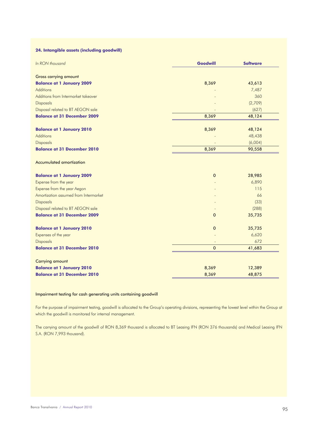# **24. Intangible assets (including goodwill)**

| In RON thousand                       | Goodwill     | <b>Software</b> |
|---------------------------------------|--------------|-----------------|
| <b>Gross carrying amount</b>          |              |                 |
| <b>Balance at 1 January 2009</b>      | 8,369        | 43,613          |
| <b>Additions</b>                      |              | 7,487           |
| Additions from Intermarket takeover   |              | 360             |
| <b>Disposals</b>                      |              | (2,709)         |
| Disposal related to BT AEGON sale     |              | (627)           |
| <b>Balance at 31 December 2009</b>    | 8,369        | 48,124          |
| <b>Balance at 1 January 2010</b>      | 8,369        | 48,124          |
| <b>Additions</b>                      |              | 48,438          |
| <b>Disposals</b>                      |              | (6,004)         |
| <b>Balance at 31 December 2010</b>    | 8,369        | 90,558          |
| <b>Accumulated amortization</b>       |              |                 |
| <b>Balance at 1 January 2009</b>      | 0            | 28,985          |
| Expense from the year                 |              | 6,890           |
| Expense from the year Aegon           |              | 115             |
| Amortization assumed from Intermarket |              | 66              |
| Disposals                             |              | (33)            |
| Disposal related to BT AEGON sale     |              | (288)           |
| <b>Balance at 31 December 2009</b>    | $\mathbf{0}$ | 35,735          |
| <b>Balance at 1 January 2010</b>      | $\pmb{0}$    | 35,735          |
| Expenses of the year                  |              | 6,620           |
| <b>Disposals</b>                      |              | 672             |
| <b>Balance at 31 December 2010</b>    | $\mathbf 0$  | 41,683          |
| <b>Carrying amount</b>                |              |                 |
| <b>Balance at 1 January 2010</b>      | 8,369        | 12,389          |
| <b>Balance at 31 December 2010</b>    | 8,369        | 48,875          |

# Impairment testing for cash generating units containing goodwill

For the purpose of impairment testing, goodwill is allocated to the Group's operating divisions, representing the lowest level within the Group at which the goodwill is monitored for internal management.

The carrying amount of the goodwill of RON 8,369 thousand is allocated to BT Leasing IFN (RON 376 thousands) and Medical Leasing IFN S.A. (RON 7,993 thousand).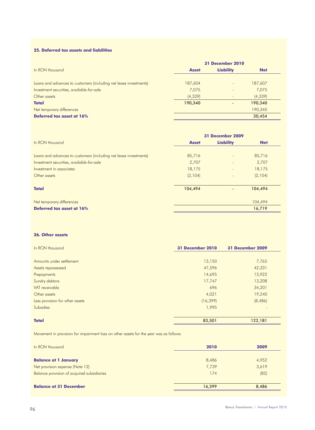# **25. Deferred tax assets and liabilities**

|                                                                   |              | <b>31 December 2010</b>  |            |
|-------------------------------------------------------------------|--------------|--------------------------|------------|
| In RON thousand                                                   | <b>Asset</b> | <b>Liability</b>         | <b>Net</b> |
| Loans and advances to customers (including net lease investments) | 187,604      | $\overline{\phantom{m}}$ | 187,607    |
| Investment securities, available-for-sale                         | 7,075        |                          | 7,075      |
| Other assets                                                      | (4, 339)     | $\overline{\phantom{0}}$ | (4, 339)   |
| <b>Total</b>                                                      | 190,340      |                          | 190,340    |
| Net temporary differences                                         |              |                          | 190,340    |
| Deferred tax asset at 16%                                         |              |                          | 30,454     |
|                                                                   |              |                          |            |

|                                                                   |              | <b>31 December 2009</b>  |            |
|-------------------------------------------------------------------|--------------|--------------------------|------------|
| In RON thousand                                                   | <b>Asset</b> | <b>Liability</b>         | <b>Net</b> |
| Loans and advances to customers (including net lease investments) | 85,716       | ٠                        | 85,716     |
| Investment securities, available-for-sale                         | 2,707        | $\overline{\phantom{a}}$ | 2,707      |
| Investment in associates                                          | 18,175       |                          | 18,175     |
| Other assets                                                      | (2,104)      | $\overline{\phantom{a}}$ | (2, 104)   |
| <b>Total</b>                                                      | 104,494      | $\overline{\phantom{0}}$ | 104,494    |
| Net temporary differences                                         |              |                          | 104,494    |
| Deferred tax asset at 16%                                         |              |                          | 16,719     |

# **26. Other assets**

| <b>31 December 2010</b> | 31 December 2009             |
|-------------------------|------------------------------|
| 13,150                  | 7,765                        |
| 47,596                  | 42,331                       |
| 14,695                  | 13,922                       |
| 17,747                  | 13,208                       |
| 696                     | 34,201                       |
| 4,021                   | 19,240                       |
| (16, 399)               | (8,486)                      |
| 1,995                   | $\qquad \qquad \blacksquare$ |
|                         |                              |

**Total** 83,501 122,181

Movement in provision for impairment loss on other assets for the year was as follows:

| In RON thousand                            | 2010   | 2009  |
|--------------------------------------------|--------|-------|
| <b>Balance at 1 January</b>                | 8,486  | 4,952 |
| Net provision expense (Note 12)            | 7,739  | 3,619 |
| Balance provision of acquired subsidiaries | 174    | (85)  |
| <b>Balance at 31 December</b>              | 16.399 | 8,486 |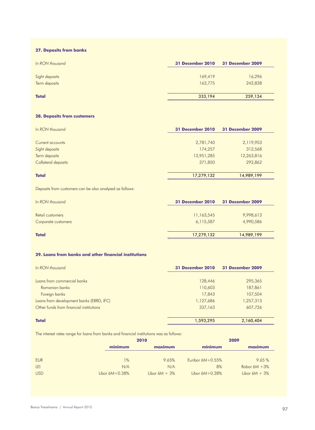# **27. Deposits from banks**

| In RON thousand | <b>31 December 2010</b> | 31 December 2009 |
|-----------------|-------------------------|------------------|
| Sight deposits  | 169,419                 | 16,296           |
| Term deposits   | 163,775                 | 242,838          |
|                 |                         |                  |
| <b>Total</b>    | 333,194                 | 259,134          |

# **28. Deposits from customers**

| In RON thousand     | <b>31 December 2010</b> | 31 December 2009 |
|---------------------|-------------------------|------------------|
|                     |                         |                  |
| Current accounts    | 2,781,740               | 2,119,953        |
| Sight deposits      | 174,257                 | 312,568          |
| Term deposits       | 13,951,285              | 12,263,816       |
| Collateral deposits | 371,850                 | 292,862          |
| <b>Total</b>        | 17,279,132              | 14,989,199       |

Deposits from customers can be also analyzed as follows:

| In RON thousand     | <b>31 December 2010</b> | 31 December 2009 |
|---------------------|-------------------------|------------------|
|                     |                         |                  |
| Retail customers    | 11,163,545              | 9,998,613        |
| Corporate customers | 6,115,587               | 4,990,586        |
|                     |                         |                  |
| <b>Total</b>        | 17,279,132              | 14,989,199       |

# **29. Loans from banks and other financial institutions**

| In RON thousand                          | <b>31 December 2010</b> | 31 December 2009 |
|------------------------------------------|-------------------------|------------------|
|                                          |                         |                  |
| Loans from commercial banks              | 128,446                 | 295,365          |
| Romanian banks                           | 110,603                 | 187,861          |
| Foreign banks                            | 17,843                  | 107,504          |
| Loans from development banks (EBRD, IFC) | 1,127,686               | 1,257,313        |
| Other funds from financial institutions  | 337,163                 | 607,726          |
| <b>Total</b>                             | 1,593,295               | 2,160,404        |

The interest rates range for loans from banks and financial institutions was as follows:

|            |                  | 2010             |                     | 2009             |
|------------|------------------|------------------|---------------------|------------------|
|            | minimum          | maximum          | minimum             | maximum          |
|            |                  |                  |                     |                  |
| <b>EUR</b> | 1%               | 9.65%            | Euribor $6M+0.55\%$ | 9.65%            |
| LEI        | N/A              | N/A              | 8%                  | Robor $6M + 3\%$ |
| <b>USD</b> | Libor $6M+0.38%$ | Libor $6M + 3\%$ | Libor $6M+0.38\%$   | Libor $6M + 3\%$ |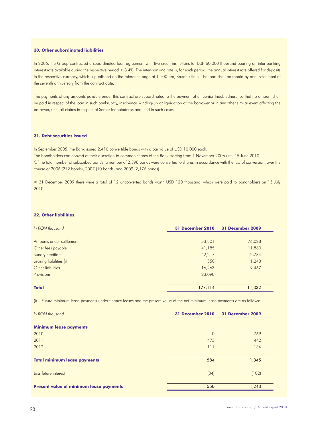# **30. Other subordinated liabilities**

In 2006, the Group contracted a subordinated loan agreement with five credit institutions for EUR 60,000 thousand bearing an inter-banking interest rate available during the respective period + 3.4%. The inter-banking rate is, for each period, the annual interest rate offered for deposits in the respective currency, which is published on the reference page at 11:00 am, Brussels time. The loan shall be repaid by one installment at the seventh anniversary from the contract date.

The payments of any amounts payable under this contract are subordinated to the payment of all Senior Indebtedness, so that no amount shall be paid in respect of the loan in such bankruptcy, insolvency, winding-up or liquidation of the borrower or in any other similar event affecting the borrower, until all claims in respect of Senior Indebtedness admitted in such cases.

# **31. Debt securities issued**

In September 2005, the Bank issued 2,410 convertible bonds with a par value of USD 10,000 each. The bondholders can convert at their discretion to common shares of the Bank starting from 1 November 2006 until 15 June 2010. Of the total number of subscribed bonds, a number of 2,398 bonds were converted to shares in accordance with the law of conversion, over the course of 2006 (212 bonds), 2007 (10 bonds) and 2009 (2,176 bonds).

At 31 December 2009 there were a total of 12 unconverted bonds worth USD 120 thousand, which were paid to bondholders on 15 July 2010.

#### **32. Other liabilities**

| In RON thousand          | <b>31 December 2010</b> | 31 December 2009 |
|--------------------------|-------------------------|------------------|
|                          |                         |                  |
| Amounts under settlement | 53,801                  | 76,028           |
| Other fees payable       | 41,185                  | 11,860           |
| Sundry creditors         | 42,217                  | 12,734           |
| Leasing liabilities (i)  | 550                     | 1,243            |
| Other liabilities        | 16,263                  | 9,467            |
| Provisions               | 23,098                  | $\overline{a}$   |
|                          |                         |                  |
| <b>Total</b>             | 177,114                 | 111,332          |

(i) Future minimum lease payments under finance leases and the present value of the net minimum lease payments are as follows:

| In RON thousand                                | 31 December 2010 | 31 December 2009 |
|------------------------------------------------|------------------|------------------|
| <b>Minimum lease payments</b>                  |                  |                  |
| 2010                                           | $\circ$          | 769              |
| 2011                                           | 473              | 442              |
| 2012                                           | 111              | 134              |
| <b>Total minimum lease payments</b>            | 584              | 1,345            |
| Less future interest                           | (34)             | (102)            |
| <b>Present value of minimum lease payments</b> | 550              | 1,243            |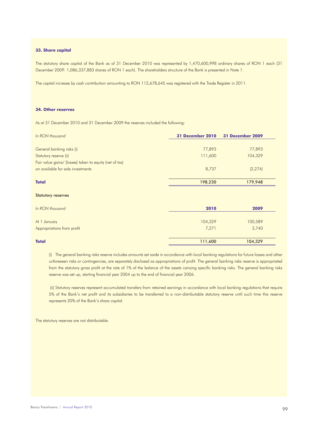#### **33. Share capital**

The statutory share capital of the Bank as of 31 December 2010 was represented by 1,470,600,998 ordinary shares of RON 1 each (31 December 2009: 1,086,337,883 shares of RON 1 each). The shareholders structure of the Bank is presented in Note 1.

The capital increase by cash contribution amounting to RON 112,678,645 was registered with the Trade Register in 2011.

# **34. Other reserves**

As at 31 December 2010 and 31 December 2009 the reserves included the following:

| In RON thousand                                         | <b>31 December 2010</b> | <b>31 December 2009</b> |
|---------------------------------------------------------|-------------------------|-------------------------|
|                                                         |                         |                         |
| General banking risks (i)                               | 77,893                  | 77,893                  |
| Statutory reserve (ii)                                  | 111,600                 | 104,329                 |
| Fair value gains/ (losses) taken to equity (net of tax) |                         |                         |
| on available for sale investments                       | 8,737                   | (2, 274)                |
| <b>Total</b>                                            | 198,230                 | 179,948                 |
| <b>Statutory reserves</b>                               |                         |                         |
| In RON thousand                                         | 2010                    | 2009                    |
| At 1 January                                            | 104,329                 | 100,589                 |
| Appropriations from profit                              | 7,271                   | 3,740                   |
| <b>Total</b>                                            | 111,600                 | 104,329                 |

(i) The general banking risks reserve includes amounts set aside in accordance with local banking regulations for future losses and other unforeseen risks or contingencies, are separately disclosed as appropriations of profit. The general banking risks reserve is appropriated from the statutory gross profit at the rate of 1% of the balance of the assets carrying specific banking risks. The general banking risks reserve was set up, starting financial year 2004 up to the end of financial year 2006.

 (ii) Statutory reserves represent accumulated transfers from retained earnings in accordance with local banking regulations that require 5% of the Bank's net profit and its subsidiaries to be transferred to a non-distributable statutory reserve until such time this reserve represents 20% of the Bank's share capital.

The statutory reserves are not distributable.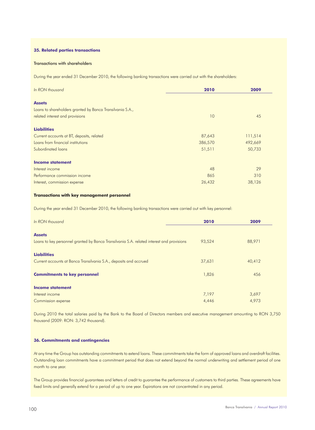# **35. Related parties transactions**

# Transactions with shareholders

During the year ended 31 December 2010, the following banking transactions were carried out with the shareholders:

| In RON thousand                                           | 2010    | 2009    |
|-----------------------------------------------------------|---------|---------|
| <b>Assets</b>                                             |         |         |
| Loans to shareholders granted by Banca Transilvania S.A., |         |         |
| related interest and provisions                           | 10      | 45      |
| <b>Liabilities</b>                                        |         |         |
| Current accounts at BT, deposits, related                 | 87,643  | 111,514 |
| Loans from financial institutions                         | 386,570 | 492,669 |
| Subordinated loans                                        | 51,511  | 50,733  |
| <b>Income statement</b>                                   |         |         |
| Interest income                                           | 48      | 29      |
| Performance commission income                             | 865     | 310     |
| Interest, commission expense                              | 26,432  | 38,126  |

#### **Transactions with key management personnel**

During the year ended 31 December 2010, the following banking transactions were carried out with key personnel:

| In RON thousand                                                                                            | 2010   | 2009   |
|------------------------------------------------------------------------------------------------------------|--------|--------|
| <b>Assets</b><br>Loans to key personnel granted by Banca Transilvania S.A. related interest and provisions | 93,524 | 88,971 |
| <b>Liabilities</b><br>Current accounts at Banca Transilvania S.A., deposits and accrued                    | 37,631 | 40,412 |
| <b>Commitments to key personnel</b>                                                                        | 1,826  | 456    |
| <b>Income statement</b><br>Interest income                                                                 | 7,197  | 3,697  |
| Commission expense                                                                                         | 4,446  | 4,973  |

During 2010 the total salaries paid by the Bank to the Board of Directors members and executive management amounting to RON 3,750 thousand (2009: RON: 3,742 thousand).

### **36. Commitments and contingencies**

At any time the Group has outstanding commitments to extend loans. These commitments take the form of approved loans and overdraft facilities. Outstanding loan commitments have a commitment period that does not extend beyond the normal underwriting and settlement period of one month to one year.

The Group provides financial guarantees and letters of credit to guarantee the performance of customers to third parties. These agreements have fixed limits and generally extend for a period of up to one year. Expirations are not concentrated in any period.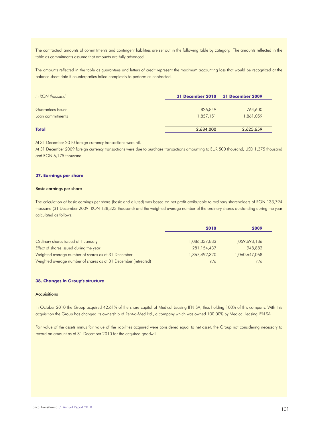The contractual amounts of commitments and contingent liabilities are set out in the following table by category. The amounts reflected in the table as commitments assume that amounts are fully advanced.

The amounts reflected in the table as guarantees and letters of credit represent the maximum accounting loss that would be recognized at the balance sheet date if counterparties failed completely to perform as contracted.

| In RON thousand   | 31 December 2010 31 December 2009 |           |
|-------------------|-----------------------------------|-----------|
| Guarantees issued | 826,849                           | 764,600   |
| Loan commitments  | 1,857,151                         | 1,861,059 |
|                   |                                   |           |
| <b>Total</b>      | 2,684,000                         | 2,625,659 |

At 31 December 2010 foreign currency transactions were nil.

At 31 December 2009 foreign currency transactions were due to purchase transactions amounting to EUR 500 thousand, USD 1,375 thousand and RON 6,175 thousand.

# **37. Earnings per share**

#### Basic earnings per share

The calculation of basic earnings per share (basic and diluted) was based on net profit attributable to ordinary shareholders of RON 133,794 thousand (31 December 2009: RON 138,323 thousand) and the weighted average number of the ordinary shares outstanding during the year calculated as follows:

|                                                                 | 2010          | 2009          |
|-----------------------------------------------------------------|---------------|---------------|
|                                                                 |               |               |
| Ordinary shares issued at 1 January                             | 1,086,337,883 | 1,059,698,186 |
| Effect of shares issued during the year                         | 281,154,437   | 948,882       |
| Weighted average number of shares as at 31 December             | 1,367,492,320 | 1,060,647,068 |
| Weighted average number of shares as at 31 December (retreated) | n/a           | n/a           |

#### **38. Changes in Group's structure**

# **Acquisitions**

In October 2010 the Group acquired 42.61% of the share capital of Medical Leasing IFN SA, thus holding 100% of this company. With this acquisition the Group has changed its ownership of Rent-a-Med Ltd., a company which was owned 100.00% by Medical Leasing IFN SA.

Fair value of the assets minus fair value of the liabilities acquired were considered equal to net asset, the Group not considering necessary to record an amount as of 31 December 2010 for the acquired goodwill.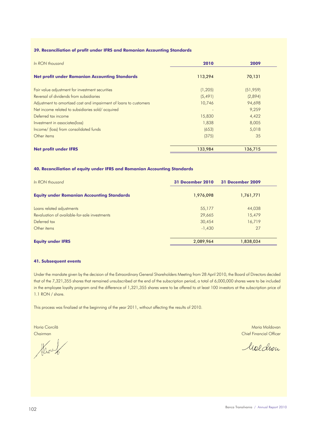# **39. Reconciliation of profit under IFRS and Romanian Accounting Standards**

| In RON thousand                                                   | 2010     | 2009      |
|-------------------------------------------------------------------|----------|-----------|
| <b>Net profit under Romanian Accounting Standards</b>             | 113,294  | 70,131    |
| Fair value adjustment for investment securities                   | (1,205)  | (51, 959) |
| Reversal of dividends from subsidiaries                           | (5, 491) | (2,894)   |
| Adjustment to amortized cost and impairment of loans to customers | 10,746   | 94,698    |
| Net income related to subsidiaries sold/acquired                  |          | 9,259     |
| Deferred tax income                                               | 15,830   | 4,422     |
| Investment in associates(loss)                                    | 1,838    | 8,005     |
| Income/ (loss) from consolidated funds                            | (653)    | 5,018     |
| Other items                                                       | (375)    | 35        |
| <b>Net profit under IFRS</b>                                      | 133,984  | 136,715   |

# **40. Reconciliation of equity under IFRS and Romanian Accounting Standards**

| In RON thousand                                   | <b>31 December 2010</b> | <b>31 December 2009</b> |
|---------------------------------------------------|-------------------------|-------------------------|
| <b>Equity under Romanian Accounting Standards</b> | 1,976,098               | 1,761,771               |
| Loans related adjustments                         | 55,177                  | 44,038                  |
| Revaluation of available-for-sale investments     | 29,665                  | 15,479                  |
| Deferred tax                                      | 30,454                  | 16,719                  |
| Other items                                       | $-1,430$                | 27                      |
| <b>Equity under IFRS</b>                          | 2,089,964               | 1,838,034               |

# **41. Subsequent events**

Under the mandate given by the decision of the Extraordinary General Shareholders Meeting from 28 April 2010, the Board of Directors decided that of the 7,321,355 shares that remained unsubscribed at the end of the subscription period, a total of 6,000,000 shares were to be included in the employee loyalty program and the difference of 1,321,355 shares were to be offered to at least 100 investors at the subscription price of 1.1 RON / share.

This process was finalized at the beginning of the year 2011, without affecting the results of 2010.

Haven

Horia Ciorcilă de Antonio Antonio Antonio Antonio Antonio Antonio Antonio Antonio Antonio Maria Moldovan Chairman Chief Financial Officer

Moldron